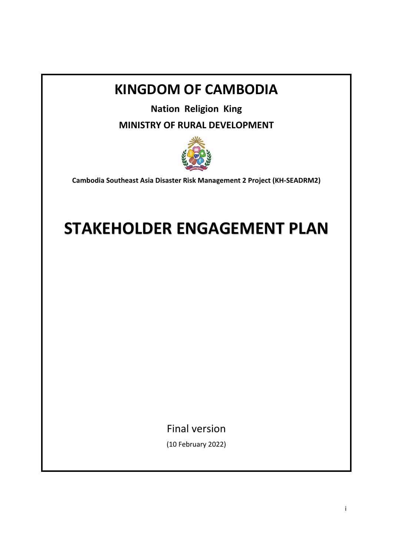## **KINGDOM OF CAMBODIA**

**Nation Religion King** 

**MINISTRY OF RURAL DEVELOPMENT**



**Cambodia Southeast Asia Disaster Risk Management 2 Project (KH‐SEADRM2)** 

# **STAKEHOLDER ENGAGEMENT PLAN**

Final version

(10 February 2022)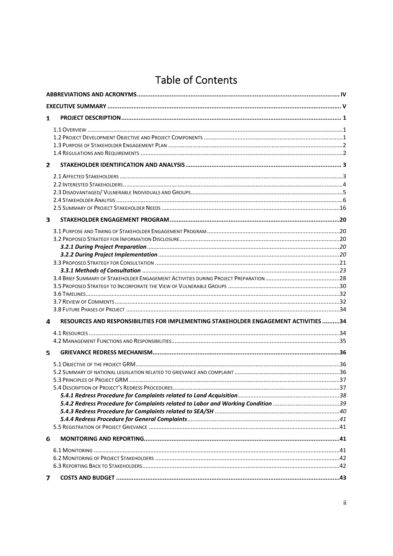## **Table of Contents**

| 1 |                                                                                      |  |
|---|--------------------------------------------------------------------------------------|--|
|   |                                                                                      |  |
|   |                                                                                      |  |
|   |                                                                                      |  |
|   |                                                                                      |  |
| 2 |                                                                                      |  |
|   |                                                                                      |  |
|   |                                                                                      |  |
|   |                                                                                      |  |
|   |                                                                                      |  |
|   |                                                                                      |  |
| З |                                                                                      |  |
|   |                                                                                      |  |
|   |                                                                                      |  |
|   |                                                                                      |  |
|   |                                                                                      |  |
|   |                                                                                      |  |
|   |                                                                                      |  |
|   |                                                                                      |  |
|   |                                                                                      |  |
|   |                                                                                      |  |
|   |                                                                                      |  |
| 4 | RESOURCES AND RESPONSIBILITIES FOR IMPLEMENTING STAKEHOLDER ENGAGEMENT ACTIVITIES 34 |  |
|   |                                                                                      |  |
|   |                                                                                      |  |
| 5 |                                                                                      |  |
|   |                                                                                      |  |
|   |                                                                                      |  |
|   |                                                                                      |  |
|   |                                                                                      |  |
|   |                                                                                      |  |
|   |                                                                                      |  |
|   |                                                                                      |  |
|   |                                                                                      |  |
| 6 |                                                                                      |  |
|   |                                                                                      |  |
|   |                                                                                      |  |
|   |                                                                                      |  |
|   |                                                                                      |  |
| 7 |                                                                                      |  |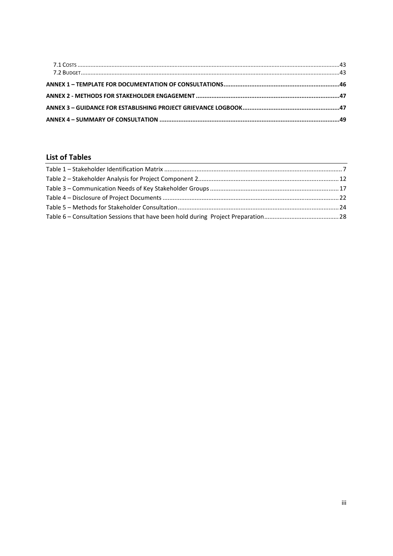### **List of Tables**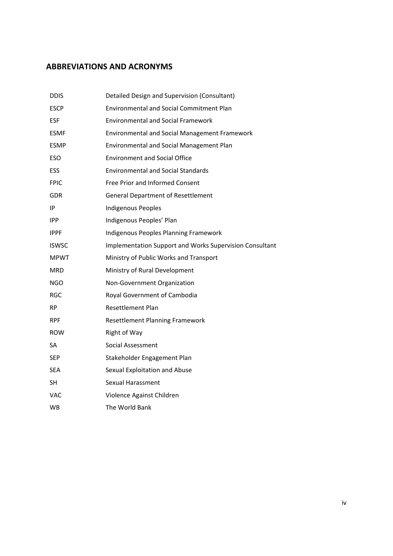#### **ABBREVIATIONS AND ACRONYMS**

| <b>DDIS</b>  | Detailed Design and Supervision (Consultant)            |  |
|--------------|---------------------------------------------------------|--|
| <b>ESCP</b>  | <b>Environmental and Social Commitment Plan</b>         |  |
| <b>ESF</b>   | <b>Environmental and Social Framework</b>               |  |
| <b>ESMF</b>  | <b>Environmental and Social Management Framework</b>    |  |
| <b>ESMP</b>  | Environmental and Social Management Plan                |  |
| <b>ESO</b>   | <b>Environment and Social Office</b>                    |  |
| <b>ESS</b>   | <b>Environmental and Social Standards</b>               |  |
| <b>FPIC</b>  | Free Prior and Informed Consent                         |  |
| <b>GDR</b>   | <b>General Department of Resettlement</b>               |  |
| ΙP           | <b>Indigenous Peoples</b>                               |  |
| <b>IPP</b>   | Indigenous Peoples' Plan                                |  |
| <b>IPPF</b>  | Indigenous Peoples Planning Framework                   |  |
| <b>ISWSC</b> | Implementation Support and Works Supervision Consultant |  |
| <b>MPWT</b>  | Ministry of Public Works and Transport                  |  |
| <b>MRD</b>   | Ministry of Rural Development                           |  |
| <b>NGO</b>   | Non-Government Organization                             |  |
| RGC          | Royal Government of Cambodia                            |  |
| <b>RP</b>    | <b>Resettlement Plan</b>                                |  |
| <b>RPF</b>   | <b>Resettlement Planning Framework</b>                  |  |
| <b>ROW</b>   | Right of Way                                            |  |
| SA           | Social Assessment                                       |  |
| <b>SEP</b>   | Stakeholder Engagement Plan                             |  |
| <b>SEA</b>   | Sexual Exploitation and Abuse                           |  |
| SН           | Sexual Harassment                                       |  |
| <b>VAC</b>   | Violence Against Children                               |  |
| <b>WB</b>    | The World Bank                                          |  |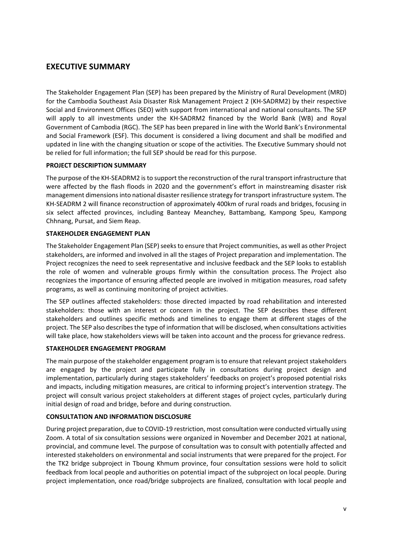#### **EXECUTIVE SUMMARY**

The Stakeholder Engagement Plan (SEP) has been prepared by the Ministry of Rural Development (MRD) for the Cambodia Southeast Asia Disaster Risk Management Project 2 (KH‐SADRM2) by their respective Social and Environment Offices (SEO) with support from international and national consultants. The SEP will apply to all investments under the KH-SADRM2 financed by the World Bank (WB) and Royal Government of Cambodia (RGC). The SEP has been prepared in line with the World Bank's Environmental and Social Framework (ESF). This document is considered a living document and shall be modified and updated in line with the changing situation or scope of the activities. The Executive Summary should not be relied for full information; the full SEP should be read for this purpose.

#### **PROJECT DESCRIPTION SUMMARY**

The purpose of the KH‐SEADRM2 is to support the reconstruction of the rural transport infrastructure that were affected by the flash floods in 2020 and the government's effort in mainstreaming disaster risk management dimensions into national disaster resilience strategy for transport infrastructure system. The KH-SEADRM 2 will finance reconstruction of approximately 400km of rural roads and bridges, focusing in six select affected provinces, including Banteay Meanchey, Battambang, Kampong Speu, Kampong Chhnang, Pursat, and Siem Reap.

#### **STAKEHOLDER ENGAGEMENT PLAN**

The Stakeholder Engagement Plan (SEP) seeks to ensure that Project communities, as well as other Project stakeholders, are informed and involved in all the stages of Project preparation and implementation. The Project recognizes the need to seek representative and inclusive feedback and the SEP looks to establish the role of women and vulnerable groups firmly within the consultation process. The Project also recognizes the importance of ensuring affected people are involved in mitigation measures, road safety programs, as well as continuing monitoring of project activities.

The SEP outlines affected stakeholders: those directed impacted by road rehabilitation and interested stakeholders: those with an interest or concern in the project. The SEP describes these different stakeholders and outlines specific methods and timelines to engage them at different stages of the project. The SEP also describes the type of information that will be disclosed, when consultations activities will take place, how stakeholders views will be taken into account and the process for grievance redress.

#### **STAKEHOLDER ENGAGEMENT PROGRAM**

The main purpose of the stakeholder engagement program is to ensure that relevant project stakeholders are engaged by the project and participate fully in consultations during project design and implementation, particularly during stages stakeholders' feedbacks on project's proposed potential risks and impacts, including mitigation measures, are critical to informing project's intervention strategy. The project will consult various project stakeholders at different stages of project cycles, particularly during initial design of road and bridge, before and during construction.

#### **CONSULTATION AND INFORMATION DISCLOSURE**

During project preparation, due to COVID‐19 restriction, most consultation were conducted virtually using Zoom. A total of six consultation sessions were organized in November and December 2021 at national, provincial, and commune level. The purpose of consultation was to consult with potentially affected and interested stakeholders on environmental and social instruments that were prepared for the project. For the TK2 bridge subproject in Tboung Khmum province, four consultation sessions were hold to solicit feedback from local people and authorities on potential impact of the subproject on local people. During project implementation, once road/bridge subprojects are finalized, consultation with local people and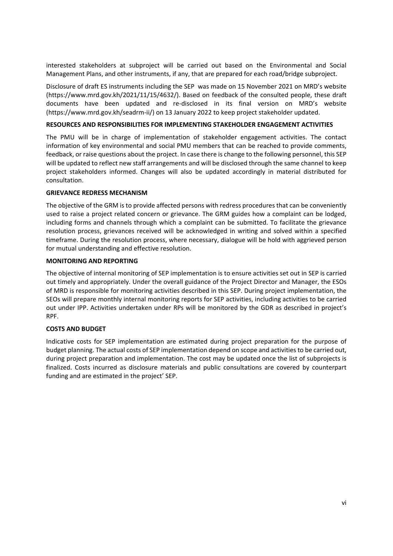interested stakeholders at subproject will be carried out based on the Environmental and Social Management Plans, and other instruments, if any, that are prepared for each road/bridge subproject.

Disclosure of draft ES instruments including the SEP was made on 15 November 2021 on MRD's website (https://www.mrd.gov.kh/2021/11/15/4632/). Based on feedback of the consulted people, these draft documents have been updated and re-disclosed in its final version on MRD's website (https://www.mrd.gov.kh/seadrm‐ii/) on 13 January 2022 to keep project stakeholder updated.

#### **RESOURCES AND RESPONSIBILITIES FOR IMPLEMENTING STAKEHOLDER ENGAGEMENT ACTIVITIES**

The PMU will be in charge of implementation of stakeholder engagement activities. The contact information of key environmental and social PMU members that can be reached to provide comments, feedback, or raise questions about the project. In case there is change to the following personnel, this SEP will be updated to reflect new staff arrangements and will be disclosed through the same channel to keep project stakeholders informed. Changes will also be updated accordingly in material distributed for consultation.

#### **GRIEVANCE REDRESS MECHANISM**

The objective of the GRM is to provide affected persons with redress procedures that can be conveniently used to raise a project related concern or grievance. The GRM guides how a complaint can be lodged, including forms and channels through which a complaint can be submitted. To facilitate the grievance resolution process, grievances received will be acknowledged in writing and solved within a specified timeframe. During the resolution process, where necessary, dialogue will be hold with aggrieved person for mutual understanding and effective resolution.

#### **MONITORING AND REPORTING**

The objective of internal monitoring of SEP implementation is to ensure activities set out in SEP is carried out timely and appropriately. Under the overall guidance of the Project Director and Manager, the ESOs of MRD is responsible for monitoring activities described in this SEP. During project implementation, the SEOs will prepare monthly internal monitoring reports for SEP activities, including activities to be carried out under IPP. Activities undertaken under RPs will be monitored by the GDR as described in project's RPF.

#### **COSTS AND BUDGET**

Indicative costs for SEP implementation are estimated during project preparation for the purpose of budget planning. The actual costs of SEP implementation depend on scope and activities to be carried out, during project preparation and implementation. The cost may be updated once the list of subprojects is finalized. Costs incurred as disclosure materials and public consultations are covered by counterpart funding and are estimated in the project' SEP.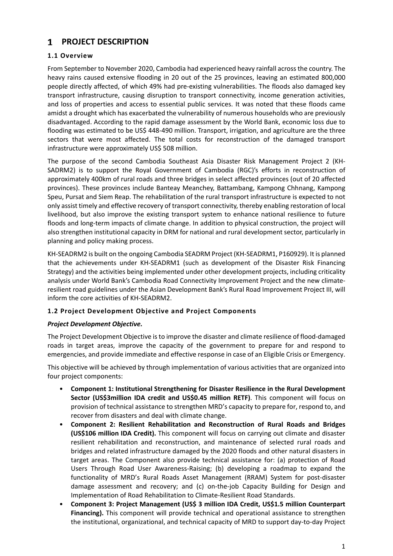### **PROJECT DESCRIPTION**

#### **1.1 Overview**

From September to November 2020, Cambodia had experienced heavy rainfall across the country. The heavy rains caused extensive flooding in 20 out of the 25 provinces, leaving an estimated 800,000 people directly affected, of which 49% had pre‐existing vulnerabilities. The floods also damaged key transport infrastructure, causing disruption to transport connectivity, income generation activities, and loss of properties and access to essential public services. It was noted that these floods came amidst a drought which has exacerbated the vulnerability of numerous households who are previously disadvantaged. According to the rapid damage assessment by the World Bank, economic loss due to flooding was estimated to be US\$ 448-490 million. Transport, irrigation, and agriculture are the three sectors that were most affected. The total costs for reconstruction of the damaged transport infrastructure were approximately US\$ 508 million.

The purpose of the second Cambodia Southeast Asia Disaster Risk Management Project 2 (KH-SADRM2) is to support the Royal Government of Cambodia (RGC)'s efforts in reconstruction of approximately 400km of rural roads and three bridges in select affected provinces (out of 20 affected provinces). These provinces include Banteay Meanchey, Battambang, Kampong Chhnang, Kampong Speu, Pursat and Siem Reap. The rehabilitation of the rural transport infrastructure is expected to not only assist timely and effective recovery of transport connectivity, thereby enabling restoration of local livelihood, but also improve the existing transport system to enhance national resilience to future floods and long-term impacts of climate change. In addition to physical construction, the project will also strengthen institutional capacity in DRM for national and rural development sector, particularly in planning and policy making process.

KH‐SEADRM2 is built on the ongoing Cambodia SEADRM Project (KH‐SEADRM1, P160929). It is planned that the achievements under KH‐SEADRM1 (such as development of the Disaster Risk Financing Strategy) and the activities being implemented under other development projects, including criticality analysis under World Bank's Cambodia Road Connectivity Improvement Project and the new climate‐ resilient road guidelines under the Asian Development Bank's Rural Road Improvement Project III, will inform the core activities of KH‐SEADRM2.

#### **1.2 Project Development Objective and Project Components**

#### *Project Development Objective.*

The Project Development Objective is to improve the disaster and climate resilience of flood‐damaged roads in target areas, improve the capacity of the government to prepare for and respond to emergencies, and provide immediate and effective response in case of an Eligible Crisis or Emergency.

This objective will be achieved by through implementation of various activities that are organized into four project components:

- **Component 1: Institutional Strengthening for Disaster Resilience in the Rural Development Sector (US\$3million IDA credit and US\$0.45 million RETF)**. This component will focus on provision of technical assistance to strengthen MRD's capacity to prepare for, respond to, and recover from disasters and deal with climate change.
- **Component 2: Resilient Rehabilitation and Reconstruction of Rural Roads and Bridges (US\$106 million IDA Credit).** This component will focus on carrying out climate and disaster resilient rehabilitation and reconstruction, and maintenance of selected rural roads and bridges and related infrastructure damaged by the 2020 floods and other natural disasters in target areas. The Component also provide technical assistance for: (a) protection of Road Users Through Road User Awareness‐Raising; (b) developing a roadmap to expand the functionality of MRD's Rural Roads Asset Management (RRAM) System for post-disaster damage assessment and recovery; and (c) on-the-job Capacity Building for Design and Implementation of Road Rehabilitation to Climate‐Resilient Road Standards.
- **Component 3: Project Management (US\$ 3 million IDA Credit, US\$1.5 million Counterpart Financing).** This component will provide technical and operational assistance to strengthen the institutional, organizational, and technical capacity of MRD to support day‐to‐day Project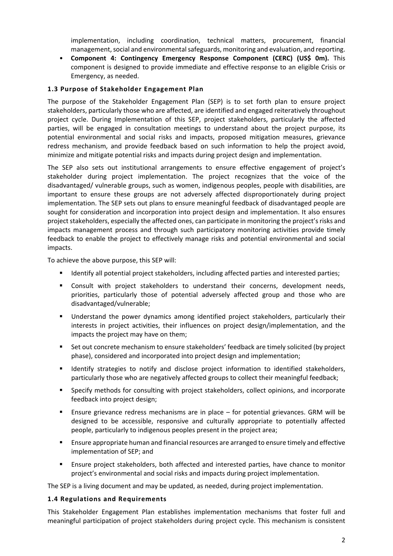implementation, including coordination, technical matters, procurement, financial management, social and environmental safeguards, monitoring and evaluation, and reporting.

• **Component 4: Contingency Emergency Response Component (CERC) (US\$ 0m).** This component is designed to provide immediate and effective response to an eligible Crisis or Emergency, as needed.

#### **1.3 Purpose of Stakeholder Engagement Plan**

The purpose of the Stakeholder Engagement Plan (SEP) is to set forth plan to ensure project stakeholders, particularly those who are affected, are identified and engaged reiteratively throughout project cycle. During Implementation of this SEP, project stakeholders, particularly the affected parties, will be engaged in consultation meetings to understand about the project purpose, its potential environmental and social risks and impacts, proposed mitigation measures, grievance redress mechanism, and provide feedback based on such information to help the project avoid, minimize and mitigate potential risks and impacts during project design and implementation.

The SEP also sets out institutional arrangements to ensure effective engagement of project's stakeholder during project implementation. The project recognizes that the voice of the disadvantaged/ vulnerable groups, such as women, indigenous peoples, people with disabilities, are important to ensure these groups are not adversely affected disproportionately during project implementation. The SEP sets out plans to ensure meaningful feedback of disadvantaged people are sought for consideration and incorporation into project design and implementation. It also ensures project stakeholders, especially the affected ones, can participate in monitoring the project's risks and impacts management process and through such participatory monitoring activities provide timely feedback to enable the project to effectively manage risks and potential environmental and social impacts.

To achieve the above purpose, this SEP will:

- Identify all potential project stakeholders, including affected parties and interested parties;
- Consult with project stakeholders to understand their concerns, development needs, priorities, particularly those of potential adversely affected group and those who are disadvantaged/vulnerable;
- Understand the power dynamics among identified project stakeholders, particularly their interests in project activities, their influences on project design/implementation, and the impacts the project may have on them;
- Set out concrete mechanism to ensure stakeholders' feedback are timely solicited (by project phase), considered and incorporated into project design and implementation;
- Identify strategies to notify and disclose project information to identified stakeholders, particularly those who are negatively affected groups to collect their meaningful feedback;
- Specify methods for consulting with project stakeholders, collect opinions, and incorporate feedback into project design;
- Ensure grievance redress mechanisms are in place for potential grievances. GRM will be designed to be accessible, responsive and culturally appropriate to potentially affected people, particularly to indigenous peoples present in the project area;
- **Ensure appropriate human and financial resources are arranged to ensure timely and effective** implementation of SEP; and
- Ensure project stakeholders, both affected and interested parties, have chance to monitor project's environmental and social risks and impacts during project implementation.

The SEP is a living document and may be updated, as needed, during project implementation.

#### **1.4 Regulations and Requirements**

This Stakeholder Engagement Plan establishes implementation mechanisms that foster full and meaningful participation of project stakeholders during project cycle. This mechanism is consistent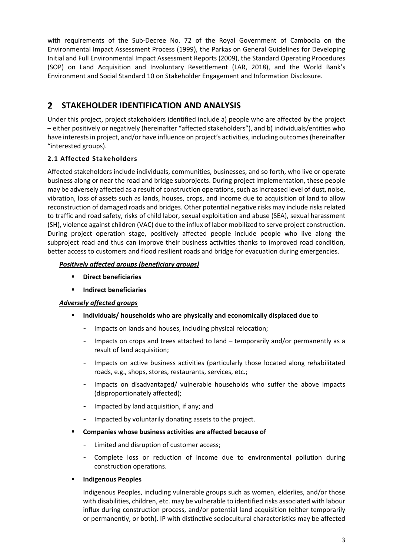with requirements of the Sub-Decree No. 72 of the Royal Government of Cambodia on the Environmental Impact Assessment Process (1999), the Parkas on General Guidelines for Developing Initial and Full Environmental Impact Assessment Reports (2009), the Standard Operating Procedures (SOP) on Land Acquisition and Involuntary Resettlement (LAR, 2018), and the World Bank's Environment and Social Standard 10 on Stakeholder Engagement and Information Disclosure.

#### **STAKEHOLDER IDENTIFICATION AND ANALYSIS**   $\mathbf{2}$

Under this project, project stakeholders identified include a) people who are affected by the project – either positively or negatively (hereinafter "affected stakeholders"), and b) individuals/entities who have interests in project, and/or have influence on project's activities, including outcomes (hereinafter "interested groups).

#### **2.1 Affected Stakeholders**

Affected stakeholders include individuals, communities, businesses, and so forth, who live or operate business along or near the road and bridge subprojects. During project implementation, these people may be adversely affected as a result of construction operations, such as increased level of dust, noise, vibration, loss of assets such as lands, houses, crops, and income due to acquisition of land to allow reconstruction of damaged roads and bridges. Other potential negative risks may include risks related to traffic and road safety, risks of child labor, sexual exploitation and abuse (SEA), sexual harassment (SH), violence against children (VAC) due to the influx of labor mobilized to serve project construction. During project operation stage, positively affected people include people who live along the subproject road and thus can improve their business activities thanks to improved road condition, better access to customers and flood resilient roads and bridge for evacuation during emergencies.

#### *Positively affected groups (beneficiary groups)*

- **Direct beneficiaries**
- **Indirect beneficiaries**

#### *Adversely affected groups*

- **Individuals/ households who are physically and economically displaced due to** 
	- Impacts on lands and houses, including physical relocation;
	- Impacts on crops and trees attached to land temporarily and/or permanently as a result of land acquisition;
	- Impacts on active business activities (particularly those located along rehabilitated roads, e.g., shops, stores, restaurants, services, etc.;
	- Impacts on disadvantaged/ vulnerable households who suffer the above impacts (disproportionately affected);
	- Impacted by land acquisition, if any; and
	- Impacted by voluntarily donating assets to the project.
- **Companies whose business activities are affected because of** 
	- Limited and disruption of customer access;
	- Complete loss or reduction of income due to environmental pollution during construction operations.
- **Indigenous Peoples**

Indigenous Peoples, including vulnerable groups such as women, elderlies, and/or those with disabilities, children, etc. may be vulnerable to identified risks associated with labour influx during construction process, and/or potential land acquisition (either temporarily or permanently, or both). IP with distinctive sociocultural characteristics may be affected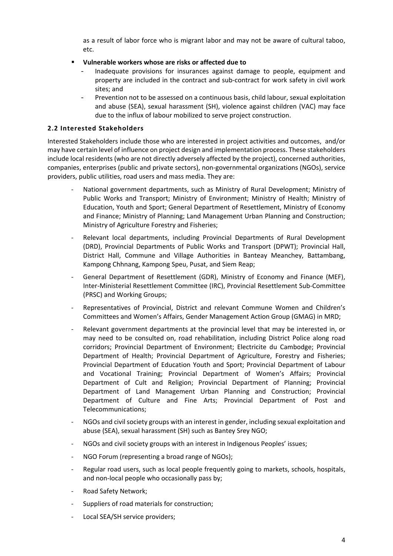as a result of labor force who is migrant labor and may not be aware of cultural taboo, etc.

- **Vulnerable workers whose are risks or affected due to** 
	- Inadequate provisions for insurances against damage to people, equipment and property are included in the contract and sub‐contract for work safety in civil work sites; and
	- Prevention not to be assessed on a continuous basis, child labour, sexual exploitation and abuse (SEA), sexual harassment (SH), violence against children (VAC) may face due to the influx of labour mobilized to serve project construction.

#### **2.2 Interested Stakeholders**

Interested Stakeholders include those who are interested in project activities and outcomes, and/or may have certain level of influence on project design and implementation process. These stakeholders include local residents (who are not directly adversely affected by the project), concerned authorities, companies, enterprises (public and private sectors), non‐governmental organizations (NGOs), service providers, public utilities, road users and mass media. They are:

- National government departments, such as Ministry of Rural Development; Ministry of Public Works and Transport; Ministry of Environment; Ministry of Health; Ministry of Education, Youth and Sport; General Department of Resettlement, Ministry of Economy and Finance; Ministry of Planning; Land Management Urban Planning and Construction; Ministry of Agriculture Forestry and Fisheries;
- Relevant local departments, including Provincial Departments of Rural Development (DRD), Provincial Departments of Public Works and Transport (DPWT); Provincial Hall, District Hall, Commune and Village Authorities in Banteay Meanchey, Battambang, Kampong Chhnang, Kampong Speu, Pusat, and Siem Reap;
- General Department of Resettlement (GDR), Ministry of Economy and Finance (MEF), Inter‐Ministerial Resettlement Committee (IRC), Provincial Resettlement Sub‐Committee (PRSC) and Working Groups;
- ‐ Representatives of Provincial, District and relevant Commune Women and Children's Committees and Women's Affairs, Gender Management Action Group (GMAG) in MRD;
- ‐ Relevant government departments at the provincial level that may be interested in, or may need to be consulted on, road rehabilitation, including District Police along road corridors; Provincial Department of Environment; Electricite du Cambodge; Provincial Department of Health; Provincial Department of Agriculture, Forestry and Fisheries; Provincial Department of Education Youth and Sport; Provincial Department of Labour and Vocational Training; Provincial Department of Women's Affairs; Provincial Department of Cult and Religion; Provincial Department of Planning; Provincial Department of Land Management Urban Planning and Construction; Provincial Department of Culture and Fine Arts; Provincial Department of Post and Telecommunications;
- ‐ NGOs and civil society groups with an interest in gender, including sexual exploitation and abuse (SEA), sexual harassment (SH) such as Bantey Srey NGO;
- ‐ NGOs and civil society groups with an interest in Indigenous Peoples' issues;
- NGO Forum (representing a broad range of NGOs);
- ‐ Regular road users, such as local people frequently going to markets, schools, hospitals, and non-local people who occasionally pass by;
- ‐ Road Safety Network;
- Suppliers of road materials for construction;
- ‐ Local SEA/SH service providers;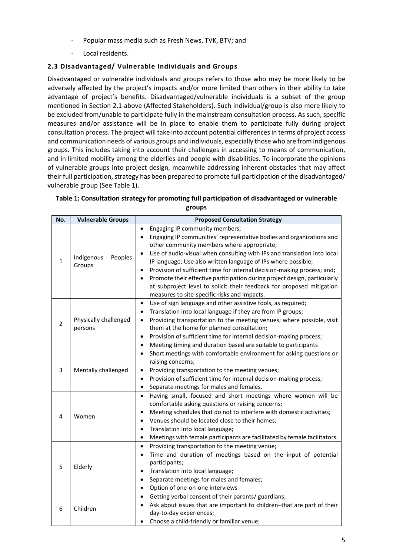- ‐ Popular mass media such as Fresh News, TVK, BTV; and
- ‐ Local residents.

#### **2.3 Disadvantaged/ Vulnerable Individuals and Groups**

Disadvantaged or vulnerable individuals and groups refers to those who may be more likely to be adversely affected by the project's impacts and/or more limited than others in their ability to take advantage of project's benefits. Disadvantaged/vulnerable individuals is a subset of the group mentioned in Section 2.1 above (Affected Stakeholders). Such individual/group is also more likely to be excluded from/unable to participate fully in the mainstream consultation process. As such, specific measures and/or assistance will be in place to enable them to participate fully during project consultation process. The project will take into account potential differences in terms of project access and communication needs of various groups and individuals, especially those who are from indigenous groups. This includes taking into account their challenges in accessing to means of communication, and in limited mobility among the elderlies and people with disabilities. To incorporate the opinions of vulnerable groups into project design, meanwhile addressing inherent obstacles that may affect their full participation, strategy has been prepared to promote full participation of the disadvantaged/ vulnerable group (See Table 1).

| No.            | <b>Vulnerable Groups</b>         | <b>Proposed Consultation Strategy</b>                                                                                                                                                                                                                                                                                                                                                                                                                                                                                                                                                                                    |
|----------------|----------------------------------|--------------------------------------------------------------------------------------------------------------------------------------------------------------------------------------------------------------------------------------------------------------------------------------------------------------------------------------------------------------------------------------------------------------------------------------------------------------------------------------------------------------------------------------------------------------------------------------------------------------------------|
| $\mathbf{1}$   | Indigenous<br>Peoples<br>Groups  | Engaging IP community members;<br>$\bullet$<br>Engaging IP communities' representative bodies and organizations and<br>other community members where appropriate;<br>Use of audio-visual when consulting with IPs and translation into local<br>IP language; Use also written language of IPs where possible;<br>Provision of sufficient time for internal decision-making process; and;<br>$\bullet$<br>Promote their effective participation during project design, particularly<br>$\bullet$<br>at subproject level to solicit their feedback for proposed mitigation<br>measures to site-specific risks and impacts. |
| $\overline{2}$ | Physically challenged<br>persons | Use of sign language and other assistive tools, as required;<br>$\bullet$<br>Translation into local language if they are from IP groups;<br>$\bullet$<br>Providing transportation to the meeting venues; where possible, visit<br>$\bullet$<br>them at the home for planned consultation;<br>Provision of sufficient time for internal decision-making process;<br>$\bullet$<br>Meeting timing and duration based are suitable to participants<br>$\bullet$                                                                                                                                                              |
| 3              | Mentally challenged              | Short meetings with comfortable environment for asking questions or<br>$\bullet$<br>raising concerns;<br>Providing transportation to the meeting venues;<br>٠<br>Provision of sufficient time for internal decision-making process;<br>$\bullet$<br>Separate meetings for males and females.<br>$\bullet$                                                                                                                                                                                                                                                                                                                |
| 4              | Women                            | Having small, focused and short meetings where women will be<br>$\bullet$<br>comfortable asking questions or raising concerns;<br>Meeting schedules that do not to interfere with domestic activities;<br>$\bullet$<br>Venues should be located close to their homes;<br>$\bullet$<br>Translation into local language;<br>$\bullet$<br>Meetings with female participants are facilitated by female facilitators.<br>$\bullet$                                                                                                                                                                                            |
| 5              | Elderly                          | Providing transportation to the meeting venue;<br>$\bullet$<br>Time and duration of meetings based on the input of potential<br>$\bullet$<br>participants;<br>Translation into local language;<br>$\bullet$<br>Separate meetings for males and females;<br>$\bullet$<br>Option of one-on-one interviews<br>$\bullet$                                                                                                                                                                                                                                                                                                     |
| 6              | Children                         | Getting verbal consent of their parents/ guardians;<br>$\bullet$<br>Ask about issues that are important to children-that are part of their<br>day-to-day experiences;<br>Choose a child-friendly or familiar venue;                                                                                                                                                                                                                                                                                                                                                                                                      |

#### **Table 1: Consultation strategy for promoting full participation of disadvantaged or vulnerable groups**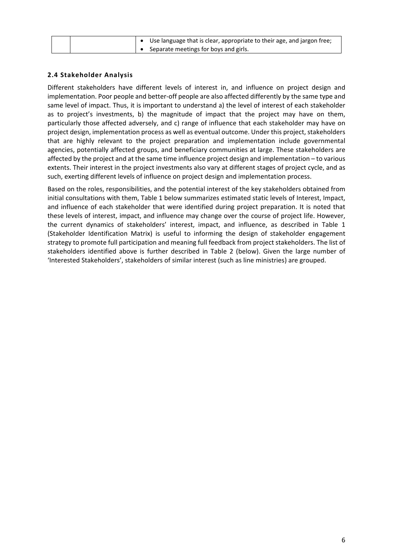| • Use language that is clear, appropriate to their age, and jargon free; |
|--------------------------------------------------------------------------|
| • Separate meetings for boys and girls.                                  |

#### **2.4 Stakeholder Analysis**

Different stakeholders have different levels of interest in, and influence on project design and implementation. Poor people and better‐off people are also affected differently by the same type and same level of impact. Thus, it is important to understand a) the level of interest of each stakeholder as to project's investments, b) the magnitude of impact that the project may have on them, particularly those affected adversely, and c) range of influence that each stakeholder may have on project design, implementation process as well as eventual outcome. Under this project, stakeholders that are highly relevant to the project preparation and implementation include governmental agencies, potentially affected groups, and beneficiary communities at large. These stakeholders are affected by the project and at the same time influence project design and implementation – to various extents. Their interest in the project investments also vary at different stages of project cycle, and as such, exerting different levels of influence on project design and implementation process.

Based on the roles, responsibilities, and the potential interest of the key stakeholders obtained from initial consultations with them, Table 1 below summarizes estimated static levels of Interest, Impact, and influence of each stakeholder that were identified during project preparation. It is noted that these levels of interest, impact, and influence may change over the course of project life. However, the current dynamics of stakeholders' interest, impact, and influence, as described in Table 1 (Stakeholder Identification Matrix) is useful to informing the design of stakeholder engagement strategy to promote full participation and meaning full feedback from project stakeholders. The list of stakeholders identified above is further described in Table 2 (below). Given the large number of 'Interested Stakeholders', stakeholders of similar interest (such as line ministries) are grouped.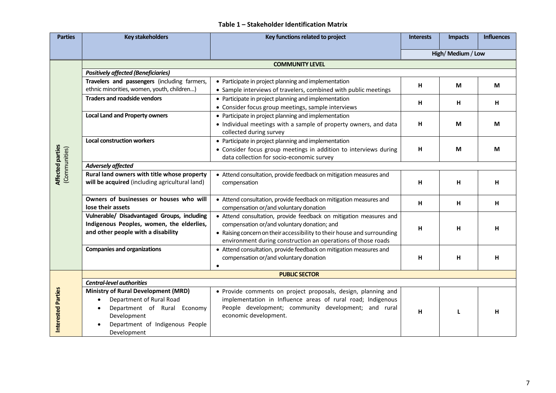#### **Table 1 – Stakeholder Identification Matrix**

| <b>Parties</b>                           | <b>Key stakeholders</b>                        | Key functions related to project                                        | <b>Interests</b> | <b>Impacts</b>  | <b>Influences</b> |  |
|------------------------------------------|------------------------------------------------|-------------------------------------------------------------------------|------------------|-----------------|-------------------|--|
|                                          |                                                |                                                                         |                  | High/Medium/Low |                   |  |
|                                          |                                                | <b>COMMUNITY LEVEL</b>                                                  |                  |                 |                   |  |
|                                          | <b>Positively affected (Beneficiaries)</b>     |                                                                         |                  |                 |                   |  |
|                                          | Travelers and passengers (including farmers,   | • Participate in project planning and implementation                    | н                | М               | М                 |  |
|                                          | ethnic minorities, women, youth, children)     | • Sample interviews of travelers, combined with public meetings         |                  |                 |                   |  |
|                                          | <b>Traders and roadside vendors</b>            | • Participate in project planning and implementation                    | н                | н               | H                 |  |
|                                          |                                                | • Consider focus group meetings, sample interviews                      |                  |                 |                   |  |
|                                          | <b>Local Land and Property owners</b>          | • Participate in project planning and implementation                    |                  |                 |                   |  |
|                                          |                                                | • Individual meetings with a sample of property owners, and data        | н                | M               | M                 |  |
|                                          |                                                | collected during survey                                                 |                  |                 |                   |  |
|                                          | <b>Local construction workers</b>              | • Participate in project planning and implementation                    |                  |                 |                   |  |
|                                          |                                                | • Consider focus group meetings in addition to interviews during        | н                | M               | M                 |  |
| <b>Affected parties</b><br>(Communities) |                                                | data collection for socio-economic survey                               |                  |                 |                   |  |
|                                          | <b>Adversely affected</b>                      |                                                                         |                  |                 |                   |  |
|                                          | Rural land owners with title whose property    | • Attend consultation, provide feedback on mitigation measures and      |                  |                 |                   |  |
|                                          | will be acquired (including agricultural land) | compensation                                                            | н                | H               | н                 |  |
|                                          |                                                |                                                                         |                  |                 |                   |  |
|                                          | Owners of businesses or houses who will        | • Attend consultation, provide feedback on mitigation measures and      | н                | н               | н                 |  |
|                                          | lose their assets                              | compensation or/and voluntary donation                                  |                  |                 |                   |  |
|                                          | Vulnerable/ Disadvantaged Groups, including    | • Attend consultation, provide feedback on mitigation measures and      |                  |                 |                   |  |
|                                          | Indigenous Peoples, women, the elderlies,      | compensation or/and voluntary donation; and                             | н                | H               | н                 |  |
|                                          | and other people with a disability             | • Raising concern on their accessibility to their house and surrounding |                  |                 |                   |  |
|                                          |                                                | environment during construction an operations of those roads            |                  |                 |                   |  |
|                                          | <b>Companies and organizations</b>             | • Attend consultation, provide feedback on mitigation measures and      |                  |                 |                   |  |
|                                          |                                                | compensation or/and voluntary donation                                  | н                | H               | н                 |  |
|                                          |                                                | $\bullet$<br><b>PUBLIC SECTOR</b>                                       |                  |                 |                   |  |
|                                          | <b>Central-level authorities</b>               |                                                                         |                  |                 |                   |  |
|                                          | <b>Ministry of Rural Development (MRD)</b>     | • Provide comments on project proposals, design, planning and           |                  |                 |                   |  |
|                                          | Department of Rural Road<br>$\bullet$          | implementation in Influence areas of rural road; Indigenous             |                  |                 |                   |  |
|                                          | Department of Rural Economy                    | People development; community development; and rural                    |                  |                 |                   |  |
| Interested Parties                       | Development                                    | economic development.                                                   | н                | L               | н                 |  |
|                                          | Department of Indigenous People                |                                                                         |                  |                 |                   |  |
|                                          | Development                                    |                                                                         |                  |                 |                   |  |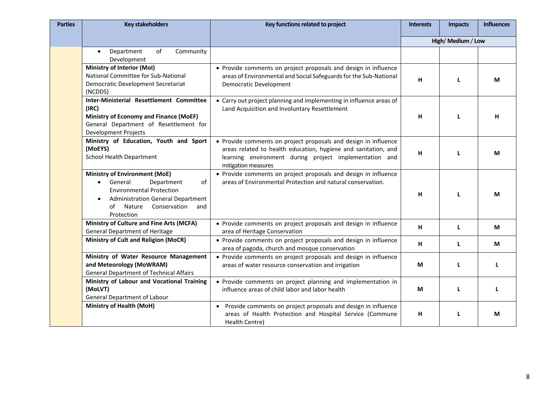| <b>Parties</b> | <b>Key stakeholders</b>                                                                                                                                                                                                           | Key functions related to project                                                                                                                                                                                   | <b>Interests</b> | <b>Impacts</b>  | <b>Influences</b> |
|----------------|-----------------------------------------------------------------------------------------------------------------------------------------------------------------------------------------------------------------------------------|--------------------------------------------------------------------------------------------------------------------------------------------------------------------------------------------------------------------|------------------|-----------------|-------------------|
|                |                                                                                                                                                                                                                                   |                                                                                                                                                                                                                    |                  | High/Medium/Low |                   |
|                | Community<br>of<br>Department<br>$\bullet$<br>Development                                                                                                                                                                         |                                                                                                                                                                                                                    |                  |                 |                   |
|                | <b>Ministry of Interior (MoI)</b><br>National Committee for Sub-National<br>Democratic Development Secretariat<br>(NCDDS)                                                                                                         | • Provide comments on project proposals and design in influence<br>areas of Environmental and Social Safeguards for the Sub-National<br>Democratic Development                                                     | H                | L               | М                 |
|                | Inter-Ministerial Resettlement Committee<br>(IRC)<br><b>Ministry of Economy and Finance (MoEF)</b><br>General Department of Resettlement for<br><b>Development Projects</b>                                                       | • Carry out project planning and implementing in influence areas of<br>Land Acquisition and Involuntary Resettlement                                                                                               | н                | L               | н                 |
|                | Ministry of Education, Youth and Sport<br>(MoEYS)<br><b>School Health Department</b>                                                                                                                                              | • Provide comments on project proposals and design in influence<br>areas related to health education, hygiene and sanitation, and<br>learning environment during project implementation and<br>mitigation measures | H                | L               | M                 |
|                | <b>Ministry of Environment (MoE)</b><br>General<br>Department<br>of<br>$\bullet$<br><b>Environmental Protection</b><br><b>Administration General Department</b><br>$\bullet$<br>Nature<br>Conservation<br>of<br>and<br>Protection | • Provide comments on project proposals and design in influence<br>areas of Environmental Protection and natural conservation.                                                                                     | H                | L               | М                 |
|                | Ministry of Culture and Fine Arts (MCFA)<br><b>General Department of Heritage</b>                                                                                                                                                 | • Provide comments on project proposals and design in influence<br>area of Heritage Conservation                                                                                                                   | н                | L               | M                 |
|                | <b>Ministry of Cult and Religion (MoCR)</b>                                                                                                                                                                                       | • Provide comments on project proposals and design in influence<br>area of pagoda, church and mosque conservation                                                                                                  | н                | L               | M                 |
|                | Ministry of Water Resource Management<br>and Meteorology (MoWRAM)<br><b>General Department of Technical Affairs</b>                                                                                                               | • Provide comments on project proposals and design in influence<br>areas of water resource conservation and irrigation                                                                                             | M                | L               | L                 |
|                | Ministry of Labour and Vocational Training<br>(MoLVT)<br>General Department of Labour                                                                                                                                             | • Provide comments on project planning and implementation in<br>influence areas of child labor and labor health                                                                                                    | M                | L               | L                 |
|                | Ministry of Health (MoH)                                                                                                                                                                                                          | • Provide comments on project proposals and design in influence<br>areas of Health Protection and Hospital Service (Commune<br>Health Centre)                                                                      | н                | L               | M                 |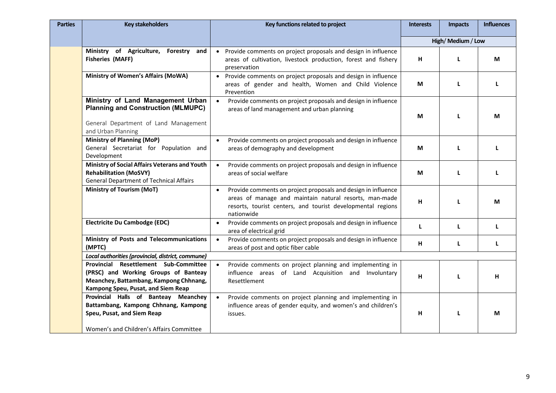| <b>Parties</b> | <b>Key stakeholders</b>                                                                                                                                       | Key functions related to project                                                                                                                                                                                  | <b>Interests</b> | <b>Impacts</b>  | <b>Influences</b> |
|----------------|---------------------------------------------------------------------------------------------------------------------------------------------------------------|-------------------------------------------------------------------------------------------------------------------------------------------------------------------------------------------------------------------|------------------|-----------------|-------------------|
|                |                                                                                                                                                               |                                                                                                                                                                                                                   |                  | High/Medium/Low |                   |
|                | Ministry of Agriculture, Forestry and<br><b>Fisheries (MAFF)</b>                                                                                              | Provide comments on project proposals and design in influence<br>$\bullet$<br>areas of cultivation, livestock production, forest and fishery<br>preservation                                                      | H                | L               | M                 |
|                | <b>Ministry of Women's Affairs (MoWA)</b>                                                                                                                     | Provide comments on project proposals and design in influence<br>$\bullet$<br>areas of gender and health, Women and Child Violence<br>Prevention                                                                  | M                | L               | L                 |
|                | Ministry of Land Management Urban<br><b>Planning and Construction (MLMUPC)</b><br>General Department of Land Management<br>and Urban Planning                 | Provide comments on project proposals and design in influence<br>$\bullet$<br>areas of land management and urban planning                                                                                         | M                | L               | М                 |
|                | <b>Ministry of Planning (MoP)</b><br>General Secretariat for Population and<br>Development                                                                    | Provide comments on project proposals and design in influence<br>areas of demography and development                                                                                                              | M                | L               | L                 |
|                | Ministry of Social Affairs Veterans and Youth<br><b>Rehabilitation (MoSVY)</b><br><b>General Department of Technical Affairs</b>                              | Provide comments on project proposals and design in influence<br>$\bullet$<br>areas of social welfare                                                                                                             | M                | L               | п                 |
|                | <b>Ministry of Tourism (MoT)</b>                                                                                                                              | Provide comments on project proposals and design in influence<br>$\bullet$<br>areas of manage and maintain natural resorts, man-made<br>resorts, tourist centers, and tourist developmental regions<br>nationwide | H                | L               | М                 |
|                | <b>Electricite Du Cambodge (EDC)</b>                                                                                                                          | Provide comments on project proposals and design in influence<br>$\bullet$<br>area of electrical grid                                                                                                             | L                | L               | L                 |
|                | Ministry of Posts and Telecommunications<br>(MPTC)                                                                                                            | Provide comments on project proposals and design in influence<br>$\bullet$<br>areas of post and optic fiber cable                                                                                                 | н                | L               | L                 |
|                | Local authorities (provincial, district, commune)                                                                                                             |                                                                                                                                                                                                                   |                  |                 |                   |
|                | Provincial Resettlement Sub-Committee<br>(PRSC) and Working Groups of Banteay<br>Meanchey, Battambang, Kampong Chhnang,<br>Kampong Speu, Pusat, and Siem Reap | Provide comments on project planning and implementing in<br>influence areas of Land Acquisition and Involuntary<br>Resettlement                                                                                   | н                | L               | н                 |
|                | Provincial Halls of Banteay Meanchey<br>Battambang, Kampong Chhnang, Kampong<br>Speu, Pusat, and Siem Reap<br>Women's and Children's Affairs Committee        | Provide comments on project planning and implementing in<br>influence areas of gender equity, and women's and children's<br>issues.                                                                               | н                | L               | М                 |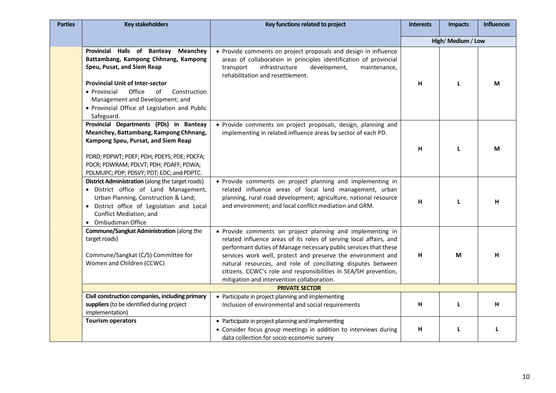| <b>Parties</b> | <b>Key stakeholders</b>                                                                                                                                                                                                                                                                                          | Key functions related to project                                                                                                                                                                                                                                                                                                                                                                                                                       | <b>Interests</b> | <b>Impacts</b>  | <b>Influences</b> |
|----------------|------------------------------------------------------------------------------------------------------------------------------------------------------------------------------------------------------------------------------------------------------------------------------------------------------------------|--------------------------------------------------------------------------------------------------------------------------------------------------------------------------------------------------------------------------------------------------------------------------------------------------------------------------------------------------------------------------------------------------------------------------------------------------------|------------------|-----------------|-------------------|
|                |                                                                                                                                                                                                                                                                                                                  |                                                                                                                                                                                                                                                                                                                                                                                                                                                        |                  | High/Medium/Low |                   |
|                | Provincial Halls of Banteay<br><b>Meanchey</b><br>Battambang, Kampong Chhnang, Kampong<br>Speu, Pusat, and Siem Reap<br><b>Provincial Unit of Inter-sector</b><br>Office<br>• Provincial<br>of<br>Construction<br>Management and Development; and<br>• Provincial Office of Legislation and Public<br>Safeguard. | • Provide comments on project proposals and design in influence<br>areas of collaboration in principles identification of provincial<br>infrastructure<br>development,<br>maintenance,<br>transport<br>rehabilitation and resettlement.                                                                                                                                                                                                                | H                | L               | M                 |
|                | Provincial Departments (PDs) in Banteay<br>Meanchey, Battambang, Kampong Chhnang,<br>Kampong Speu, Pursat, and Siem Reap<br>PDRD; PDPWT; PDEF; PDH; PDEYS; PDE; PDCFA;<br>PDCR; PDWRAM; PDLVT; PDH; PDAFF; PDWA;<br>PDLMUPC; PDP; PDSVY; PDT; EDC; and PDPTC.                                                    | • Provide comments on project proposals, design, planning and<br>implementing in related influence areas by sector of each PD.                                                                                                                                                                                                                                                                                                                         | H                | L               | М                 |
|                | <b>District Administration</b> (along the target roads)<br>· District office of Land Management,<br>Urban Planning, Construction & Land;<br>District office of Legislation and Local<br>Conflict Mediation; and<br>Ombudsman Office                                                                              | • Provide comments on project planning and implementing in<br>related influence areas of local land management, urban<br>planning, rural road development; agriculture, national resource<br>and environment; and local conflict mediation and GRM.                                                                                                                                                                                                    | H                | L               | н                 |
|                | Commune/Sangkat Administration (along the<br>target roads)<br>Commune/Sangkat (C/S) Committee for<br>Women and Children (CCWC)                                                                                                                                                                                   | • Provide comments on project planning and implementing in<br>related influence areas of its roles of serving local affairs, and<br>performant duties of Manage necessary public services that these<br>services work well, protect and preserve the environment and<br>natural resources, and role of conciliating disputes between<br>citizens. CCWC's role and responsibilities in SEA/SH prevention,<br>mitigation and intervention collaboration. | H                | M               | н                 |
|                |                                                                                                                                                                                                                                                                                                                  | <b>PRIVATE SECTOR</b>                                                                                                                                                                                                                                                                                                                                                                                                                                  |                  |                 |                   |
|                | Civil construction companies, including primary<br>suppliers (to be identified during project<br>implementation)                                                                                                                                                                                                 | • Participate in project planning and implementing<br>Inclusion of environmental and social requirements                                                                                                                                                                                                                                                                                                                                               | H                | L               | H                 |
|                | <b>Tourism operators</b>                                                                                                                                                                                                                                                                                         | • Participate in project planning and implementing<br>• Consider focus group meetings in addition to interviews during<br>data collection for socio-economic survey                                                                                                                                                                                                                                                                                    | H                | L               | L                 |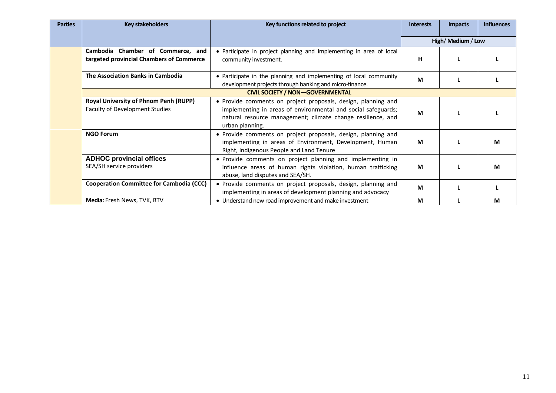| <b>Parties</b> | <b>Key stakeholders</b>                                                               | Key functions related to project                                                                                                                                                                                 | <b>Interests</b> | <b>Impacts</b>  | <b>Influences</b> |
|----------------|---------------------------------------------------------------------------------------|------------------------------------------------------------------------------------------------------------------------------------------------------------------------------------------------------------------|------------------|-----------------|-------------------|
|                |                                                                                       |                                                                                                                                                                                                                  |                  | High/Medium/Low |                   |
|                | Chamber of Commerce, and<br>Cambodia<br>targeted provincial Chambers of Commerce      | • Participate in project planning and implementing in area of local<br>community investment.                                                                                                                     | н                | L               |                   |
|                | The Association Banks in Cambodia                                                     | • Participate in the planning and implementing of local community<br>development projects through banking and micro-finance.                                                                                     | M                |                 |                   |
|                |                                                                                       | <b>CIVIL SOCIETY / NON-GOVERNMENTAL</b>                                                                                                                                                                          |                  |                 |                   |
|                | <b>Royal University of Phnom Penh (RUPP)</b><br><b>Faculty of Development Studies</b> | • Provide comments on project proposals, design, planning and<br>implementing in areas of environmental and social safeguards;<br>natural resource management; climate change resilience, and<br>urban planning. | M                |                 |                   |
|                | <b>NGO Forum</b>                                                                      | • Provide comments on project proposals, design, planning and<br>implementing in areas of Environment, Development, Human<br>Right, Indigenous People and Land Tenure                                            | M                |                 | M                 |
|                | <b>ADHOC provincial offices</b><br>SEA/SH service providers                           | • Provide comments on project planning and implementing in<br>influence areas of human rights violation, human trafficking<br>abuse, land disputes and SEA/SH.                                                   | M                |                 | M                 |
|                | <b>Cooperation Committee for Cambodia (CCC)</b>                                       | • Provide comments on project proposals, design, planning and<br>implementing in areas of development planning and advocacy                                                                                      | M                |                 |                   |
|                | Media: Fresh News, TVK, BTV                                                           | • Understand new road improvement and make investment                                                                                                                                                            | M                |                 | M                 |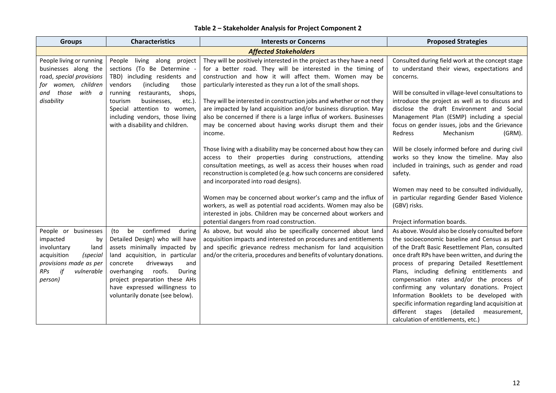| <b>Groups</b>                                                                                                                                            | <b>Characteristics</b>                                                                                                                                                                                                                                                                                            | <b>Interests or Concerns</b>                                                                                                                                                                                                                                                                                                                                                                                                                                                                                                                                         | <b>Proposed Strategies</b>                                                                                                                                                                                                                                                                                                                                                                                                                                                                                                                                                                |  |  |  |  |  |  |
|----------------------------------------------------------------------------------------------------------------------------------------------------------|-------------------------------------------------------------------------------------------------------------------------------------------------------------------------------------------------------------------------------------------------------------------------------------------------------------------|----------------------------------------------------------------------------------------------------------------------------------------------------------------------------------------------------------------------------------------------------------------------------------------------------------------------------------------------------------------------------------------------------------------------------------------------------------------------------------------------------------------------------------------------------------------------|-------------------------------------------------------------------------------------------------------------------------------------------------------------------------------------------------------------------------------------------------------------------------------------------------------------------------------------------------------------------------------------------------------------------------------------------------------------------------------------------------------------------------------------------------------------------------------------------|--|--|--|--|--|--|
|                                                                                                                                                          | <b>Affected Stakeholders</b>                                                                                                                                                                                                                                                                                      |                                                                                                                                                                                                                                                                                                                                                                                                                                                                                                                                                                      |                                                                                                                                                                                                                                                                                                                                                                                                                                                                                                                                                                                           |  |  |  |  |  |  |
| People living or running<br>businesses along the<br>road, special provisions<br>for women, children<br>with a<br>and those<br>disability                 | along project<br>People<br>living<br>sections (To Be Determine -<br>TBD) including residents and<br>vendors<br>(including)<br>those<br>running<br>restaurants,<br>shops,<br>tourism<br>businesses,<br>etc.).<br>Special attention to women,<br>including vendors, those living<br>with a disability and children. | They will be positively interested in the project as they have a need<br>for a better road. They will be interested in the timing of<br>construction and how it will affect them. Women may be<br>particularly interested as they run a lot of the small shops.<br>They will be interested in construction jobs and whether or not they<br>are impacted by land acquisition and/or business disruption. May<br>also be concerned if there is a large influx of workers. Businesses<br>may be concerned about having works disrupt them and their<br>income.          | Consulted during field work at the concept stage<br>to understand their views, expectations and<br>concerns.<br>Will be consulted in village-level consultations to<br>introduce the project as well as to discuss and<br>disclose the draft Environment and Social<br>Management Plan (ESMP) including a special<br>focus on gender issues, jobs and the Grievance<br>Redress<br>Mechanism<br>(GRM).                                                                                                                                                                                     |  |  |  |  |  |  |
|                                                                                                                                                          |                                                                                                                                                                                                                                                                                                                   | Those living with a disability may be concerned about how they can<br>access to their properties during constructions, attending<br>consultation meetings, as well as access their houses when road<br>reconstruction is completed (e.g. how such concerns are considered<br>and incorporated into road designs).<br>Women may be concerned about worker's camp and the influx of<br>workers, as well as potential road accidents. Women may also be<br>interested in jobs. Children may be concerned about workers and<br>potential dangers from road construction. | Will be closely informed before and during civil<br>works so they know the timeline. May also<br>included in trainings, such as gender and road<br>safety.<br>Women may need to be consulted individually,<br>in particular regarding Gender Based Violence<br>(GBV) risks.<br>Project information boards.                                                                                                                                                                                                                                                                                |  |  |  |  |  |  |
| People or businesses<br>impacted<br>by<br>involuntary<br>land<br>acquisition<br>(special<br>provisions made as per<br>if<br>RPs<br>vulnerable<br>person) | confirmed<br>(to<br>be<br>during<br>Detailed Design) who will have<br>assets minimally impacted by<br>land acquisition, in particular<br>concrete<br>driveways<br>and<br>roofs.<br>During<br>overhanging<br>project preparation these AHs<br>have expressed willingness to<br>voluntarily donate (see below).     | As above, but would also be specifically concerned about land<br>acquisition impacts and interested on procedures and entitlements<br>and specific grievance redress mechanism for land acquisition<br>and/or the criteria, procedures and benefits of voluntary donations.                                                                                                                                                                                                                                                                                          | As above. Would also be closely consulted before<br>the socioeconomic baseline and Census as part<br>of the Draft Basic Resettlement Plan, consulted<br>once draft RPs have been written, and during the<br>process of preparing Detailed Resettlement<br>Plans, including defining entitlements and<br>compensation rates and/or the process of<br>confirming any voluntary donations. Project<br>Information Booklets to be developed with<br>specific information regarding land acquisition at<br>different<br>stages (detailed<br>measurement,<br>calculation of entitlements, etc.) |  |  |  |  |  |  |

#### **Table 2 – Stakeholder Analysis for Project Component 2**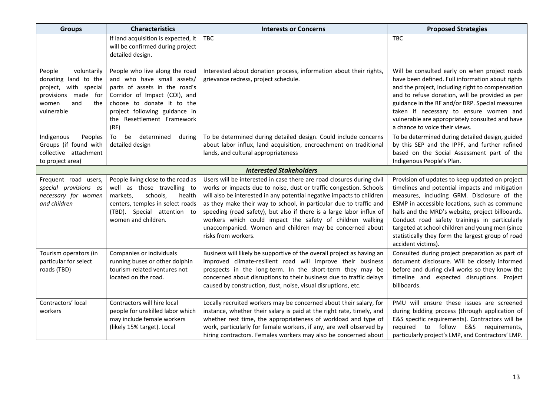| <b>Characteristics</b><br><b>Groups</b>                                                                                            |                                                                                                                                                                                                                                     | <b>Interests or Concerns</b>                                                                                                                                                                                                                                                                                                                                                                                                                                                                                       | <b>Proposed Strategies</b>                                                                                                                                                                                                                                                                                                                                                                                                           |  |
|------------------------------------------------------------------------------------------------------------------------------------|-------------------------------------------------------------------------------------------------------------------------------------------------------------------------------------------------------------------------------------|--------------------------------------------------------------------------------------------------------------------------------------------------------------------------------------------------------------------------------------------------------------------------------------------------------------------------------------------------------------------------------------------------------------------------------------------------------------------------------------------------------------------|--------------------------------------------------------------------------------------------------------------------------------------------------------------------------------------------------------------------------------------------------------------------------------------------------------------------------------------------------------------------------------------------------------------------------------------|--|
|                                                                                                                                    | If land acquisition is expected, it<br>will be confirmed during project<br>detailed design.                                                                                                                                         | <b>TBC</b>                                                                                                                                                                                                                                                                                                                                                                                                                                                                                                         | <b>TBC</b>                                                                                                                                                                                                                                                                                                                                                                                                                           |  |
| People<br>voluntarily<br>donating land to the<br>project, with special<br>provisions made for<br>the<br>and<br>women<br>vulnerable | People who live along the road<br>and who have small assets/<br>parts of assets in the road's<br>Corridor of Impact (COI), and<br>choose to donate it to the<br>project following guidance in<br>the Resettlement Framework<br>(RF) | Interested about donation process, information about their rights,<br>grievance redress, project schedule.                                                                                                                                                                                                                                                                                                                                                                                                         | Will be consulted early on when project roads<br>have been defined. Full information about rights<br>and the project, including right to compensation<br>and to refuse donation, will be provided as per<br>guidance in the RF and/or BRP. Special measures<br>taken if necessary to ensure women and<br>vulnerable are appropriately consulted and have<br>a chance to voice their views.                                           |  |
| Indigenous<br>Peoples<br>Groups (if found with<br>collective attachment<br>to project area)                                        | be<br>determined<br>To<br>during<br>detailed design                                                                                                                                                                                 | To be determined during detailed design. Could include concerns<br>about labor influx, land acquisition, encroachment on traditional<br>lands, and cultural appropriateness                                                                                                                                                                                                                                                                                                                                        | To be determined during detailed design, guided<br>by this SEP and the IPPF, and further refined<br>based on the Social Assessment part of the<br>Indigenous People's Plan.                                                                                                                                                                                                                                                          |  |
|                                                                                                                                    |                                                                                                                                                                                                                                     | <b>Interested Stakeholders</b>                                                                                                                                                                                                                                                                                                                                                                                                                                                                                     |                                                                                                                                                                                                                                                                                                                                                                                                                                      |  |
| Frequent road users,<br>special provisions as<br>necessary for women<br>and children                                               | People living close to the road as<br>well as those travelling to<br>markets,<br>schools,<br>health<br>centers, temples in select roads<br>(TBD). Special attention to<br>women and children.                                       | Users will be interested in case there are road closures during civil<br>works or impacts due to noise, dust or traffic congestion. Schools<br>will also be interested in any potential negative impacts to children<br>as they make their way to school, in particular due to traffic and<br>speeding (road safety), but also if there is a large labor influx of<br>workers which could impact the safety of children walking<br>unaccompanied. Women and children may be concerned about<br>risks from workers. | Provision of updates to keep updated on project<br>timelines and potential impacts and mitigation<br>measures, including GRM. Disclosure of the<br>ESMP in accessible locations, such as commune<br>halls and the MRD's website, project billboards.<br>Conduct road safety trainings in particularly<br>targeted at school children and young men (since<br>statistically they form the largest group of road<br>accident victims). |  |
| Tourism operators (in<br>particular for select<br>roads (TBD)                                                                      | Companies or individuals<br>running buses or other dolphin<br>tourism-related ventures not<br>located on the road.                                                                                                                  | Business will likely be supportive of the overall project as having an<br>improved climate-resilient road will improve their business<br>prospects in the long-term. In the short-term they may be<br>concerned about disruptions to their business due to traffic delays<br>caused by construction, dust, noise, visual disruptions, etc.                                                                                                                                                                         | Consulted during project preparation as part of<br>document disclosure. Will be closely informed<br>before and during civil works so they know the<br>timeline and expected disruptions. Project<br>billboards.                                                                                                                                                                                                                      |  |
| Contractors' local<br>workers                                                                                                      | Contractors will hire local<br>people for unskilled labor which<br>may include female workers<br>(likely 15% target). Local                                                                                                         | Locally recruited workers may be concerned about their salary, for<br>instance, whether their salary is paid at the right rate, timely, and<br>whether rest time, the appropriateness of workload and type of<br>work, particularly for female workers, if any, are well observed by<br>hiring contractors. Females workers may also be concerned about                                                                                                                                                            | PMU will ensure these issues are screened<br>during bidding process (through application of<br>E&S specific requirements). Contractors will be<br>required to follow E&S requirements,<br>particularly project's LMP, and Contractors' LMP.                                                                                                                                                                                          |  |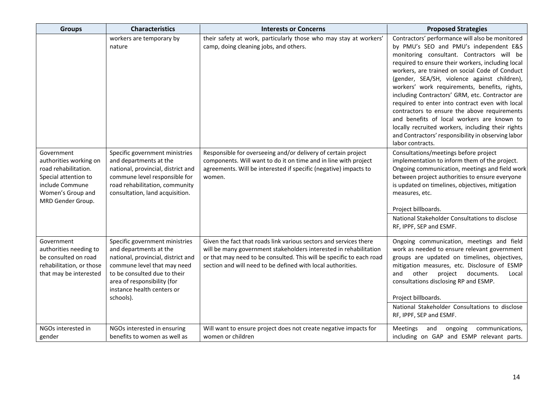| <b>Groups</b>                                                                                                                                     | <b>Characteristics</b>                                                                                                                                                                                                                  | <b>Interests or Concerns</b>                                                                                                                                                                                                                                                  | <b>Proposed Strategies</b>                                                                                                                                                                                                                                                                                                                                                                                                                                                                                                                                                                                                                                                         |  |  |
|---------------------------------------------------------------------------------------------------------------------------------------------------|-----------------------------------------------------------------------------------------------------------------------------------------------------------------------------------------------------------------------------------------|-------------------------------------------------------------------------------------------------------------------------------------------------------------------------------------------------------------------------------------------------------------------------------|------------------------------------------------------------------------------------------------------------------------------------------------------------------------------------------------------------------------------------------------------------------------------------------------------------------------------------------------------------------------------------------------------------------------------------------------------------------------------------------------------------------------------------------------------------------------------------------------------------------------------------------------------------------------------------|--|--|
|                                                                                                                                                   | workers are temporary by<br>nature                                                                                                                                                                                                      | their safety at work, particularly those who may stay at workers'<br>camp, doing cleaning jobs, and others.                                                                                                                                                                   | Contractors' performance will also be monitored<br>by PMU's SEO and PMU's independent E&S<br>monitoring consultant. Contractors will be<br>required to ensure their workers, including local<br>workers, are trained on social Code of Conduct<br>(gender, SEA/SH, violence against children),<br>workers' work requirements, benefits, rights,<br>including Contractors' GRM, etc. Contractor are<br>required to enter into contract even with local<br>contractors to ensure the above requirements<br>and benefits of local workers are known to<br>locally recruited workers, including their rights<br>and Contractors' responsibility in observing labor<br>labor contracts. |  |  |
| Government<br>authorities working on<br>road rehabilitation.<br>Special attention to<br>include Commune<br>Women's Group and<br>MRD Gender Group. | Specific government ministries<br>and departments at the<br>national, provincial, district and<br>commune level responsible for<br>road rehabilitation, community<br>consultation, land acquisition.                                    | Responsible for overseeing and/or delivery of certain project<br>components. Will want to do it on time and in line with project<br>agreements. Will be interested if specific (negative) impacts to<br>women.                                                                | Consultations/meetings before project<br>implementation to inform them of the project.<br>Ongoing communication, meetings and field work<br>between project authorities to ensure everyone<br>is updated on timelines, objectives, mitigation<br>measures, etc.<br>Project billboards.<br>National Stakeholder Consultations to disclose<br>RF, IPPF, SEP and ESMF.                                                                                                                                                                                                                                                                                                                |  |  |
| Government<br>authorities needing to<br>be consulted on road<br>rehabilitation, or those<br>that may be interested                                | Specific government ministries<br>and departments at the<br>national, provincial, district and<br>commune level that may need<br>to be consulted due to their<br>area of responsibility (for<br>instance health centers or<br>schools). | Given the fact that roads link various sectors and services there<br>will be many government stakeholders interested in rehabilitation<br>or that may need to be consulted. This will be specific to each road<br>section and will need to be defined with local authorities. | Ongoing communication, meetings and field<br>work as needed to ensure relevant government<br>groups are updated on timelines, objectives,<br>mitigation measures, etc. Disclosure of ESMP<br>and<br>other<br>project<br>documents.<br>Local<br>consultations disclosing RP and ESMP.<br>Project billboards.<br>National Stakeholder Consultations to disclose<br>RF, IPPF, SEP and ESMF.                                                                                                                                                                                                                                                                                           |  |  |
| NGOs interested in<br>gender                                                                                                                      | NGOs interested in ensuring<br>benefits to women as well as                                                                                                                                                                             | Will want to ensure project does not create negative impacts for<br>women or children                                                                                                                                                                                         | Meetings<br>and<br>ongoing<br>communications,<br>including on GAP and ESMP relevant parts.                                                                                                                                                                                                                                                                                                                                                                                                                                                                                                                                                                                         |  |  |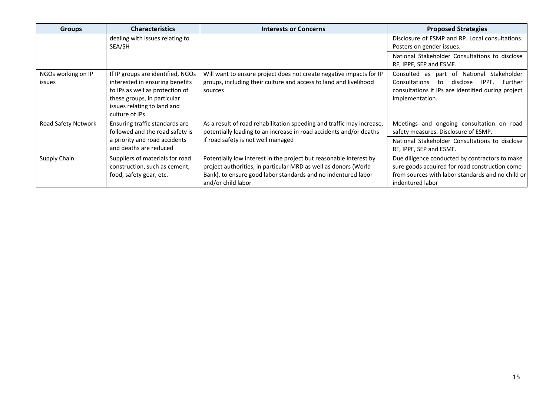| <b>Groups</b>                                           | <b>Characteristics</b>                                                                                                                                                                                           | <b>Interests or Concerns</b>                                                                                                                                                                                                 | <b>Proposed Strategies</b>                                                                                                                                                |
|---------------------------------------------------------|------------------------------------------------------------------------------------------------------------------------------------------------------------------------------------------------------------------|------------------------------------------------------------------------------------------------------------------------------------------------------------------------------------------------------------------------------|---------------------------------------------------------------------------------------------------------------------------------------------------------------------------|
|                                                         | dealing with issues relating to<br>SEA/SH                                                                                                                                                                        |                                                                                                                                                                                                                              | Disclosure of ESMP and RP. Local consultations.<br>Posters on gender issues.                                                                                              |
|                                                         |                                                                                                                                                                                                                  |                                                                                                                                                                                                                              | National Stakeholder Consultations to disclose<br>RF, IPPF, SEP and ESMF.                                                                                                 |
| NGOs working on IP<br>issues                            | If IP groups are identified, NGOs<br>interested in ensuring benefits<br>to IPs as well as protection of<br>these groups, in particular<br>issues relating to land and<br>culture of IPs                          | Will want to ensure project does not create negative impacts for IP<br>groups, including their culture and access to land and livelihood<br>sources                                                                          | Consulted as part of National Stakeholder<br>Consultations<br>Further<br>disclose<br>IPPF.<br>to<br>consultations if IPs are identified during project<br>implementation. |
| Road Safety Network                                     | Ensuring traffic standards are<br>As a result of road rehabilitation speeding and traffic may increase,<br>potentially leading to an increase in road accidents and/or deaths<br>followed and the road safety is |                                                                                                                                                                                                                              | Meetings and ongoing consultation on road<br>safety measures. Disclosure of ESMP.                                                                                         |
| a priority and road accidents<br>and deaths are reduced |                                                                                                                                                                                                                  | if road safety is not well managed                                                                                                                                                                                           | National Stakeholder Consultations to disclose<br>RF, IPPF, SEP and ESMF.                                                                                                 |
| Supply Chain                                            | Suppliers of materials for road<br>construction, such as cement,<br>food, safety gear, etc.                                                                                                                      | Potentially low interest in the project but reasonable interest by<br>project authorities, in particular MRD as well as donors (World<br>Bank), to ensure good labor standards and no indentured labor<br>and/or child labor | Due diligence conducted by contractors to make<br>sure goods acquired for road construction come<br>from sources with labor standards and no child or<br>indentured labor |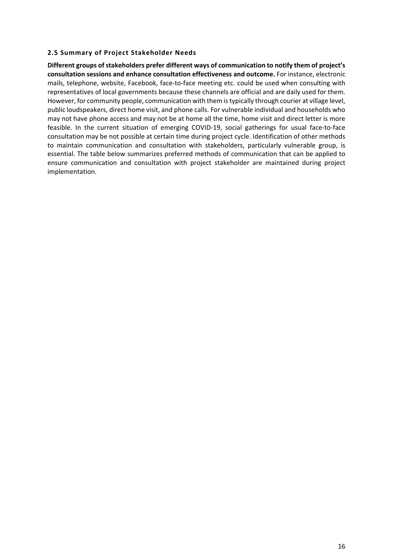#### **2.5 Summary of Project Stakeholder Needs**

**Different groups of stakeholders prefer different ways of communication to notify them of project's consultation sessions and enhance consultation effectiveness and outcome.** For instance, electronic mails, telephone, website, Facebook, face-to-face meeting etc. could be used when consulting with representatives of local governments because these channels are official and are daily used for them. However, for community people, communication with them is typically through courier at village level, public loudspeakers, direct home visit, and phone calls. For vulnerable individual and households who may not have phone access and may not be at home all the time, home visit and direct letter is more feasible. In the current situation of emerging COVID‐19, social gatherings for usual face‐to‐face consultation may be not possible at certain time during project cycle. Identification of other methods to maintain communication and consultation with stakeholders, particularly vulnerable group, is essential. The table below summarizes preferred methods of communication that can be applied to ensure communication and consultation with project stakeholder are maintained during project implementation.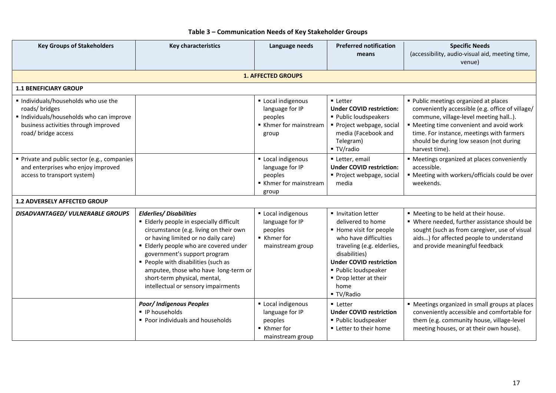| <b>Key Groups of Stakeholders</b>                                                                                                                             | <b>Key characteristics</b>                                                                                                                                                                                                                                                                                                                                                              | Language needs                                                                    | <b>Preferred notification</b><br>means                                                                                                                                                                                                            | <b>Specific Needs</b><br>(accessibility, audio-visual aid, meeting time,                                                                                                                                                                                                                 |
|---------------------------------------------------------------------------------------------------------------------------------------------------------------|-----------------------------------------------------------------------------------------------------------------------------------------------------------------------------------------------------------------------------------------------------------------------------------------------------------------------------------------------------------------------------------------|-----------------------------------------------------------------------------------|---------------------------------------------------------------------------------------------------------------------------------------------------------------------------------------------------------------------------------------------------|------------------------------------------------------------------------------------------------------------------------------------------------------------------------------------------------------------------------------------------------------------------------------------------|
|                                                                                                                                                               |                                                                                                                                                                                                                                                                                                                                                                                         |                                                                                   |                                                                                                                                                                                                                                                   | venue)                                                                                                                                                                                                                                                                                   |
|                                                                                                                                                               |                                                                                                                                                                                                                                                                                                                                                                                         | <b>1. AFFECTED GROUPS</b>                                                         |                                                                                                                                                                                                                                                   |                                                                                                                                                                                                                                                                                          |
| <b>1.1 BENEFICIARY GROUP</b>                                                                                                                                  |                                                                                                                                                                                                                                                                                                                                                                                         |                                                                                   |                                                                                                                                                                                                                                                   |                                                                                                                                                                                                                                                                                          |
| Individuals/households who use the<br>roads/ bridges<br>Individuals/households who can improve<br>business activities through improved<br>road/ bridge access |                                                                                                                                                                                                                                                                                                                                                                                         | Local indigenous<br>language for IP<br>peoples<br>Khmer for mainstream<br>group   | <b>Letter</b><br><b>Under COVID restriction:</b><br>■ Public loudspeakers<br>Project webpage, social<br>media (Facebook and<br>Telegram)<br>■ TV/radio                                                                                            | ■ Public meetings organized at places<br>conveniently accessible (e.g. office of village/<br>commune, village-level meeting hall).<br>" Meeting time convenient and avoid work<br>time. For instance, meetings with farmers<br>should be during low season (not during<br>harvest time). |
| Private and public sector (e.g., companies<br>and enterprises who enjoy improved<br>access to transport system)                                               |                                                                                                                                                                                                                                                                                                                                                                                         | Local indigenous<br>language for IP<br>peoples<br>■ Khmer for mainstream<br>group | Letter, email<br><b>Under COVID restriction:</b><br>Project webpage, social<br>media                                                                                                                                                              | • Meetings organized at places conveniently<br>accessible.<br>" Meeting with workers/officials could be over<br>weekends.                                                                                                                                                                |
| <b>1.2 ADVERSELY AFFECTED GROUP</b>                                                                                                                           |                                                                                                                                                                                                                                                                                                                                                                                         |                                                                                   |                                                                                                                                                                                                                                                   |                                                                                                                                                                                                                                                                                          |
| <b>DISADVANTAGED/ VULNERABLE GROUPS</b>                                                                                                                       | <b>Elderlies/ Disabilities</b><br>■ Elderly people in especially difficult<br>circumstance (e.g. living on their own<br>or having limited or no daily care)<br>Elderly people who are covered under<br>government's support program<br>People with disabilities (such as<br>amputee, those who have long-term or<br>short-term physical, mental,<br>intellectual or sensory impairments | Local indigenous<br>language for IP<br>peoples<br>■ Khmer for<br>mainstream group | Invitation letter<br>delivered to home<br>■ Home visit for people<br>who have difficulties<br>traveling (e.g. elderlies,<br>disabilities)<br><b>Under COVID restriction</b><br>· Public loudspeaker<br>Drop letter at their<br>home<br>■ TV/Radio | ■ Meeting to be held at their house.<br>• Where needed, further assistance should be<br>sought (such as from caregiver, use of visual<br>aids) for affected people to understand<br>and provide meaningful feedback                                                                      |
|                                                                                                                                                               | <b>Poor/Indigenous Peoples</b><br>• IP households<br>Poor individuals and households                                                                                                                                                                                                                                                                                                    | Local indigenous<br>language for IP<br>peoples<br>■ Khmer for<br>mainstream group | • Letter<br><b>Under COVID restriction</b><br>■ Public loudspeaker<br>■ Letter to their home                                                                                                                                                      | • Meetings organized in small groups at places<br>conveniently accessible and comfortable for<br>them (e.g. community house, village-level<br>meeting houses, or at their own house).                                                                                                    |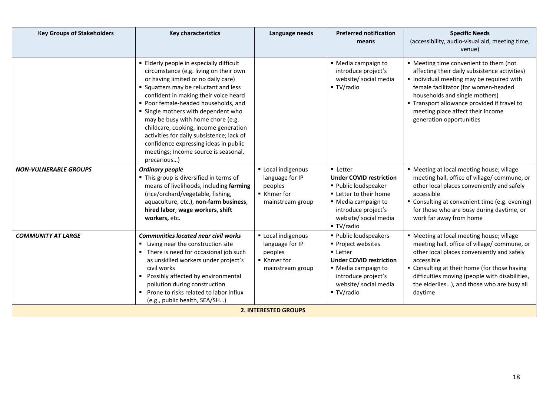| <b>Key Groups of Stakeholders</b> | <b>Key characteristics</b>                                                                                                                                                                                                                                                                                                                                                                                                                                                                                        | Language needs                                                                                 | <b>Preferred notification</b><br>means                                                                                                                                                 | <b>Specific Needs</b><br>(accessibility, audio-visual aid, meeting time,<br>venue)                                                                                                                                                                                                                                           |  |  |
|-----------------------------------|-------------------------------------------------------------------------------------------------------------------------------------------------------------------------------------------------------------------------------------------------------------------------------------------------------------------------------------------------------------------------------------------------------------------------------------------------------------------------------------------------------------------|------------------------------------------------------------------------------------------------|----------------------------------------------------------------------------------------------------------------------------------------------------------------------------------------|------------------------------------------------------------------------------------------------------------------------------------------------------------------------------------------------------------------------------------------------------------------------------------------------------------------------------|--|--|
|                                   | Elderly people in especially difficult<br>circumstance (e.g. living on their own<br>or having limited or no daily care)<br>• Squatters may be reluctant and less<br>confident in making their voice heard<br>Poor female-headed households, and<br>" Single mothers with dependent who<br>may be busy with home chore (e.g.<br>childcare, cooking, income generation<br>activities for daily subsistence; lack of<br>confidence expressing ideas in public<br>meetings; Income source is seasonal,<br>precarious) |                                                                                                | ■ Media campaign to<br>introduce project's<br>website/ social media<br>■ TV/radio                                                                                                      | " Meeting time convenient to them (not<br>affecting their daily subsistence activities)<br>Individual meeting may be required with<br>female facilitator (for women-headed<br>households and single mothers)<br>" Transport allowance provided if travel to<br>meeting place affect their income<br>generation opportunities |  |  |
| <b>NON-VULNERABLE GROUPS</b>      | <b>Ordinary people</b><br>" This group is diversified in terms of<br>means of livelihoods, including farming<br>(rice/orchard/vegetable, fishing,<br>aquaculture, etc.), non-farm business,<br>hired labor; wage workers, shift<br>workers, etc.                                                                                                                                                                                                                                                                  | Local indigenous<br>language for IP<br>peoples<br>■ Khmer for<br>mainstream group              | <b>Letter</b><br><b>Under COVID restriction</b><br>■ Public loudspeaker<br>■ Letter to their home<br>■ Media campaign to<br>introduce project's<br>website/ social media<br>■ TV/radio | " Meeting at local meeting house; village<br>meeting hall, office of village/ commune, or<br>other local places conveniently and safely<br>accessible<br>" Consulting at convenient time (e.g. evening)<br>for those who are busy during daytime, or<br>work far away from home                                              |  |  |
| <b>COMMUNITY AT LARGE</b>         | <b>Communities located near civil works</b><br>■ Living near the construction site<br>• There is need for occasional job such<br>as unskilled workers under project's<br>civil works<br>• Possibly affected by environmental<br>pollution during construction<br>Prone to risks related to labor influx<br>(e.g., public health, SEA/SH)                                                                                                                                                                          | Local indigenous<br>language for IP<br>peoples<br>$\blacksquare$ Khmer for<br>mainstream group | ■ Public loudspeakers<br>■ Project websites<br><b>Letter</b><br><b>Under COVID restriction</b><br>■ Media campaign to<br>introduce project's<br>website/ social media<br>■ TV/radio    | " Meeting at local meeting house; village<br>meeting hall, office of village/ commune, or<br>other local places conveniently and safely<br>accessible<br>" Consulting at their home (for those having<br>difficulties moving (people with disabilities,<br>the elderlies), and those who are busy all<br>daytime             |  |  |
| <b>2. INTERESTED GROUPS</b>       |                                                                                                                                                                                                                                                                                                                                                                                                                                                                                                                   |                                                                                                |                                                                                                                                                                                        |                                                                                                                                                                                                                                                                                                                              |  |  |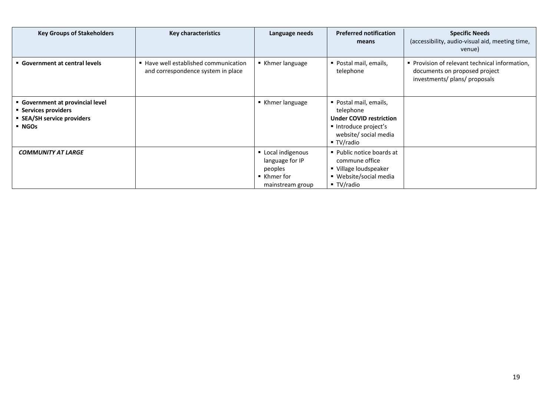| <b>Key Groups of Stakeholders</b>                                                              | <b>Key characteristics</b>                                                  | Language needs                                                                    | <b>Preferred notification</b><br>means                                                                                              | <b>Specific Needs</b><br>(accessibility, audio-visual aid, meeting time,<br>venue)                             |
|------------------------------------------------------------------------------------------------|-----------------------------------------------------------------------------|-----------------------------------------------------------------------------------|-------------------------------------------------------------------------------------------------------------------------------------|----------------------------------------------------------------------------------------------------------------|
| • Government at central levels                                                                 | ■ Have well established communication<br>and correspondence system in place | ■ Khmer language                                                                  | ■ Postal mail, emails,<br>telephone                                                                                                 | Provision of relevant technical information,<br>documents on proposed project<br>investments/ plans/ proposals |
| Government at provincial level<br>■ Services providers<br>• SEA/SH service providers<br>• NGOs |                                                                             | ■ Khmer language                                                                  | ■ Postal mail, emails,<br>telephone<br><b>Under COVID restriction</b><br>Introduce project's<br>website/ social media<br>■ TV/radio |                                                                                                                |
| <b>COMMUNITY AT LARGE</b>                                                                      |                                                                             | Local indigenous<br>language for IP<br>peoples<br>■ Khmer for<br>mainstream group | ■ Public notice boards at<br>commune office<br>■ Village loudspeaker<br>■ Website/social media<br>$\blacksquare$ TV/radio           |                                                                                                                |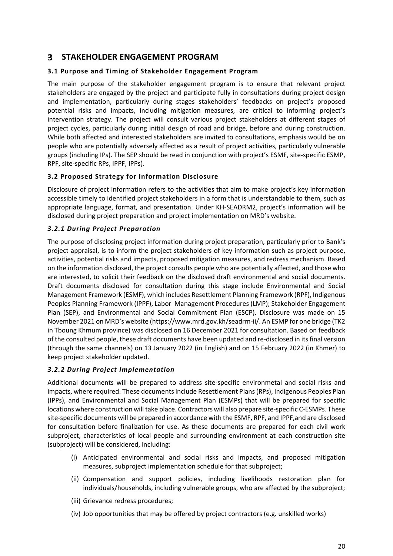### **STAKEHOLDER ENGAGEMENT PROGRAM**

#### **3.1 Purpose and Timing of Stakeholder Engagement Program**

The main purpose of the stakeholder engagement program is to ensure that relevant project stakeholders are engaged by the project and participate fully in consultations during project design and implementation, particularly during stages stakeholders' feedbacks on project's proposed potential risks and impacts, including mitigation measures, are critical to informing project's intervention strategy. The project will consult various project stakeholders at different stages of project cycles, particularly during initial design of road and bridge, before and during construction. While both affected and interested stakeholders are invited to consultations, emphasis would be on people who are potentially adversely affected as a result of project activities, particularly vulnerable groups (including IPs). The SEP should be read in conjunction with project's ESMF, site‐specific ESMP, RPF, site‐specific RPs, IPPF, IPPs).

#### **3.2 Proposed Strategy for Information Disclosure**

Disclosure of project information refers to the activities that aim to make project's key information accessible timely to identified project stakeholders in a form that is understandable to them, such as appropriate language, format, and presentation. Under KH‐SEADRM2, project's information will be disclosed during project preparation and project implementation on MRD's website.

#### *3.2.1 During Project Preparation*

The purpose of disclosing project information during project preparation, particularly prior to Bank's project appraisal, is to inform the project stakeholders of key information such as project purpose, activities, potential risks and impacts, proposed mitigation measures, and redress mechanism. Based on the information disclosed, the project consults people who are potentially affected, and those who are interested, to solicit their feedback on the disclosed draft environmental and social documents. Draft documents disclosed for consultation during this stage include Environmental and Social Management Framework (ESMF), which includes Resettlement Planning Framework (RPF), Indigenous Peoples Planning Framework (IPPF), Labor Management Procedures (LMP); Stakeholder Engagement Plan (SEP), and Environmental and Social Commitment Plan (ESCP). Disclosure was made on 15 November 2021 on MRD's website (https://www.mrd.gov.kh/seadrm‐ii/. An ESMP for one bridge (TK2 in Tboung Khmum province) was disclosed on 16 December 2021 for consultation. Based on feedback of the consulted people, these draft documents have been updated and re‐disclosed in its final version (through the same channels) on 13 January 2022 (in English) and on 15 February 2022 (in Khmer) to keep project stakeholder updated.

#### *3.2.2 During Project Implementation*

Additional documents will be prepared to address site‐specific environmetal and social risks and impacts, where required. These documents include Resettlement Plans (RPs), Indigenous Peoples Plan (IPPs), and Environmental and Social Management Plan (ESMPs) that will be prepared for specific locations where construction will take place. Contractors will also prepare site‐specific C‐ESMPs. These site‐specific documents will be prepared in accordance with the ESMF, RPF, and IPPF,and are disclosed for consultation before finalization for use. As these documents are prepared for each civil work subproject, characteristics of local people and surrounding environment at each construction site (subproject) will be considered, including:

- (i) Anticipated environmental and social risks and impacts, and proposed mitigation measures, subproject implementation schedule for that subproject;
- (ii) Compensation and support policies, including livelihoods restoration plan for individuals/households, including vulnerable groups, who are affected by the subproject;
- (iii) Grievance redress procedures;
- (iv) Job opportunities that may be offered by project contractors (e.g. unskilled works)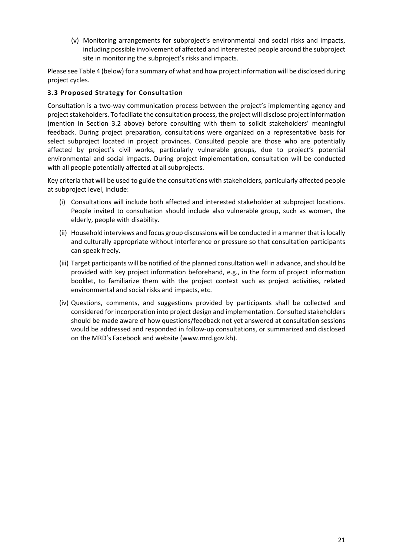(v) Monitoring arrangements for subproject's environmental and social risks and impacts, including possible involvement of affected and intererested people around the subproject site in monitoring the subproject's risks and impacts.

Please see Table 4 (below) for a summary of what and how project information will be disclosed during project cycles.

#### **3.3 Proposed Strategy for Consultation**

Consultation is a two‐way communication process between the project's implementing agency and project stakeholders. To faciliate the consultation process, the project will disclose project information (mention in Section 3.2 above) before consulting with them to solicit stakeholders' meaningful feedback. During project preparation, consultations were organized on a representative basis for select subproject located in project provinces. Consulted people are those who are potentially affected by project's civil works, particularly vulnerable groups, due to project's potential environmental and social impacts. During project implementation, consultation will be conducted with all people potentially affected at all subprojects.

Key criteria that will be used to guide the consultations with stakeholders, particularly affected people at subproject level, include:

- (i) Consultations will include both affected and interested stakeholder at subproject locations. People invited to consultation should include also vulnerable group, such as women, the elderly, people with disability.
- (ii) Household interviews and focus group discussions will be conducted in a manner that is locally and culturally appropriate without interference or pressure so that consultation participants can speak freely.
- (iii) Target participants will be notified of the planned consultation well in advance, and should be provided with key project information beforehand, e.g., in the form of project information booklet, to familiarize them with the project context such as project activities, related environmental and social risks and impacts, etc.
- (iv) Questions, comments, and suggestions provided by participants shall be collected and considered for incorporation into project design and implementation. Consulted stakeholders should be made aware of how questions/feedback not yet answered at consultation sessions would be addressed and responded in follow‐up consultations, or summarized and disclosed on the MRD's Facebook and website (www.mrd.gov.kh).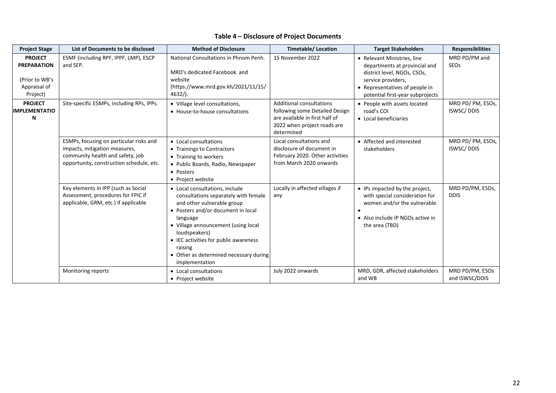#### **Table 4 – Disclosure of Project Documents**

| <b>Project Stage</b>                                                               | List of Documents to be disclosed                                                                                                                        | <b>Method of Disclosure</b>                                                                                                                                                                                                                                                                                                    | <b>Timetable/Location</b>                                                                                                                        | <b>Target Stakeholders</b>                                                                                                                                                              | <b>Responsibilities</b>               |
|------------------------------------------------------------------------------------|----------------------------------------------------------------------------------------------------------------------------------------------------------|--------------------------------------------------------------------------------------------------------------------------------------------------------------------------------------------------------------------------------------------------------------------------------------------------------------------------------|--------------------------------------------------------------------------------------------------------------------------------------------------|-----------------------------------------------------------------------------------------------------------------------------------------------------------------------------------------|---------------------------------------|
| <b>PROJECT</b><br><b>PREPARATION</b><br>(Prior to WB's<br>Appraisal of<br>Project) | ESMF (including RPF, IPPF, LMP), ESCP<br>and SEP.                                                                                                        | National Consultations in Phnom Penh.<br>MRD's dedicated Facebook and<br>website<br>(https://www.mrd.gov.kh/2021/11/15/<br>$4632/$ ).                                                                                                                                                                                          | 15 November 2022                                                                                                                                 | • Relevant Ministries, line<br>departments at provincial and<br>district level, NGOs, CSOs,<br>service providers,<br>• Representatives of people in<br>potential first-year subprojects | MRD PD/PM and<br><b>SEOs</b>          |
| <b>PROJECT</b><br><b>IMPLEMENTATIO</b><br>N                                        | Site-specific ESMPs, including RPs, IPPs.                                                                                                                | • Village level consultations,<br>• House-to-house consultations                                                                                                                                                                                                                                                               | <b>Additional consultations</b><br>following some Detailed Design<br>are available in first half of<br>2022 when project roads are<br>determined | • People with assets located<br>road's COI<br>• Local beneficiaries                                                                                                                     | MRD PD/PM, ESOs,<br><b>ISWSC/DDIS</b> |
|                                                                                    | ESMPs, focusing on particular risks and<br>impacts, mitigation measures,<br>community health and safety, job<br>opportunity, construction schedule, etc. | • Local consultations<br>• Trainings to Contractors<br>• Training to workers<br>• Public Boards, Radio, Newspaper<br>• Posters<br>• Project website                                                                                                                                                                            | Local consultations and<br>disclosure of document in<br>February 2020. Other activities<br>from March 2020 onwards                               | • Affected and interested<br>stakeholders                                                                                                                                               | MRD PD/PM, ESOs,<br><b>ISWSC/DDIS</b> |
|                                                                                    | Key elements in IPP (such as Social<br>Assessment, procedures for FPIC if<br>applicable, GRM, etc.) if applicable                                        | • Local consultations, include<br>consultations separately with female<br>and other vulnerable group<br>• Posters and/or document in local<br>language<br>• Village announcement (using local<br>loudspeakers)<br>• IEC activities for public awareness<br>raising<br>• Other as determined necessary during<br>implementation | Locally in affected villages if<br>any                                                                                                           | • IPs impacted by the project,<br>with special consideration for<br>women and/or the vulnerable.<br>• Also include IP NGOs active in<br>the area (TBD)                                  | MRD PD/PM, ESOs,<br><b>DDIS</b>       |
|                                                                                    | Monitoring reports                                                                                                                                       | • Local consultations<br>• Project website                                                                                                                                                                                                                                                                                     | July 2022 onwards                                                                                                                                | MRD, GDR, affected stakeholders<br>and WB                                                                                                                                               | MRD PD/PM, ESOs<br>and ISWSC/DDIS     |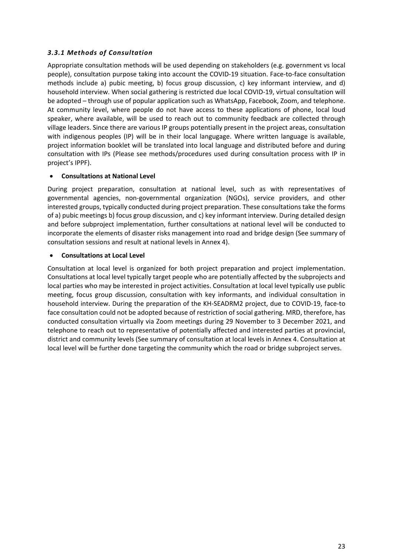#### *3.3.1 Methods of Consultation*

Appropriate consultation methods will be used depending on stakeholders (e.g. government vs local people), consultation purpose taking into account the COVID‐19 situation. Face‐to‐face consultation methods include a) pubic meeting, b) focus group discussion, c) key informant interview, and d) household interview. When social gathering is restricted due local COVID‐19, virtual consultation will be adopted – through use of popular application such as WhatsApp, Facebook, Zoom, and telephone. At community level, where people do not have access to these applications of phone, local loud speaker, where available, will be used to reach out to community feedback are collected through village leaders. Since there are various IP groups potentially present in the project areas, consultation with indigenous peoples (IP) will be in their local langugage. Where written language is available, project information booklet will be translated into local language and distributed before and during consultation with IPs (Please see methods/procedures used during consultation process with IP in project's IPPF).

#### **Consultations at National Level**

During project preparation, consultation at national level, such as with representatives of governmental agencies, non‐governmental organization (NGOs), service providers, and other interested groups, typically conducted during project preparation. These consultations take the forms of a) pubic meetings b) focus group discussion, and c) key informant interview. During detailed design and before subproject implementation, further consultations at national level will be conducted to incorporate the elements of disaster risks management into road and bridge design (See summary of consultation sessions and result at national levels in Annex 4).

#### **Consultations at Local Level**

Consultation at local level is organized for both project preparation and project implementation. Consultations at local level typically target people who are potentially affected by the subprojects and local parties who may be interested in project activities. Consultation at local level typically use public meeting, focus group discussion, consultation with key informants, and individual consultation in household interview. During the preparation of the KH‐SEADRM2 project, due to COVID‐19, face‐to face consultation could not be adopted because of restriction of social gathering. MRD, therefore, has conducted consultation virtually via Zoom meetings during 29 November to 3 December 2021, and telephone to reach out to representative of potentially affected and interested parties at provincial, district and community levels (See summary of consultation at local levels in Annex 4. Consultation at local level will be further done targeting the community which the road or bridge subproject serves.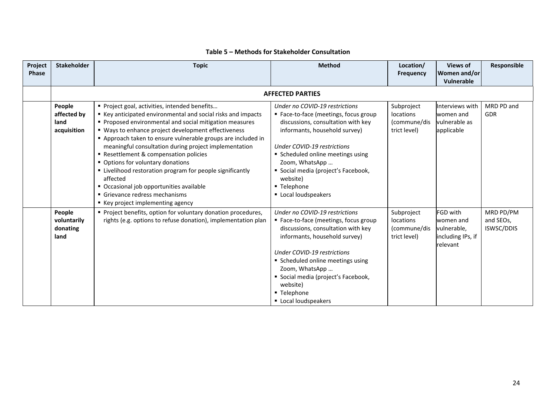| Project<br><b>Phase</b> | <b>Stakeholder</b>                           | <b>Topic</b>                                                                                                                                                                                                                                                                                                                                                                                                                                                                                                                                                                                                              | <b>Method</b>                                                                                                                                                                                                                                                                                                              | Location/<br><b>Frequency</b>                           | <b>Views of</b><br>Women and/or<br><b>Vulnerable</b>                  | Responsible                          |
|-------------------------|----------------------------------------------|---------------------------------------------------------------------------------------------------------------------------------------------------------------------------------------------------------------------------------------------------------------------------------------------------------------------------------------------------------------------------------------------------------------------------------------------------------------------------------------------------------------------------------------------------------------------------------------------------------------------------|----------------------------------------------------------------------------------------------------------------------------------------------------------------------------------------------------------------------------------------------------------------------------------------------------------------------------|---------------------------------------------------------|-----------------------------------------------------------------------|--------------------------------------|
|                         |                                              |                                                                                                                                                                                                                                                                                                                                                                                                                                                                                                                                                                                                                           | <b>AFFECTED PARTIES</b>                                                                                                                                                                                                                                                                                                    |                                                         |                                                                       |                                      |
|                         | People<br>affected by<br>land<br>acquisition | Project goal, activities, intended benefits<br>■ Key anticipated environmental and social risks and impacts<br>Proposed environmental and social mitigation measures<br>" Ways to enhance project development effectiveness<br>Approach taken to ensure vulnerable groups are included in<br>meaningful consultation during project implementation<br>Resettlement & compensation policies<br>• Options for voluntary donations<br>" Livelihood restoration program for people significantly<br>affected<br>• Occasional job opportunities available<br>Grievance redress mechanisms<br>■ Key project implementing agency | Under no COVID-19 restrictions<br>■ Face-to-face (meetings, focus group<br>discussions, consultation with key<br>informants, household survey)<br>Under COVID-19 restrictions<br>Scheduled online meetings using<br>Zoom, WhatsApp<br>Social media (project's Facebook,<br>website)<br>■ Telephone<br>Local loudspeakers   | Subproject<br>locations<br>(commune/dis<br>trict level) | Interviews with<br>women and<br>vulnerable as<br>applicable           | MRD PD and<br>GDR                    |
|                         | People<br>voluntarily<br>donating<br>land    | Project benefits, option for voluntary donation procedures,<br>rights (e.g. options to refuse donation), implementation plan                                                                                                                                                                                                                                                                                                                                                                                                                                                                                              | Under no COVID-19 restrictions<br>■ Face-to-face (meetings, focus group<br>discussions, consultation with key<br>informants, household survey)<br>Under COVID-19 restrictions<br>■ Scheduled online meetings using<br>Zoom, WhatsApp<br>Social media (project's Facebook,<br>website)<br>■ Telephone<br>Local loudspeakers | Subproject<br>locations<br>(commune/dis<br>trict level) | FGD with<br>women and<br>vulnerable,<br>including IPs, if<br>relevant | MRD PD/PM<br>and SEOs,<br>ISWSC/DDIS |

#### **Table 5 – Methods for Stakeholder Consultation**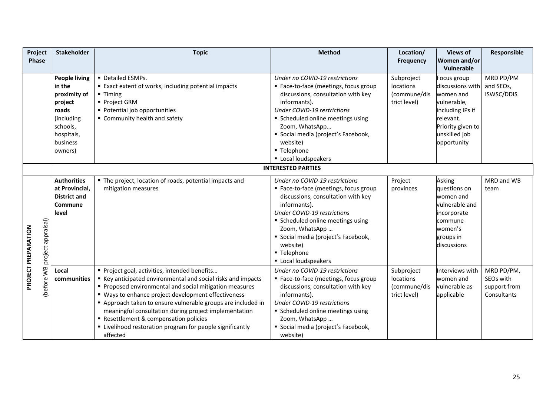| Project                   | <b>Stakeholder</b>   | <b>Topic</b>                                                 | <b>Method</b>                         | Location/        | <b>Views of</b>   | Responsible  |
|---------------------------|----------------------|--------------------------------------------------------------|---------------------------------------|------------------|-------------------|--------------|
| Phase                     |                      |                                                              |                                       | <b>Frequency</b> | Women and/or      |              |
|                           |                      |                                                              |                                       |                  | Vulnerable        |              |
|                           | <b>People living</b> | Detailed ESMPs.                                              | Under no COVID-19 restrictions        | Subproject       | Focus group       | MRD PD/PM    |
|                           | in the               | ■ Exact extent of works, including potential impacts         | ■ Face-to-face (meetings, focus group | locations        | discussions with  | and SEOs,    |
|                           | proximity of         | $\blacksquare$ Timing                                        | discussions, consultation with key    | (commune/dis     | women and         | ISWSC/DDIS   |
|                           | project              | ■ Project GRM                                                | informants).                          | trict level)     | vulnerable,       |              |
|                           | roads                | • Potential job opportunities                                | <b>Under COVID-19 restrictions</b>    |                  | including IPs if  |              |
|                           | (including           | " Community health and safety                                | Scheduled online meetings using       |                  | relevant.         |              |
|                           | schools,             |                                                              | Zoom, WhatsApp                        |                  | Priority given to |              |
|                           | hospitals,           |                                                              | Social media (project's Facebook,     |                  | unskilled job     |              |
|                           | business             |                                                              | website)                              |                  | opportunity       |              |
|                           | owners)              |                                                              | ■ Telephone                           |                  |                   |              |
|                           |                      |                                                              | Local loudspeakers                    |                  |                   |              |
|                           |                      |                                                              | <b>INTERESTED PARTIES</b>             |                  |                   |              |
|                           | <b>Authorities</b>   | " The project, location of roads, potential impacts and      | Under no COVID-19 restrictions        | Project          | Asking            | MRD and WB   |
|                           | at Provincial,       | mitigation measures                                          | ■ Face-to-face (meetings, focus group | provinces        | questions on      | team         |
|                           | <b>District and</b>  |                                                              | discussions, consultation with key    |                  | women and         |              |
|                           | Commune              |                                                              | informants).                          |                  | vulnerable and    |              |
|                           | level                |                                                              | <b>Under COVID-19 restrictions</b>    |                  | incorporate       |              |
|                           |                      |                                                              | ■ Scheduled online meetings using     |                  | commune           |              |
|                           |                      |                                                              | Zoom, WhatsApp                        |                  | women's           |              |
|                           |                      |                                                              | Social media (project's Facebook,     |                  | groups in         |              |
|                           |                      |                                                              | website)                              |                  | discussions       |              |
| project appraisal)        |                      |                                                              | ■ Telephone                           |                  |                   |              |
|                           |                      |                                                              | Local loudspeakers                    |                  |                   |              |
| PROJECT PREPARATION<br>ŠМ | Local                | Project goal, activities, intended benefits                  | Under no COVID-19 restrictions        | Subproject       | Interviews with   | MRD PD/PM,   |
|                           | communities          | ■ Key anticipated environmental and social risks and impacts | ■ Face-to-face (meetings, focus group | locations        | women and         | SEOs with    |
| (before                   |                      | Proposed environmental and social mitigation measures        | discussions, consultation with key    | (commune/dis     | vulnerable as     | support from |
|                           |                      | " Ways to enhance project development effectiveness          | informants).                          | trict level)     | applicable        | Consultants  |
|                           |                      | Approach taken to ensure vulnerable groups are included in   | <b>Under COVID-19 restrictions</b>    |                  |                   |              |
|                           |                      | meaningful consultation during project implementation        | Scheduled online meetings using       |                  |                   |              |
|                           |                      | Resettlement & compensation policies                         | Zoom, WhatsApp                        |                  |                   |              |
|                           |                      | " Livelihood restoration program for people significantly    | Social media (project's Facebook,     |                  |                   |              |
|                           |                      | affected                                                     | website)                              |                  |                   |              |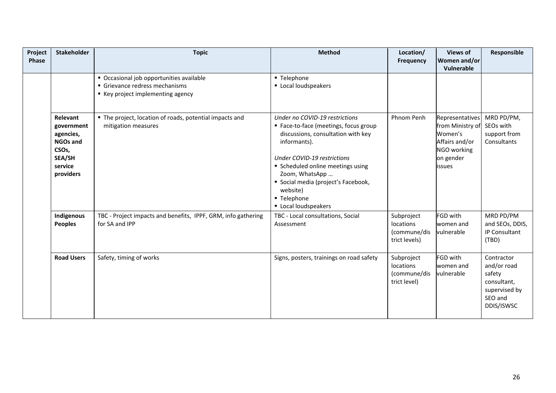| Project<br><b>Phase</b> | <b>Stakeholder</b>                                                                                             | <b>Topic</b>                                                                                                  | <b>Method</b>                                                                                                                                                                                                                                                                                                  | Location/<br><b>Frequency</b>                            | <b>Views of</b><br>Women and/or<br>Vulnerable                                                                 | Responsible                                                                                  |
|-------------------------|----------------------------------------------------------------------------------------------------------------|---------------------------------------------------------------------------------------------------------------|----------------------------------------------------------------------------------------------------------------------------------------------------------------------------------------------------------------------------------------------------------------------------------------------------------------|----------------------------------------------------------|---------------------------------------------------------------------------------------------------------------|----------------------------------------------------------------------------------------------|
|                         |                                                                                                                | • Occasional job opportunities available<br>Grievance redress mechanisms<br>■ Key project implementing agency | ■ Telephone<br>Local loudspeakers                                                                                                                                                                                                                                                                              |                                                          |                                                                                                               |                                                                                              |
|                         | Relevant<br>government<br>agencies,<br>NGOs and<br>CSO <sub>s</sub> ,<br><b>SEA/SH</b><br>service<br>providers | " The project, location of roads, potential impacts and<br>mitigation measures                                | Under no COVID-19 restrictions<br>" Face-to-face (meetings, focus group<br>discussions, consultation with key<br>informants).<br><b>Under COVID-19 restrictions</b><br>Scheduled online meetings using<br>Zoom, WhatsApp<br>Social media (project's Facebook,<br>website)<br>■ Telephone<br>Local loudspeakers | Phnom Penh                                               | <b>Representatives</b><br>from Ministry of<br>Women's<br>Affairs and/or<br>NGO working<br>on gender<br>issues | MRD PD/PM,<br>SEOs with<br>support from<br>Consultants                                       |
|                         | Indigenous<br><b>Peoples</b>                                                                                   | TBC - Project impacts and benefits, IPPF, GRM, info gathering<br>for SA and IPP                               | TBC - Local consultations, Social<br>Assessment                                                                                                                                                                                                                                                                | Subproject<br>locations<br>(commune/dis<br>trict levels) | FGD with<br>women and<br>vulnerable                                                                           | MRD PD/PM<br>and SEOs, DDIS,<br>IP Consultant<br>(TBD)                                       |
|                         | <b>Road Users</b>                                                                                              | Safety, timing of works                                                                                       | Signs, posters, trainings on road safety                                                                                                                                                                                                                                                                       | Subproject<br>locations<br>(commune/dis<br>trict level)  | FGD with<br>women and<br>vulnerable                                                                           | Contractor<br>and/or road<br>safety<br>consultant,<br>supervised by<br>SEO and<br>DDIS/ISWSC |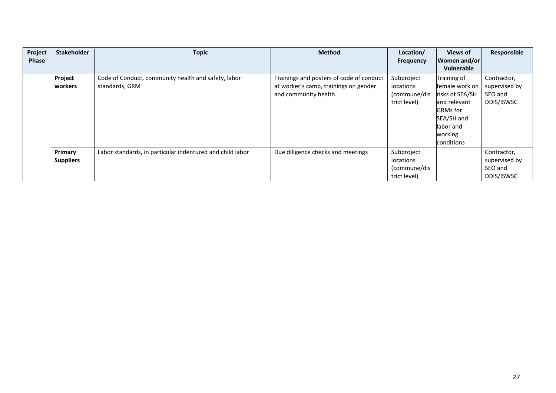| Project<br><b>Phase</b> | <b>Stakeholder</b> | <b>Topic</b>                                              | <b>Method</b>                            | Location/<br><b>Frequency</b> | <b>Views of</b><br>Women and/or | Responsible   |
|-------------------------|--------------------|-----------------------------------------------------------|------------------------------------------|-------------------------------|---------------------------------|---------------|
|                         |                    |                                                           |                                          |                               | Vulnerable                      |               |
|                         | Project            | Code of Conduct, community health and safety, labor       | Trainings and posters of code of conduct | Subproject                    | Training of                     | Contractor,   |
|                         | workers            | standards, GRM                                            | at worker's camp, trainings on gender    | locations                     | female work on                  | supervised by |
|                         |                    |                                                           | and community health.                    | (commune/dis                  | risks of SEA/SH                 | SEO and       |
|                         |                    |                                                           |                                          | trict level)                  | and relevant                    | DDIS/ISWSC    |
|                         |                    |                                                           |                                          |                               | <b>GRMs</b> for                 |               |
|                         |                    |                                                           |                                          |                               | SEA/SH and                      |               |
|                         |                    |                                                           |                                          |                               | labor and                       |               |
|                         |                    |                                                           |                                          |                               | working                         |               |
|                         |                    |                                                           |                                          |                               | conditions                      |               |
|                         | Primary            | Labor standards, in particular indentured and child labor | Due diligence checks and meetings        | Subproject                    |                                 | Contractor,   |
|                         | <b>Suppliers</b>   |                                                           |                                          | locations                     |                                 | supervised by |
|                         |                    |                                                           |                                          | (commune/dis                  |                                 | SEO and       |
|                         |                    |                                                           |                                          | trict level)                  |                                 | DDIS/ISWSC    |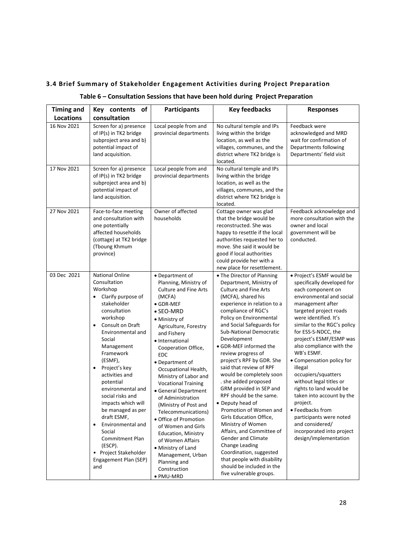#### **3.4 Brief Summary of Stakeholder Engagement Activities during Project Preparation**

| Table 6 - Consultation Sessions that have been hold during Project Preparation |  |  |  |
|--------------------------------------------------------------------------------|--|--|--|
|--------------------------------------------------------------------------------|--|--|--|

| <b>Timing and</b> | of<br>Key contents                                                                                                                                                                                                                                                                                                                                                                                                                                                                                                     | <b>Participants</b>                                                                                                                                                                                                                                                                                                                                                                                                                                                                                                                                                                                                    | <b>Key feedbacks</b>                                                                                                                                                                                                                                                                                                                                                                                                                                                                                                                                                                                                                                                                                                                                                                     | <b>Responses</b>                                                                                                                                                                                                                                                                                                                                                                                                                                                                                                                                                                                 |
|-------------------|------------------------------------------------------------------------------------------------------------------------------------------------------------------------------------------------------------------------------------------------------------------------------------------------------------------------------------------------------------------------------------------------------------------------------------------------------------------------------------------------------------------------|------------------------------------------------------------------------------------------------------------------------------------------------------------------------------------------------------------------------------------------------------------------------------------------------------------------------------------------------------------------------------------------------------------------------------------------------------------------------------------------------------------------------------------------------------------------------------------------------------------------------|------------------------------------------------------------------------------------------------------------------------------------------------------------------------------------------------------------------------------------------------------------------------------------------------------------------------------------------------------------------------------------------------------------------------------------------------------------------------------------------------------------------------------------------------------------------------------------------------------------------------------------------------------------------------------------------------------------------------------------------------------------------------------------------|--------------------------------------------------------------------------------------------------------------------------------------------------------------------------------------------------------------------------------------------------------------------------------------------------------------------------------------------------------------------------------------------------------------------------------------------------------------------------------------------------------------------------------------------------------------------------------------------------|
| Locations         | consultation                                                                                                                                                                                                                                                                                                                                                                                                                                                                                                           |                                                                                                                                                                                                                                                                                                                                                                                                                                                                                                                                                                                                                        |                                                                                                                                                                                                                                                                                                                                                                                                                                                                                                                                                                                                                                                                                                                                                                                          |                                                                                                                                                                                                                                                                                                                                                                                                                                                                                                                                                                                                  |
| 16 Nov 2021       | Screen for a) presence<br>of IP(s) in TK2 bridge<br>subproject area and b)<br>potential impact of<br>land acquisition.                                                                                                                                                                                                                                                                                                                                                                                                 | Local people from and<br>provincial departments                                                                                                                                                                                                                                                                                                                                                                                                                                                                                                                                                                        | No cultural temple and IPs<br>living within the bridge<br>location, as well as the<br>villages, communes, and the<br>district where TK2 bridge is<br>located.                                                                                                                                                                                                                                                                                                                                                                                                                                                                                                                                                                                                                            | Feedback were<br>acknowledged and MRD<br>wait for confirmation of<br>Departments following<br>Departments' field visit                                                                                                                                                                                                                                                                                                                                                                                                                                                                           |
| 17 Nov 2021       | Screen for a) presence<br>of IP(s) in TK2 bridge<br>subproject area and b)<br>potential impact of<br>land acquisition.                                                                                                                                                                                                                                                                                                                                                                                                 | Local people from and<br>provincial departments                                                                                                                                                                                                                                                                                                                                                                                                                                                                                                                                                                        | No cultural temple and IPs<br>living within the bridge<br>location, as well as the<br>villages, communes, and the<br>district where TK2 bridge is<br>located.                                                                                                                                                                                                                                                                                                                                                                                                                                                                                                                                                                                                                            |                                                                                                                                                                                                                                                                                                                                                                                                                                                                                                                                                                                                  |
| 27 Nov 2021       | Face-to-face meeting<br>and consultation with<br>one potentially<br>affected households<br>(cottage) at TK2 bridge<br>(Tboung Khmum<br>province)                                                                                                                                                                                                                                                                                                                                                                       | Owner of affected<br>households                                                                                                                                                                                                                                                                                                                                                                                                                                                                                                                                                                                        | Cottage owner was glad<br>that the bridge would be<br>reconstructed. She was<br>happy to resettle if the local<br>authorities requested her to<br>move. She said it would be<br>good if local authorities<br>could provide her with a<br>new place for resettlement.                                                                                                                                                                                                                                                                                                                                                                                                                                                                                                                     | Feedback acknowledge and<br>more consultation with the<br>owner and local<br>government will be<br>conducted.                                                                                                                                                                                                                                                                                                                                                                                                                                                                                    |
| 03 Dec 2021       | <b>National Online</b><br>Consultation<br>Workshop<br>Clarify purpose of<br>stakeholder<br>consultation<br>workshop<br>Consult on Draft<br>$\bullet$<br>Environmental and<br>Social<br>Management<br>Framework<br>(ESMF),<br>Project's key<br>activities and<br>potential<br>environmental and<br>social risks and<br>impacts which will<br>be managed as per<br>draft ESMF,<br>Environmental and<br>$\bullet$<br>Social<br><b>Commitment Plan</b><br>(ESCP).<br>• Project Stakeholder<br>Engagement Plan (SEP)<br>and | • Department of<br>Planning, Ministry of<br><b>Culture and Fine Arts</b><br>(MCFA)<br>$\bullet$ GDR-MEF<br>• SEO-MRD<br>• Ministry of<br>Agriculture, Forestry<br>and Fishery<br>• International<br>Cooperation Office,<br><b>EDC</b><br>• Department of<br>Occupational Health,<br>Ministry of Labor and<br><b>Vocational Training</b><br>• General Department<br>of Administration<br>(Ministry of Post and<br>Telecommunications)<br>• Office of Promotion<br>of Women and Girls<br>Education, Ministry<br>of Women Affairs<br>• Ministry of Land<br>Management, Urban<br>Planning and<br>Construction<br>· PMU-MRD | • The Director of Planning<br>Department, Ministry of<br><b>Culture and Fine Arts</b><br>(MCFA), shared his<br>experience in relation to a<br>compliance of RGC's<br>Policy on Environmental<br>and Social Safeguards for<br><b>Sub-National Democratic</b><br>Development<br>• GDR-MEF informed the<br>review progress of<br>project's RPF by GDR. She<br>said that review of RPF<br>would be completely soon<br>. she added proposed<br>GRM provided in SEP and<br>RPF should be the same.<br>• Deputy head of<br>Promotion of Women and<br>Girls Education Office,<br>Ministry of Women<br>Affairs, and Committee of<br><b>Gender and Climate</b><br>Change Leading<br>Coordination, suggested<br>that people with disability<br>should be included in the<br>five vulnerable groups. | · Project's ESMF would be<br>specifically developed for<br>each component on<br>environmental and social<br>management after<br>targeted project roads<br>were identified. It's<br>similar to the RGC's policy<br>for ESS-S-NDCC, the<br>project's ESMF/ESMP was<br>also compliance with the<br>WB's ESMF.<br>• Compensation policy for<br>illegal<br>occupiers/squatters<br>without legal titles or<br>rights to land would be<br>taken into account by the<br>project.<br>• Feedbacks from<br>participants were noted<br>and considered/<br>incorporated into project<br>design/implementation |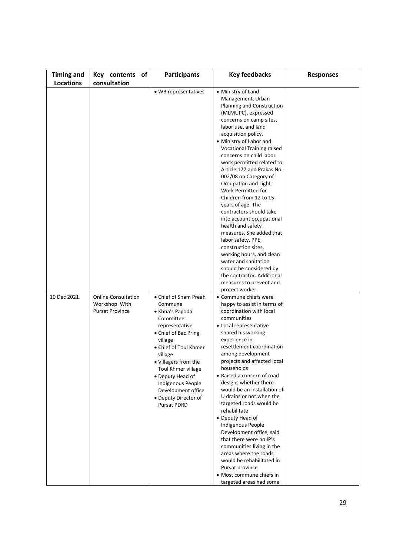| <b>Timing and</b> | of<br>Key contents                                                    | <b>Participants</b>                                                                                                                                                                                                                                                                                                  | <b>Key feedbacks</b>                                                                                                                                                                                                                                                                                                                                                                                                                                                                                                                                                                                                                                                                                                                                      | <b>Responses</b> |
|-------------------|-----------------------------------------------------------------------|----------------------------------------------------------------------------------------------------------------------------------------------------------------------------------------------------------------------------------------------------------------------------------------------------------------------|-----------------------------------------------------------------------------------------------------------------------------------------------------------------------------------------------------------------------------------------------------------------------------------------------------------------------------------------------------------------------------------------------------------------------------------------------------------------------------------------------------------------------------------------------------------------------------------------------------------------------------------------------------------------------------------------------------------------------------------------------------------|------------------|
| Locations         | consultation                                                          |                                                                                                                                                                                                                                                                                                                      |                                                                                                                                                                                                                                                                                                                                                                                                                                                                                                                                                                                                                                                                                                                                                           |                  |
|                   |                                                                       | • WB representatives                                                                                                                                                                                                                                                                                                 | • Ministry of Land<br>Management, Urban<br>Planning and Construction<br>(MLMUPC), expressed<br>concerns on camp sites,<br>labor use, and land<br>acquisition policy.<br>• Ministry of Labor and<br>Vocational Training raised<br>concerns on child labor<br>work permitted related to<br>Article 177 and Prakas No.<br>002/08 on Category of<br>Occupation and Light<br>Work Permitted for<br>Children from 12 to 15<br>years of age. The<br>contractors should take<br>into account occupational<br>health and safety<br>measures. She added that<br>labor safety, PPE,<br>construction sites,<br>working hours, and clean<br>water and sanitation<br>should be considered by<br>the contractor. Additional<br>measures to prevent and<br>protect worker |                  |
| 10 Dec 2021       | <b>Online Consultation</b><br>Workshop With<br><b>Pursat Province</b> | • Chief of Snam Preah<br>Commune<br>• Khna's Pagoda<br>Committee<br>representative<br>• Chief of Bac Pring<br>village<br>• Chief of Toul Khmer<br>village<br>• Villagers from the<br>Toul Khmer village<br>• Deputy Head of<br>Indigenous People<br>Development office<br>• Deputy Director of<br><b>Pursat PDRD</b> | • Commune chiefs were<br>happy to assist in terms of<br>coordination with local<br>communities<br>• Local representative<br>shared his working<br>experience in<br>resettlement coordination<br>among development<br>projects and affected local<br>households<br>• Raised a concern of road<br>designs whether there<br>would be an installation of<br>U drains or not when the<br>targeted roads would be<br>rehabilitate<br>• Deputy Head of<br>Indigenous People<br>Development office, said<br>that there were no IP's<br>communities living in the<br>areas where the roads<br>would be rehabilitated in<br>Pursat province<br>• Most commune chiefs in<br>targeted areas had some                                                                  |                  |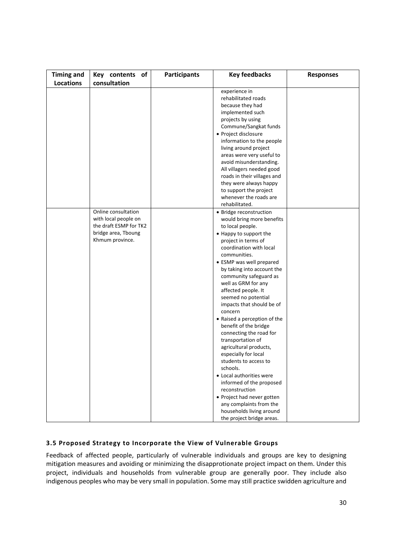| <b>Timing and</b> | Key contents<br>of     | <b>Participants</b> | <b>Key feedbacks</b>                           | <b>Responses</b> |
|-------------------|------------------------|---------------------|------------------------------------------------|------------------|
| Locations         | consultation           |                     |                                                |                  |
|                   |                        |                     | experience in                                  |                  |
|                   |                        |                     | rehabilitated roads                            |                  |
|                   |                        |                     | because they had                               |                  |
|                   |                        |                     | implemented such                               |                  |
|                   |                        |                     | projects by using                              |                  |
|                   |                        |                     | Commune/Sangkat funds                          |                  |
|                   |                        |                     | • Project disclosure                           |                  |
|                   |                        |                     | information to the people                      |                  |
|                   |                        |                     | living around project                          |                  |
|                   |                        |                     | areas were very useful to                      |                  |
|                   |                        |                     | avoid misunderstanding.                        |                  |
|                   |                        |                     | All villagers needed good                      |                  |
|                   |                        |                     | roads in their villages and                    |                  |
|                   |                        |                     | they were always happy                         |                  |
|                   |                        |                     | to support the project                         |                  |
|                   |                        |                     | whenever the roads are                         |                  |
|                   |                        |                     | rehabilitated.                                 |                  |
|                   | Online consultation    |                     | • Bridge reconstruction                        |                  |
|                   | with local people on   |                     | would bring more benefits                      |                  |
|                   | the draft ESMP for TK2 |                     | to local people.                               |                  |
|                   | bridge area, Tboung    |                     | • Happy to support the                         |                  |
|                   | Khmum province.        |                     | project in terms of                            |                  |
|                   |                        |                     | coordination with local                        |                  |
|                   |                        |                     | communities.                                   |                  |
|                   |                        |                     | • ESMP was well prepared                       |                  |
|                   |                        |                     | by taking into account the                     |                  |
|                   |                        |                     | community safeguard as                         |                  |
|                   |                        |                     | well as GRM for any                            |                  |
|                   |                        |                     | affected people. It                            |                  |
|                   |                        |                     | seemed no potential                            |                  |
|                   |                        |                     | impacts that should be of                      |                  |
|                   |                        |                     | concern                                        |                  |
|                   |                        |                     | • Raised a perception of the                   |                  |
|                   |                        |                     | benefit of the bridge                          |                  |
|                   |                        |                     | connecting the road for                        |                  |
|                   |                        |                     | transportation of                              |                  |
|                   |                        |                     | agricultural products,<br>especially for local |                  |
|                   |                        |                     | students to access to                          |                  |
|                   |                        |                     | schools.                                       |                  |
|                   |                        |                     | • Local authorities were                       |                  |
|                   |                        |                     | informed of the proposed                       |                  |
|                   |                        |                     | reconstruction                                 |                  |
|                   |                        |                     | • Project had never gotten                     |                  |
|                   |                        |                     | any complaints from the                        |                  |
|                   |                        |                     | households living around                       |                  |
|                   |                        |                     | the project bridge areas.                      |                  |

#### **3.5 Proposed Strategy to Incorporate the View of Vulnerable Groups**

Feedback of affected people, particularly of vulnerable individuals and groups are key to designing mitigation measures and avoiding or minimizing the disapprotionate project impact on them. Under this project, individuals and households from vulnerable group are generally poor. They include also indigenous peoples who may be very small in population. Some may still practice swidden agriculture and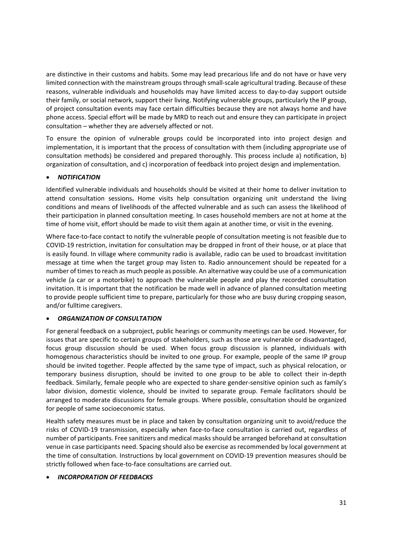are distinctive in their customs and habits. Some may lead precarious life and do not have or have very limited connection with the mainstream groups through small‐scale agricultural trading. Because of these reasons, vulnerable individuals and households may have limited access to day-to-day support outside their family, or social network, support their living. Notifying vulnerable groups, particularly the IP group, of project consultation events may face certain difficulties because they are not always home and have phone access. Special effort will be made by MRD to reach out and ensure they can participate in project consultation – whether they are adversely affected or not.

To ensure the opinion of vulnerable groups could be incorporated into into project design and implementation, it is important that the process of consultation with them (including appropriate use of consultation methods) be considered and prepared thoroughly. This process include a) notification, b) organization of consultation, and c) incorporation of feedback into project design and implementation.

#### *NOTIFICATION*

Identified vulnerable individuals and households should be visited at their home to deliver invitation to attend consultation sessions**.** Home visits help consultation organizing unit understand the living conditions and means of livelihoods of the affected vulnerable and as such can assess the likelihood of their participation in planned consultation meeting. In cases household members are not at home at the time of home visit, effort should be made to visit them again at another time, or visit in the evening.

Where face-to-face contact to notify the vulnerable people of consultation meeting is not feasible due to COVID‐19 restriction, invitation for consultation may be dropped in front of their house, or at place that is easily found. In village where community radio is available, radio can be used to broadcast invititation message at time when the target group may listen to. Radio announcement should be repeated for a number of times to reach as much people as possible. An alternative way could be use of a communication vehicle (a car or a motorbike) to approach the vulnerable people and play the recorded consultation invitation. It is important that the notification be made well in advance of planned consultation meeting to provide people sufficient time to prepare, particularly for those who are busy during cropping season, and/or fulltime caregivers.

#### *ORGANIZATION OF CONSULTATION*

For general feedback on a subproject, public hearings or community meetings can be used. However, for issues that are specific to certain groups of stakeholders, such as those are vulnerable or disadvantaged, focus group discussion should be used. When focus group discussion is planned, individuals with homogenous characteristics should be invited to one group. For example, people of the same IP group should be invited together. People affected by the same type of impact, such as physical relocation, or temporary business disruption, should be invited to one group to be able to collect their in‐depth feedback. Similarly, female people who are expected to share gender‐sensitive opinion such as family's labor division, domestic violence, should be invited to separate group. Female facilitators should be arranged to moderate discussions for female groups. Where possible, consultation should be organized for people of same socioeconomic status.

Health safety measures must be in place and taken by consultation organizing unit to avoid/reduce the risks of COVID-19 transmission, especially when face-to-face consultation is carried out, regardless of number of participants. Free sanitizers and medical masks should be arranged beforehand at consultation venue in case participants need. Spacing should also be exercise as recommended by local government at the time of consultation. Instructions by local government on COVID‐19 prevention measures should be strictly followed when face‐to‐face consultations are carried out.

#### *INCORPORATION OF FEEDBACKS*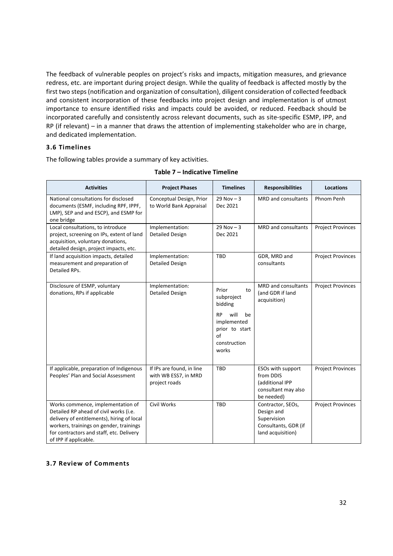The feedback of vulnerable peoples on project's risks and impacts, mitigation measures, and grievance redress, etc. are important during project design. While the quality of feedback is affected mostly by the first two steps (notification and organization of consultation), diligent consideration of collected feedback and consistent incorporation of these feedbacks into project design and implementation is of utmost importance to ensure identified risks and impacts could be avoided, or reduced. Feedback should be incorporated carefully and consistently across relevant documents, such as site-specific ESMP, IPP, and RP (if relevant) – in a manner that draws the attention of implementing stakeholder who are in charge, and dedicated implementation.

#### **3.6 Timelines**

The following tables provide a summary of key activities.

| <b>Activities</b>                                                                                                                                                                                                                         | <b>Project Phases</b>                                              | <b>Timelines</b>                                                                                                                | <b>Responsibilities</b>                                                                     | <b>Locations</b>         |
|-------------------------------------------------------------------------------------------------------------------------------------------------------------------------------------------------------------------------------------------|--------------------------------------------------------------------|---------------------------------------------------------------------------------------------------------------------------------|---------------------------------------------------------------------------------------------|--------------------------|
| National consultations for disclosed<br>documents (ESMF, including RPF, IPPF,<br>LMP), SEP and and ESCP), and ESMP for<br>one bridge                                                                                                      | Conceptual Design, Prior<br>to World Bank Appraisal                | $29$ Nov $-3$<br>Dec 2021                                                                                                       | MRD and consultants                                                                         | Phnom Penh               |
| Local consultations, to introduce<br>project, screening on IPs, extent of land<br>acquisition, voluntary donations,<br>detailed design, project impacts, etc.                                                                             | Implementation:<br><b>Detailed Design</b>                          | $29$ Nov $-3$<br>Dec 2021                                                                                                       | <b>MRD</b> and consultants                                                                  | <b>Project Provinces</b> |
| If land acquisition impacts, detailed<br>measurement and preparation of<br>Detailed RPs.                                                                                                                                                  | Implementation:<br><b>Detailed Design</b>                          | <b>TBD</b>                                                                                                                      | GDR, MRD and<br>consultants                                                                 | <b>Project Provinces</b> |
| Disclosure of ESMP, voluntary<br>donations, RPs if applicable                                                                                                                                                                             | Implementation:<br><b>Detailed Design</b>                          | Prior<br>to<br>subproject<br>bidding<br>will<br><b>RP</b><br>be<br>implemented<br>prior to start<br>of<br>construction<br>works | <b>MRD</b> and consultants<br>(and GDR if land<br>acquisition)                              | <b>Project Provinces</b> |
| If applicable, preparation of Indigenous<br>Peoples' Plan and Social Assessment                                                                                                                                                           | If IPs are found, in line<br>with WB ESS7, in MRD<br>project roads | <b>TBD</b>                                                                                                                      | ESOs with support<br>from DDIS<br>(additional IPP<br>consultant may also<br>be needed)      | <b>Project Provinces</b> |
| Works commence, implementation of<br>Detailed RP ahead of civil works (i.e.<br>delivery of entitlements), hiring of local<br>workers, trainings on gender, trainings<br>for contractors and staff, etc. Delivery<br>of IPP if applicable. | <b>Civil Works</b>                                                 | <b>TBD</b>                                                                                                                      | Contractor, SEOs,<br>Design and<br>Supervision<br>Consultants, GDR (if<br>land acquisition) | <b>Project Provinces</b> |

#### **Table 7 – Indicative Timeline**

#### **3.7 Review of Comments**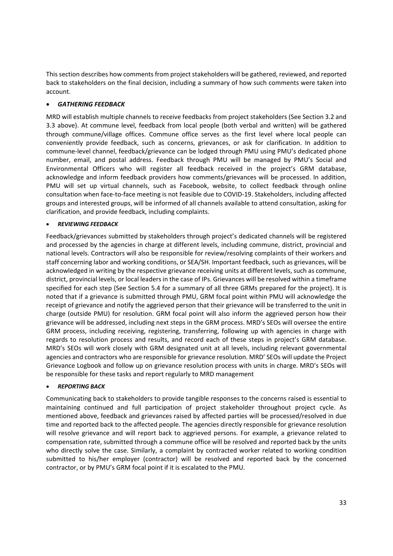This section describes how comments from project stakeholders will be gathered, reviewed, and reported back to stakeholders on the final decision, including a summary of how such comments were taken into account.

#### *GATHERING FEEDBACK*

MRD will establish multiple channels to receive feedbacks from project stakeholders (See Section 3.2 and 3.3 above). At commune level, feedback from local people (both verbal and written) will be gathered through commune/village offices. Commune office serves as the first level where local people can conveniently provide feedback, such as concerns, grievances, or ask for clarification. In addition to commune‐level channel, feedback/grievance can be lodged through PMU using PMU's dedicated phone number, email, and postal address. Feedback through PMU will be managed by PMU's Social and Environmental Officers who will register all feedback received in the project's GRM database, acknowledge and inform feedback providers how comments/grievances will be processed. In addition, PMU will set up virtual channels, such as Facebook, website, to collect feedback through online consultation when face‐to‐face meeting is not feasible due to COVID‐19. Stakeholders, including affected groups and interested groups, will be informed of all channels available to attend consultation, asking for clarification, and provide feedback, including complaints.

#### *REVIEWING FEEDBACK*

Feedback/grievances submitted by stakeholders through project's dedicated channels will be registered and processed by the agencies in charge at different levels, including commune, district, provincial and national levels. Contractors will also be responsible for review/resolving complaints of their workers and staff concerning labor and working conditions, or SEA/SH. Important feedback, such as grievances, will be acknowledged in writing by the respective grievance receiving units at different levels, such as commune, district, provincial levels, or local leaders in the case of IPs. Grievances will be resolved within a timeframe specified for each step (See Section 5.4 for a summary of all three GRMs prepared for the project). It is noted that if a grievance is submitted through PMU, GRM focal point within PMU will acknowledge the receipt of grievance and notify the aggrieved person that their grievance will be transferred to the unit in charge (outside PMU) for resolution. GRM focal point will also inform the aggrieved person how their grievance will be addressed, including next steps in the GRM process. MRD's SEOs will oversee the entire GRM process, including receiving, registering, transferring, following up with agencies in charge with regards to resolution process and results, and record each of these steps in project's GRM database. MRD's SEOs will work closely with GRM designated unit at all levels, including relevant governmental agencies and contractors who are responsible for grievance resolution. MRD' SEOs will update the Project Grievance Logbook and follow up on grievance resolution process with units in charge. MRD's SEOs will be responsible for these tasks and report regularly to MRD management

#### *REPORTING BACK*

Communicating back to stakeholders to provide tangible responses to the concerns raised is essential to maintaining continued and full participation of project stakeholder throughout project cycle. As mentioned above, feedback and grievances raised by affected parties will be processed/resolved in due time and reported back to the affected people. The agencies directly responsible for grievance resolution will resolve grievance and will report back to aggrieved persons. For example, a grievance related to compensation rate, submitted through a commune office will be resolved and reported back by the units who directly solve the case. Similarly, a complaint by contracted worker related to working condition submitted to his/her employer (contractor) will be resolved and reported back by the concerned contractor, or by PMU's GRM focal point if it is escalated to the PMU.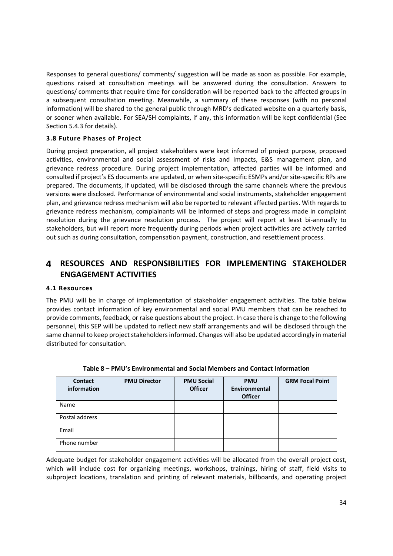Responses to general questions/ comments/ suggestion will be made as soon as possible. For example, questions raised at consultation meetings will be answered during the consultation. Answers to questions/ comments that require time for consideration will be reported back to the affected groups in a subsequent consultation meeting. Meanwhile, a summary of these responses (with no personal information) will be shared to the general public through MRD's dedicated website on a quarterly basis, or sooner when available. For SEA/SH complaints, if any, this information will be kept confidential (See Section 5.4.3 for details).

#### **3.8 Future Phases of Project**

During project preparation, all project stakeholders were kept informed of project purpose, proposed activities, environmental and social assessment of risks and impacts, E&S management plan, and grievance redress procedure. During project implementation, affected parties will be informed and consulted if project's ES documents are updated, or when site‐specific ESMPs and/or site‐specific RPs are prepared. The documents, if updated, will be disclosed through the same channels where the previous versions were disclosed. Performance of environmental and social instruments, stakeholder engagement plan, and grievance redress mechanism will also be reported to relevant affected parties. With regards to grievance redress mechanism, complainants will be informed of steps and progress made in complaint resolution during the grievance resolution process. The project will report at least bi-annually to stakeholders, but will report more frequently during periods when project activities are actively carried out such as during consultation, compensation payment, construction, and resettlement process.

### **RESOURCES AND RESPONSIBILITIES FOR IMPLEMENTING STAKEHOLDER ENGAGEMENT ACTIVITIES**

#### **4.1 Resources**

The PMU will be in charge of implementation of stakeholder engagement activities. The table below provides contact information of key environmental and social PMU members that can be reached to provide comments, feedback, or raise questions about the project. In case there is change to the following personnel, this SEP will be updated to reflect new staff arrangements and will be disclosed through the same channel to keep project stakeholders informed. Changes will also be updated accordingly in material distributed for consultation.

| <b>Contact</b><br>information | <b>PMU Director</b> | <b>PMU Social</b><br><b>Officer</b> | <b>PMU</b><br><b>Environmental</b><br><b>Officer</b> | <b>GRM Focal Point</b> |
|-------------------------------|---------------------|-------------------------------------|------------------------------------------------------|------------------------|
| Name                          |                     |                                     |                                                      |                        |
| Postal address                |                     |                                     |                                                      |                        |
| Email                         |                     |                                     |                                                      |                        |
| Phone number                  |                     |                                     |                                                      |                        |

**Table 8 – PMU's Environmental and Social Members and Contact Information** 

Adequate budget for stakeholder engagement activities will be allocated from the overall project cost, which will include cost for organizing meetings, workshops, trainings, hiring of staff, field visits to subproject locations, translation and printing of relevant materials, billboards, and operating project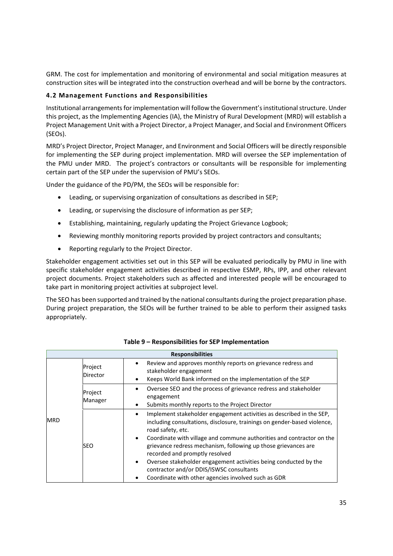GRM. The cost for implementation and monitoring of environmental and social mitigation measures at construction sites will be integrated into the construction overhead and will be borne by the contractors.

#### **4.2 Management Functions and Responsibilities**

Institutional arrangements for implementation will follow the Government's institutional structure. Under this project, as the Implementing Agencies (IA), the Ministry of Rural Development (MRD) will establish a Project Management Unit with a Project Director, a Project Manager, and Social and Environment Officers (SEOs).

MRD's Project Director, Project Manager, and Environment and Social Officers will be directly responsible for implementing the SEP during project implementation. MRD will oversee the SEP implementation of the PMU under MRD. The project's contractors or consultants will be responsible for implementing certain part of the SEP under the supervision of PMU's SEOs.

Under the guidance of the PD/PM, the SEOs will be responsible for:

- Leading, or supervising organization of consultations as described in SEP;
- Leading, or supervising the disclosure of information as per SEP;
- Establishing, maintaining, regularly updating the Project Grievance Logbook;
- Reviewing monthly monitoring reports provided by project contractors and consultants;
- Reporting regularly to the Project Director.

Stakeholder engagement activities set out in this SEP will be evaluated periodically by PMU in line with specific stakeholder engagement activities described in respective ESMP, RPs, IPP, and other relevant project documents. Project stakeholders such as affected and interested people will be encouraged to take part in monitoring project activities at subproject level.

The SEO has been supported and trained by the national consultants during the project preparation phase. During project preparation, the SEOs will be further trained to be able to perform their assigned tasks appropriately.

| <b>Responsibilities</b> |                     |                                                                                                                                                                                                                                                                                                                                                                                                                                                                                                                                                          |  |  |
|-------------------------|---------------------|----------------------------------------------------------------------------------------------------------------------------------------------------------------------------------------------------------------------------------------------------------------------------------------------------------------------------------------------------------------------------------------------------------------------------------------------------------------------------------------------------------------------------------------------------------|--|--|
|                         | Project<br>Director | Review and approves monthly reports on grievance redress and<br>stakeholder engagement<br>Keeps World Bank informed on the implementation of the SEP                                                                                                                                                                                                                                                                                                                                                                                                     |  |  |
|                         | Project<br>Manager  | Oversee SEO and the process of grievance redress and stakeholder<br>٠<br>engagement<br>Submits monthly reports to the Project Director<br>٠                                                                                                                                                                                                                                                                                                                                                                                                              |  |  |
| <b>IMRD</b>             | lseo                | Implement stakeholder engagement activities as described in the SEP,<br>٠<br>including consultations, disclosure, trainings on gender-based violence,<br>road safety, etc.<br>Coordinate with village and commune authorities and contractor on the<br>$\bullet$<br>grievance redress mechanism, following up those grievances are<br>recorded and promptly resolved<br>Oversee stakeholder engagement activities being conducted by the<br>$\bullet$<br>contractor and/or DDIS/ISWSC consultants<br>Coordinate with other agencies involved such as GDR |  |  |

#### **Table 9 – Responsibilities for SEP Implementation**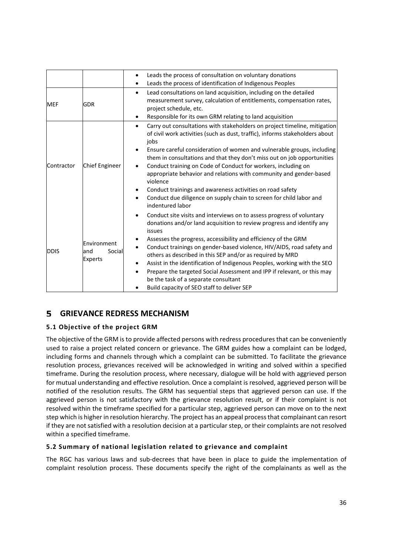|             |                                                 | Leads the process of consultation on voluntary donations<br>$\bullet$<br>Leads the process of identification of Indigenous Peoples<br>$\bullet$                                                                                                                                                                                                                                                                                                                                                                                                                                                                                                                  |
|-------------|-------------------------------------------------|------------------------------------------------------------------------------------------------------------------------------------------------------------------------------------------------------------------------------------------------------------------------------------------------------------------------------------------------------------------------------------------------------------------------------------------------------------------------------------------------------------------------------------------------------------------------------------------------------------------------------------------------------------------|
| <b>MEF</b>  | <b>GDR</b>                                      | Lead consultations on land acquisition, including on the detailed<br>$\bullet$<br>measurement survey, calculation of entitlements, compensation rates,<br>project schedule, etc.<br>Responsible for its own GRM relating to land acquisition<br>$\bullet$                                                                                                                                                                                                                                                                                                                                                                                                        |
| Contractor  | Chief Engineer                                  | Carry out consultations with stakeholders on project timeline, mitigation<br>$\bullet$<br>of civil work activities (such as dust, traffic), informs stakeholders about<br>jobs<br>Ensure careful consideration of women and vulnerable groups, including<br>them in consultations and that they don't miss out on job opportunities<br>Conduct training on Code of Conduct for workers, including on<br>appropriate behavior and relations with community and gender-based<br>violence<br>Conduct trainings and awareness activities on road safety<br>٠<br>Conduct due diligence on supply chain to screen for child labor and<br>$\bullet$<br>indentured labor |
| <b>DDIS</b> | Environment<br>land<br>Social<br><b>Experts</b> | Conduct site visits and interviews on to assess progress of voluntary<br>$\bullet$<br>donations and/or land acquisition to review progress and identify any<br>issues<br>Assesses the progress, accessibility and efficiency of the GRM<br>٠<br>Conduct trainings on gender-based violence, HIV/AIDS, road safety and<br>$\bullet$<br>others as described in this SEP and/or as required by MRD<br>Assist in the identification of Indigenous Peoples, working with the SEO<br>Prepare the targeted Social Assessment and IPP if relevant, or this may<br>$\bullet$<br>be the task of a separate consultant<br>Build capacity of SEO staff to deliver SEP        |

#### 5 **GRIEVANCE REDRESS MECHANISM**

#### **5.1 Objective of the project GRM**

The objective of the GRM is to provide affected persons with redress procedures that can be conveniently used to raise a project related concern or grievance. The GRM guides how a complaint can be lodged, including forms and channels through which a complaint can be submitted. To facilitate the grievance resolution process, grievances received will be acknowledged in writing and solved within a specified timeframe. During the resolution process, where necessary, dialogue will be hold with aggrieved person for mutual understanding and effective resolution. Once a complaint is resolved, aggrieved person will be notified of the resolution results. The GRM has sequential steps that aggrieved person can use. If the aggrieved person is not satisfactory with the grievance resolution result, or if their complaint is not resolved within the timeframe specified for a particular step, aggrieved person can move on to the next step which is higher in resolution hierarchy. The project has an appeal process that complainant can resort if they are not satisfied with a resolution decision at a particular step, or their complaints are not resolved within a specified timeframe.

#### **5.2 Summary of national legislation related to grievance and complaint**

The RGC has various laws and sub-decrees that have been in place to guide the implementation of complaint resolution process. These documents specify the right of the complainants as well as the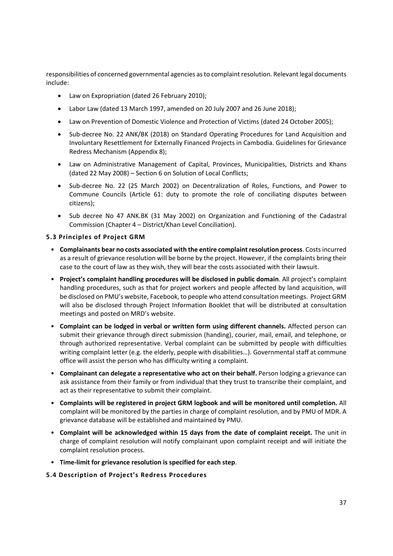responsibilities of concerned governmental agencies as to complaint resolution. Relevant legal documents include:

- Law on Expropriation (dated 26 February 2010);
- Labor Law (dated 13 March 1997, amended on 20 July 2007 and 26 June 2018);
- Law on Prevention of Domestic Violence and Protection of Victims (dated 24 October 2005);
- Sub-decree No. 22 ANK/BK (2018) on Standard Operating Procedures for Land Acquisition and Involuntary Resettlement for Externally Financed Projects in Cambodia. Guidelines for Grievance Redress Mechanism (Appendix 8);
- Law on Administrative Management of Capital, Provinces, Municipalities, Districts and Khans (dated 22 May 2008) – Section 6 on Solution of Local Conflicts;
- Sub-decree No. 22 (25 March 2002) on Decentralization of Roles, Functions, and Power to Commune Councils (Article 61: duty to promote the role of conciliating disputes between citizens);
- Sub decree No 47 ANK.BK (31 May 2002) on Organization and Functioning of the Cadastral Commission (Chapter 4 – District/Khan Level Conciliation).

#### **5.3 Principles of Project GRM**

- **Complainants bear no costs associated with the entire complaint resolution process**. Costs incurred as a result of grievance resolution will be borne by the project. However, if the complaints bring their case to the court of law as they wish, they will bear the costs associated with their lawsuit.
- **Project's complaint handling procedures will be disclosed in public domain**. All project's complaint handling procedures, such as that for project workers and people affected by land acquisition, will be disclosed on PMU's website, Facebook, to people who attend consultation meetings. Project GRM will also be disclosed through Project Information Booklet that will be distributed at consultation meetings and posted on MRD's website.
- **Complaint can be lodged in verbal or written form using different channels.** Affected person can submit their grievance through direct submission (handing), courier, mail, email, and telephone, or through authorized representative. Verbal complaint can be submitted by people with difficulties writing complaint letter (e.g. the elderly, people with disabilities…). Governmental staff at commune office will assist the person who has difficulty writing a complaint.
- **Complainant can delegate a representative who act on their behalf.** Person lodging a grievance can ask assistance from their family or from individual that they trust to transcribe their complaint, and act as their representative to submit their complaint.
- **Complaints will be registered in project GRM logbook and will be monitored until completion.** All complaint will be monitored by the parties in charge of complaint resolution, and by PMU of MDR. A grievance database will be established and maintained by PMU.
- **Complaint will be acknowledged within 15 days from the date of complaint receipt.** The unit in charge of complaint resolution will notify complainant upon complaint receipt and will initiate the complaint resolution process.
- **Time‐limit for grievance resolution is specified for each step**.

#### **5.4 Description of Project's Redress Procedures**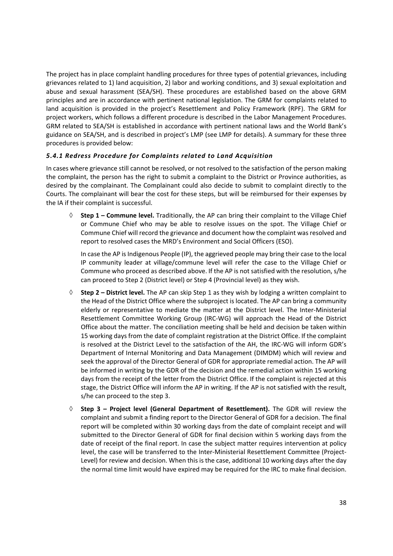The project has in place complaint handling procedures for three types of potential grievances, including grievances related to 1) land acquisition, 2) labor and working conditions, and 3) sexual exploitation and abuse and sexual harassment (SEA/SH). These procedures are established based on the above GRM principles and are in accordance with pertinent national legislation. The GRM for complaints related to land acquisition is provided in the project's Resettlement and Policy Framework (RPF). The GRM for project workers, which follows a different procedure is described in the Labor Management Procedures. GRM related to SEA/SH is established in accordance with pertinent national laws and the World Bank's guidance on SEA/SH, and is described in project's LMP (see LMP for details). A summary for these three procedures is provided below:

#### *5.4.1 Redress Procedure for Complaints related to Land Acquisition*

In cases where grievance still cannot be resolved, or not resolved to the satisfaction of the person making the complaint, the person has the right to submit a complaint to the District or Province authorities, as desired by the complainant. The Complainant could also decide to submit to complaint directly to the Courts. The complainant will bear the cost for these steps, but will be reimbursed for their expenses by the IA if their complaint is successful.

 **Step 1 – Commune level.** Traditionally, the AP can bring their complaint to the Village Chief or Commune Chief who may be able to resolve issues on the spot. The Village Chief or Commune Chief will record the grievance and document how the complaint was resolved and report to resolved cases the MRD's Environment and Social Officers (ESO).

In case the AP is Indigenous People (IP), the aggrieved people may bring their case to the local IP community leader at village/commune level will refer the case to the Village Chief or Commune who proceed as described above. If the AP is not satisfied with the resolution, s/he can proceed to Step 2 (District level) or Step 4 (Provincial level) as they wish.

- **Step 2 District level.** The AP can skip Step 1 as they wish by lodging a written complaint to the Head of the District Office where the subproject is located. The AP can bring a community elderly or representative to mediate the matter at the District level. The Inter-Ministerial Resettlement Committee Working Group (IRC‐WG) will approach the Head of the District Office about the matter. The conciliation meeting shall be held and decision be taken within 15 working days from the date of complaint registration at the District Office. If the complaint is resolved at the District Level to the satisfaction of the AH, the IRC‐WG will inform GDR's Department of Internal Monitoring and Data Management (DIMDM) which will review and seek the approval of the Director General of GDR for appropriate remedial action. The AP will be informed in writing by the GDR of the decision and the remedial action within 15 working days from the receipt of the letter from the District Office. If the complaint is rejected at this stage, the District Office will inform the AP in writing. If the AP is not satisfied with the result, s/he can proceed to the step 3.
- **Step 3 Project level (General Department of Resettlement).** The GDR will review the complaint and submit a finding report to the Director General of GDR for a decision. The final report will be completed within 30 working days from the date of complaint receipt and will submitted to the Director General of GDR for final decision within 5 working days from the date of receipt of the final report. In case the subject matter requires intervention at policy level, the case will be transferred to the Inter-Ministerial Resettlement Committee (Project-Level) for review and decision. When this is the case, additional 10 working days after the day the normal time limit would have expired may be required for the IRC to make final decision.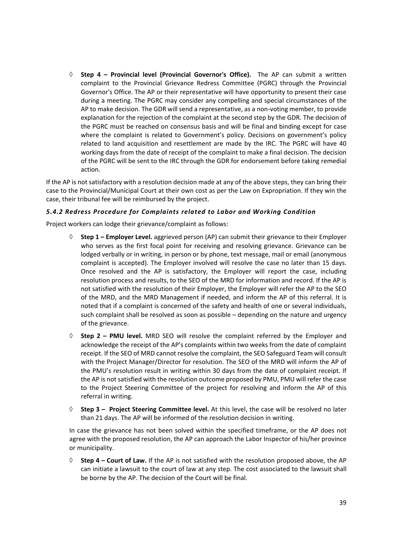**Step 4 – Provincial level (Provincial Governor's Office).** The AP can submit a written complaint to the Provincial Grievance Redress Committee (PGRC) through the Provincial Governor's Office. The AP or their representative will have opportunity to present their case during a meeting. The PGRC may consider any compelling and special circumstances of the AP to make decision. The GDR will send a representative, as a non‐voting member, to provide explanation for the rejection of the complaint at the second step by the GDR. The decision of the PGRC must be reached on consensus basis and will be final and binding except for case where the complaint is related to Government's policy. Decisions on government's policy related to land acquisition and resettlement are made by the IRC. The PGRC will have 40 working days from the date of receipt of the complaint to make a final decision. The decision of the PGRC will be sent to the IRC through the GDR for endorsement before taking remedial action.

If the AP is not satisfactory with a resolution decision made at any of the above steps, they can bring their case to the Provincial/Municipal Court at their own cost as per the Law on Expropriation. If they win the case, their tribunal fee will be reimbursed by the project.

#### *5.4.2 Redress Procedure for Complaints related to Labor and Working Condition*

Project workers can lodge their grievance/complaint as follows:

- **Step 1 Employer Level.** aggrieved person (AP) can submit their grievance to their Employer who serves as the first focal point for receiving and resolving grievance. Grievance can be lodged verbally or in writing, in person or by phone, text message, mail or email (anonymous complaint is accepted). The Employer involved will resolve the case no later than 15 days. Once resolved and the AP is satisfactory, the Employer will report the case, including resolution process and results, to the SEO of the MRD for information and record. If the AP is not satisfied with the resolution of their Employer, the Employer will refer the AP to the SEO of the MRD, and the MRD Management if needed, and inform the AP of this referral. It is noted that if a complaint is concerned of the safety and health of one or several individuals, such complaint shall be resolved as soon as possible – depending on the nature and urgency of the grievance.
- $\Diamond$  **Step 2 PMU level.** MRD SEO will resolve the complaint referred by the Employer and acknowledge the receipt of the AP's complaints within two weeks from the date of complaint receipt. If the SEO of MRD cannot resolve the complaint, the SEO Safeguard Team will consult with the Project Manager/Director for resolution. The SEO of the MRD will inform the AP of the PMU's resolution result in writing within 30 days from the date of complaint receipt. If the AP is not satisfied with the resolution outcome proposed by PMU, PMU will refer the case to the Project Steering Committee of the project for resolving and inform the AP of this referral in writing.
- **Step 3 Project Steering Committee level.** At this level, the case will be resolved no later than 21 days. The AP will be informed of the resolution decision in writing.

In case the grievance has not been solved within the specified timeframe, or the AP does not agree with the proposed resolution, the AP can approach the Labor Inspector of his/her province or municipality.

 **Step 4 – Court of Law.** If the AP is not satisfied with the resolution proposed above, the AP can initiate a lawsuit to the court of law at any step. The cost associated to the lawsuit shall be borne by the AP. The decision of the Court will be final.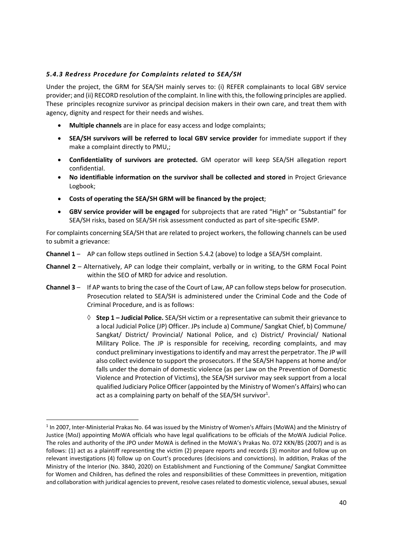#### *5.4.3 Redress Procedure for Complaints related to SEA/SH*

Under the project, the GRM for SEA/SH mainly serves to: (i) REFER complainants to local GBV service provider; and (ii) RECORD resolution of the complaint. In line with this, the following principles are applied. These principles recognize survivor as principal decision makers in their own care, and treat them with agency, dignity and respect for their needs and wishes.

- **Multiple channels** are in place for easy access and lodge complaints;
- **SEA/SH survivors will be referred to local GBV service provider** for immediate support if they make a complaint directly to PMU,;
- **Confidentiality of survivors are protected.** GM operator will keep SEA/SH allegation report confidential.
- **No identifiable information on the survivor shall be collected and stored** in Project Grievance Logbook;
- **Costs of operating the SEA/SH GRM will be financed by the project**;
- **GBV service provider will be engaged** for subprojects that are rated "High" or "Substantial" for SEA/SH risks, based on SEA/SH risk assessment conducted as part of site‐specific ESMP.

For complaints concerning SEA/SH that are related to project workers, the following channels can be used to submit a grievance:

- **Channel 1** AP can follow steps outlined in Section 5.4.2 (above) to lodge a SEA/SH complaint.
- **Channel 2** Alternatively, AP can lodge their complaint, verbally or in writing, to the GRM Focal Point within the SEO of MRD for advice and resolution.
- **Channel 3** If AP wants to bring the case of the Court of Law, AP can follow steps below for prosecution. Prosecution related to SEA/SH is administered under the Criminal Code and the Code of Criminal Procedure, and is as follows:
	- **Step 1 Judicial Police.** SEA/SH victim or a representative can submit their grievance to a local Judicial Police (JP) Officer. JPs include a) Commune/ Sangkat Chief, b) Commune/ Sangkat/ District/ Provincial/ National Police, and c) District/ Provincial/ National Military Police. The JP is responsible for receiving, recording complaints, and may conduct preliminary investigations to identify and may arrest the perpetrator. The JP will also collect evidence to support the prosecutors. If the SEA/SH happens at home and/or falls under the domain of domestic violence (as per Law on the Prevention of Domestic Violence and Protection of Victims), the SEA/SH survivor may seek support from a local qualified Judiciary Police Officer (appointed by the Ministry of Women's Affairs) who can act as a complaining party on behalf of the SEA/SH survivor<sup>1</sup>.

<sup>&</sup>lt;sup>1</sup> In 2007, Inter-Ministerial Prakas No. 64 was issued by the Ministry of Women's Affairs (MoWA) and the Ministry of Justice (MoJ) appointing MoWA officials who have legal qualifications to be officials of the MoWA Judicial Police. The roles and authority of the JPO under MoWA is defined in the MoWA's Prakas No. 072 KKN/BS (2007) and is as follows: (1) act as a plaintiff representing the victim (2) prepare reports and records (3) monitor and follow up on relevant investigations (4) follow up on Court's procedures (decisions and convictions). In addition, Prakas of the Ministry of the Interior (No. 3840, 2020) on Establishment and Functioning of the Commune/ Sangkat Committee for Women and Children, has defined the roles and responsibilities of these Committees in prevention, mitigation and collaboration with juridical agencies to prevent, resolve cases related to domestic violence, sexual abuses, sexual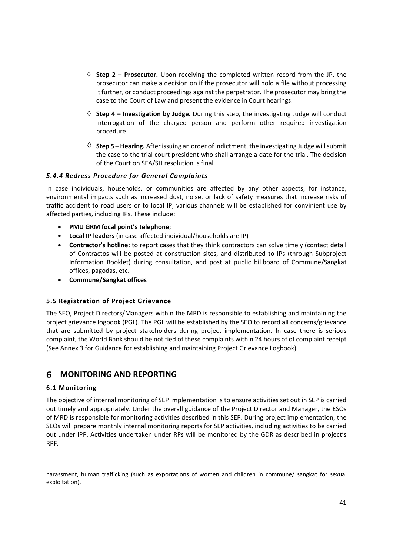- $\Diamond$  **Step 2 Prosecutor.** Upon receiving the completed written record from the JP, the prosecutor can make a decision on if the prosecutor will hold a file without processing it further, or conduct proceedings against the perpetrator. The prosecutor may bring the case to the Court of Law and present the evidence in Court hearings.
- **Step 4 Investigation by Judge.** During this step, the investigating Judge will conduct interrogation of the charged person and perform other required investigation procedure.
- $\Diamond$  **Step 5 Hearing.** After issuing an order of indictment, the investigating Judge will submit the case to the trial court president who shall arrange a date for the trial. The decision of the Court on SEA/SH resolution is final.

#### *5.4.4 Redress Procedure for General Complaints*

In case individuals, households, or communities are affected by any other aspects, for instance, environmental impacts such as increased dust, noise, or lack of safety measures that increase risks of traffic accident to road users or to local IP, various channels will be established for convinient use by affected parties, including IPs. These include:

- **PMU GRM focal point's telephone**;
- **Local IP leaders** (in case affected individual/households are IP)
- **Contractor's hotline:** to report cases that they think contractors can solve timely (contact detail of Contractos will be posted at construction sites, and distributed to IPs (through Subproject Information Booklet) during consultation, and post at public billboard of Commune/Sangkat offices, pagodas, etc.
- **Commune/Sangkat offices**

#### **5.5 Registration of Project Grievance**

The SEO, Project Directors/Managers within the MRD is responsible to establishing and maintaining the project grievance logbook (PGL). The PGL will be established by the SEO to record all concerns/grievance that are submitted by project stakeholders during project implementation. In case there is serious complaint, the World Bank should be notified of these complaints within 24 hours of of complaint receipt (See Annex 3 for Guidance for establishing and maintaining Project Grievance Logbook).

#### 6 **MONITORING AND REPORTING**

#### **6.1 Monitoring**

The objective of internal monitoring of SEP implementation is to ensure activities set out in SEP is carried out timely and appropriately. Under the overall guidance of the Project Director and Manager, the ESOs of MRD is responsible for monitoring activities described in this SEP. During project implementation, the SEOs will prepare monthly internal monitoring reports for SEP activities, including activities to be carried out under IPP. Activities undertaken under RPs will be monitored by the GDR as described in project's RPF.

harassment, human trafficking (such as exportations of women and children in commune/ sangkat for sexual exploitation).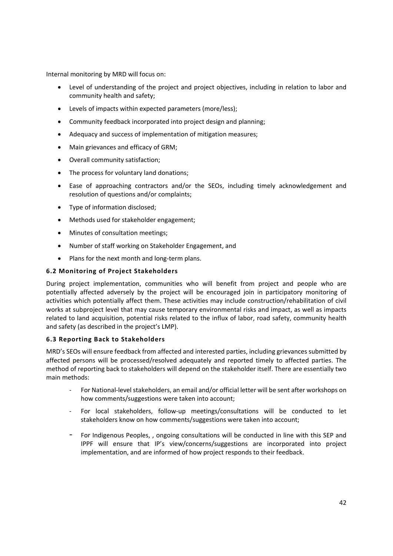Internal monitoring by MRD will focus on:

- Level of understanding of the project and project objectives, including in relation to labor and community health and safety;
- Levels of impacts within expected parameters (more/less);
- Community feedback incorporated into project design and planning;
- Adequacy and success of implementation of mitigation measures;
- Main grievances and efficacy of GRM;
- Overall community satisfaction;
- The process for voluntary land donations;
- Ease of approaching contractors and/or the SEOs, including timely acknowledgement and resolution of questions and/or complaints;
- Type of information disclosed;
- Methods used for stakeholder engagement;
- Minutes of consultation meetings;
- Number of staff working on Stakeholder Engagement, and
- Plans for the next month and long-term plans.

#### **6.2 Monitoring of Project Stakeholders**

During project implementation, communities who will benefit from project and people who are potentially affected adversely by the project will be encouraged join in participatory monitoring of activities which potentially affect them. These activities may include construction/rehabilitation of civil works at subproject level that may cause temporary environmental risks and impact, as well as impacts related to land acquisition, potential risks related to the influx of labor, road safety, community health and safety (as described in the project's LMP).

#### **6.3 Reporting Back to Stakeholders**

MRD's SEOs will ensure feedback from affected and interested parties, including grievances submitted by affected persons will be processed/resolved adequately and reported timely to affected parties. The method of reporting back to stakeholders will depend on the stakeholder itself. There are essentially two main methods:

- For National-level stakeholders, an email and/or official letter will be sent after workshops on how comments/suggestions were taken into account;
- ‐ For local stakeholders, follow‐up meetings/consultations will be conducted to let stakeholders know on how comments/suggestions were taken into account;
- ‐ For Indigenous Peoples, , ongoing consultations will be conducted in line with this SEP and IPPF will ensure that IP's view/concerns/suggestions are incorporated into project implementation, and are informed of how project responds to their feedback.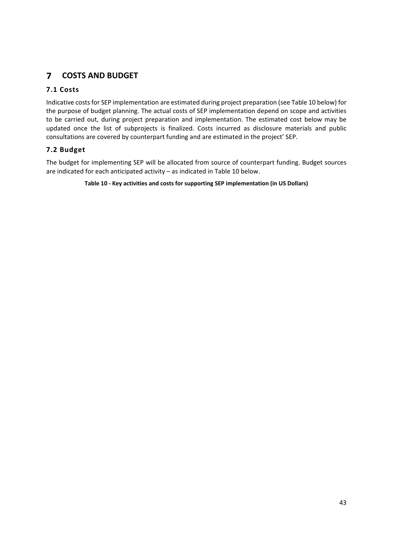#### $\overline{7}$ **COSTS AND BUDGET**

#### **7.1 Costs**

Indicative costs for SEP implementation are estimated during project preparation (see Table 10 below) for the purpose of budget planning. The actual costs of SEP implementation depend on scope and activities to be carried out, during project preparation and implementation. The estimated cost below may be updated once the list of subprojects is finalized. Costs incurred as disclosure materials and public consultations are covered by counterpart funding and are estimated in the project' SEP.

#### **7.2 Budget**

The budget for implementing SEP will be allocated from source of counterpart funding. Budget sources are indicated for each anticipated activity – as indicated in Table 10 below.

**Table 10 ‐ Key activities and costs for supporting SEP implementation (in US Dollars)**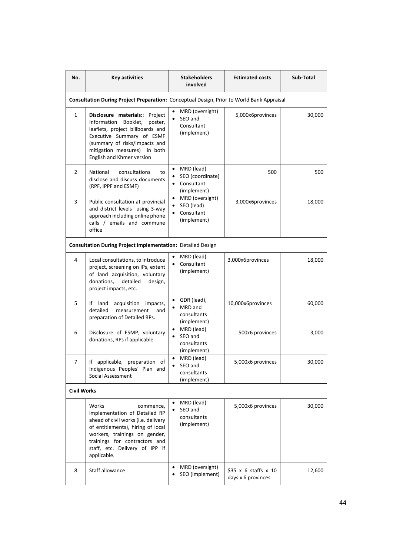| No.                | <b>Key activities</b>                                                                                                                                                                                                                              | <b>Stakeholders</b><br>involved                                                      | <b>Estimated costs</b>                                  | Sub-Total |
|--------------------|----------------------------------------------------------------------------------------------------------------------------------------------------------------------------------------------------------------------------------------------------|--------------------------------------------------------------------------------------|---------------------------------------------------------|-----------|
|                    | Consultation During Project Preparation: Conceptual Design, Prior to World Bank Appraisal                                                                                                                                                          |                                                                                      |                                                         |           |
| $\mathbf{1}$       | Disclosure materials:: Project<br>Booklet,<br>Information<br>poster,<br>leaflets, project billboards and<br>Executive Summary of ESMF<br>(summary of risks/impacts and<br>mitigation measures) in both<br>English and Khmer version                | MRD (oversight)<br>SEO and<br>Consultant<br>(implement)                              | 5,000x6provinces                                        | 30,000    |
| 2                  | National<br>consultations<br>to<br>disclose and discuss documents<br>(RPF, IPPF and ESMF)                                                                                                                                                          | MRD (lead)<br>SEO (coordinate)<br>Consultant<br>(implement)                          | 500                                                     | 500       |
| 3                  | Public consultation at provincial<br>and district levels using 3-way<br>approach including online phone<br>calls / emails and commune<br>office                                                                                                    | MRD (oversight)<br>$\bullet$<br>SEO (lead)<br>Consultant<br>$\bullet$<br>(implement) | 3,000x6provinces                                        | 18,000    |
|                    | Consultation During Project Implementation: Detailed Design                                                                                                                                                                                        |                                                                                      |                                                         |           |
| 4                  | Local consultations, to introduce<br>project, screening on IPs, extent<br>of land acquisition, voluntary<br>donations,<br>detailed<br>design,<br>project impacts, etc.                                                                             | MRD (lead)<br>Consultant<br>(implement)                                              | 3,000x6provinces                                        | 18,000    |
| 5                  | If land<br>acquisition<br>impacts,<br>detailed<br>measurement<br>and<br>preparation of Detailed RPs.                                                                                                                                               | GDR (lead),<br>٠<br>MRD and<br>$\bullet$<br>consultants<br>(implement)               | 10,000x6provinces                                       | 60,000    |
| 6                  | Disclosure of ESMP, voluntary<br>donations, RPs if applicable                                                                                                                                                                                      | MRD (lead)<br>$\bullet$<br>SEO and<br>$\bullet$<br>consultants<br>(implement)        | 500x6 provinces                                         | 3,000     |
| 7                  | If applicable, preparation of<br>Indigenous Peoples' Plan and<br>Social Assessment                                                                                                                                                                 | MRD (lead)<br>SEO and<br>consultants<br>(implement)                                  | 5,000x6 provinces                                       | 30,000    |
| <b>Civil Works</b> |                                                                                                                                                                                                                                                    |                                                                                      |                                                         |           |
|                    | Works<br>commence,<br>implementation of Detailed RP<br>ahead of civil works (i.e. delivery<br>of entitlements), hiring of local<br>workers, trainings on gender,<br>trainings for contractors and<br>staff, etc. Delivery of IPP if<br>applicable. | MRD (lead)<br>SEO and<br>consultants<br>(implement)                                  | 5,000x6 provinces                                       | 30,000    |
| 8                  | Staff allowance                                                                                                                                                                                                                                    | MRD (oversight)<br>$\bullet$<br>SEO (implement)<br>$\bullet$                         | $$35 \times 6$ staffs $\times 10$<br>days x 6 provinces | 12,600    |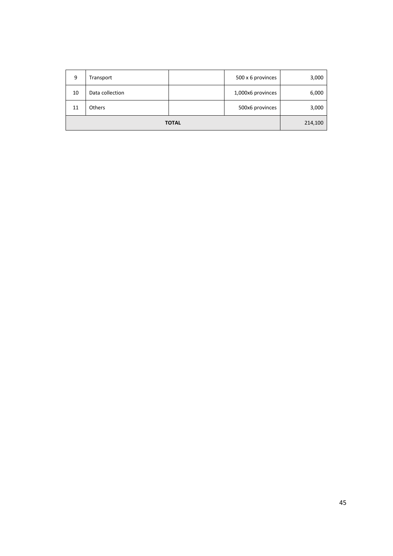|    | <b>TOTAL</b>    |  |                   | 214,100 |
|----|-----------------|--|-------------------|---------|
| 11 | <b>Others</b>   |  | 500x6 provinces   | 3,000   |
| 10 | Data collection |  | 1,000x6 provinces | 6,000   |
| 9  | Transport       |  | 500 x 6 provinces | 3,000   |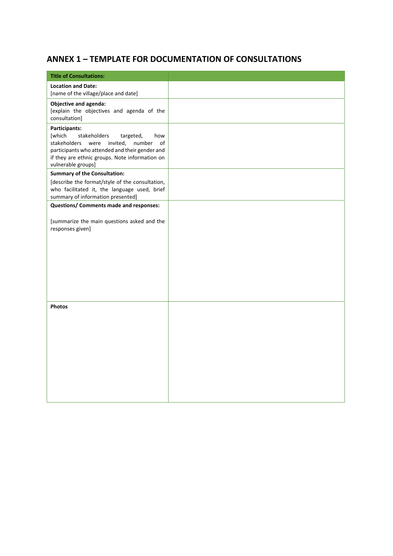## **ANNEX 1 – TEMPLATE FOR DOCUMENTATION OF CONSULTATIONS**

| <b>Title of Consultations:</b>                                                                                                                                                                                                         |  |
|----------------------------------------------------------------------------------------------------------------------------------------------------------------------------------------------------------------------------------------|--|
| <b>Location and Date:</b><br>[name of the village/place and date]                                                                                                                                                                      |  |
| Objective and agenda:<br>[explain the objectives and agenda of the<br>consultation]                                                                                                                                                    |  |
| Participants:<br>stakeholders<br>[which<br>targeted,<br>how<br>stakeholders<br>were invited,<br>number<br>of<br>participants who attended and their gender and<br>if they are ethnic groups. Note information on<br>vulnerable groups] |  |
| <b>Summary of the Consultation:</b>                                                                                                                                                                                                    |  |
| [describe the format/style of the consultation,<br>who facilitated it, the language used, brief<br>summary of information presented]                                                                                                   |  |
| Questions/ Comments made and responses:                                                                                                                                                                                                |  |
| [summarize the main questions asked and the<br>responses given]                                                                                                                                                                        |  |
| <b>Photos</b>                                                                                                                                                                                                                          |  |
|                                                                                                                                                                                                                                        |  |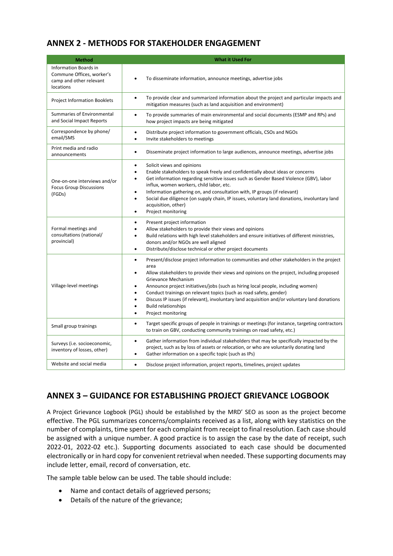## **ANNEX 2 ‐ METHODS FOR STAKEHOLDER ENGAGEMENT**

| <b>Method</b>                                                                                     | <b>What it Used For</b>                                                                                                                                                                                                                                                                                                                                                                                                                                                                                                                                                                       |
|---------------------------------------------------------------------------------------------------|-----------------------------------------------------------------------------------------------------------------------------------------------------------------------------------------------------------------------------------------------------------------------------------------------------------------------------------------------------------------------------------------------------------------------------------------------------------------------------------------------------------------------------------------------------------------------------------------------|
| <b>Information Boards in</b><br>Commune Offices, worker's<br>camp and other relevant<br>locations | To disseminate information, announce meetings, advertise jobs<br>$\bullet$                                                                                                                                                                                                                                                                                                                                                                                                                                                                                                                    |
| <b>Project Information Booklets</b>                                                               | To provide clear and summarized information about the project and particular impacts and<br>$\bullet$<br>mitigation measures (such as land acquisition and environment)                                                                                                                                                                                                                                                                                                                                                                                                                       |
| Summaries of Environmental<br>and Social Impact Reports                                           | To provide summaries of main environmental and social documents (ESMP and RPs) and<br>$\bullet$<br>how project impacts are being mitigated                                                                                                                                                                                                                                                                                                                                                                                                                                                    |
| Correspondence by phone/<br>email/SMS                                                             | Distribute project information to government officials, CSOs and NGOs<br>$\bullet$<br>Invite stakeholders to meetings<br>$\bullet$                                                                                                                                                                                                                                                                                                                                                                                                                                                            |
| Print media and radio<br>announcements                                                            | Disseminate project information to large audiences, announce meetings, advertise jobs<br>$\bullet$                                                                                                                                                                                                                                                                                                                                                                                                                                                                                            |
| One-on-one interviews and/or<br><b>Focus Group Discussions</b><br>(FGDs)                          | Solicit views and opinions<br>$\bullet$<br>Enable stakeholders to speak freely and confidentially about ideas or concerns<br>٠<br>Get information regarding sensitive issues such as Gender Based Violence (GBV), labor<br>٠<br>influx, women workers, child labor, etc.<br>Information gathering on, and consultation with, IP groups (if relevant)<br>$\bullet$<br>Social due diligence (on supply chain, IP issues, voluntary land donations, involuntary land<br>$\bullet$<br>acquisition, other)<br>Project monitoring<br>$\bullet$                                                      |
| Formal meetings and<br>consultations (national/<br>provincial)                                    | Present project information<br>Allow stakeholders to provide their views and opinions<br>$\bullet$<br>Build relations with high level stakeholders and ensure initiatives of different ministries,<br>donors and/or NGOs are well aligned<br>Distribute/disclose technical or other project documents<br>$\bullet$                                                                                                                                                                                                                                                                            |
| Village-level meetings                                                                            | Present/disclose project information to communities and other stakeholders in the project<br>$\bullet$<br>area<br>Allow stakeholders to provide their views and opinions on the project, including proposed<br>$\bullet$<br>Grievance Mechanism<br>Announce project initiatives/jobs (such as hiring local people, including women)<br>Conduct trainings on relevant topics (such as road safety, gender)<br>$\bullet$<br>Discuss IP issues (if relevant), involuntary land acquisition and/or voluntary land donations<br><b>Build relationships</b><br>$\bullet$<br>Project monitoring<br>٠ |
| Small group trainings                                                                             | Target specific groups of people in trainings or meetings (for instance, targeting contractors<br>$\bullet$<br>to train on GBV, conducting community trainings on road safety, etc.)                                                                                                                                                                                                                                                                                                                                                                                                          |
| Surveys (i.e. socioeconomic,<br>inventory of losses, other)                                       | Gather information from individual stakeholders that may be specifically impacted by the<br>$\bullet$<br>project, such as by loss of assets or relocation, or who are voluntarily donating land<br>Gather information on a specific topic (such as IPs)<br>$\bullet$                                                                                                                                                                                                                                                                                                                          |
| Website and social media                                                                          | $\bullet$<br>Disclose project information, project reports, timelines, project updates                                                                                                                                                                                                                                                                                                                                                                                                                                                                                                        |

### **ANNEX 3 – GUIDANCE FOR ESTABLISHING PROJECT GRIEVANCE LOGBOOK**

A Project Grievance Logbook (PGL) should be established by the MRD' SEO as soon as the project become effective. The PGL summarizes concerns/complaints received as a list, along with key statistics on the number of complaints, time spent for each complaint from receipt to final resolution. Each case should be assigned with a unique number. A good practice is to assign the case by the date of receipt, such 2022‐01, 2022‐02 etc.). Supporting documents associated to each case should be documented electronically or in hard copy for convenient retrieval when needed. These supporting documents may include letter, email, record of conversation, etc.

The sample table below can be used. The table should include:

- Name and contact details of aggrieved persons;
- Details of the nature of the grievance;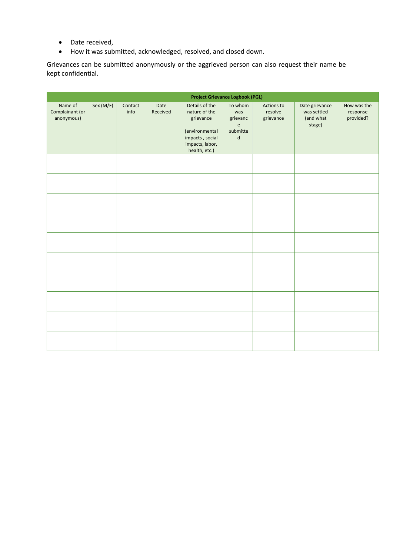- Date received,
- How it was submitted, acknowledged, resolved, and closed down.

Grievances can be submitted anonymously or the aggrieved person can also request their name be kept confidential.

| <b>Project Grievance Logbook (PGL)</b>   |           |                 |                  |                                                                                                                       |                                                                                           |                                    |                                                      |                                      |
|------------------------------------------|-----------|-----------------|------------------|-----------------------------------------------------------------------------------------------------------------------|-------------------------------------------------------------------------------------------|------------------------------------|------------------------------------------------------|--------------------------------------|
| Name of<br>Complainant (or<br>anonymous) | Sex (M/F) | Contact<br>info | Date<br>Received | Details of the<br>nature of the<br>grievance<br>(environmental<br>impacts, social<br>impacts, labor,<br>health, etc.) | To whom<br>was<br>grievanc<br>$\mathsf{e}% _{0}\left( \mathsf{e}\right)$<br>submitte<br>d | Actions to<br>resolve<br>grievance | Date grievance<br>was settled<br>(and what<br>stage) | How was the<br>response<br>provided? |
|                                          |           |                 |                  |                                                                                                                       |                                                                                           |                                    |                                                      |                                      |
|                                          |           |                 |                  |                                                                                                                       |                                                                                           |                                    |                                                      |                                      |
|                                          |           |                 |                  |                                                                                                                       |                                                                                           |                                    |                                                      |                                      |
|                                          |           |                 |                  |                                                                                                                       |                                                                                           |                                    |                                                      |                                      |
|                                          |           |                 |                  |                                                                                                                       |                                                                                           |                                    |                                                      |                                      |
|                                          |           |                 |                  |                                                                                                                       |                                                                                           |                                    |                                                      |                                      |
|                                          |           |                 |                  |                                                                                                                       |                                                                                           |                                    |                                                      |                                      |
|                                          |           |                 |                  |                                                                                                                       |                                                                                           |                                    |                                                      |                                      |
|                                          |           |                 |                  |                                                                                                                       |                                                                                           |                                    |                                                      |                                      |
|                                          |           |                 |                  |                                                                                                                       |                                                                                           |                                    |                                                      |                                      |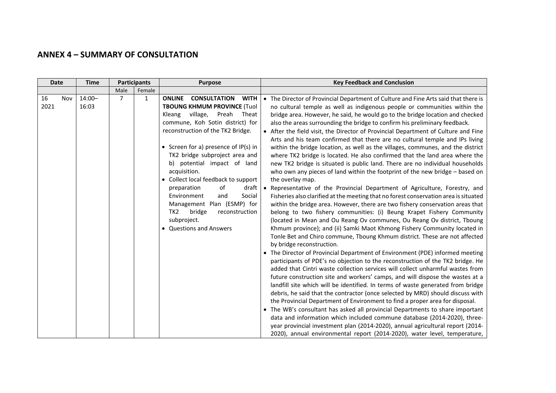#### **ANNEX 4 – SUMMARY OF CONSULTATION**

| <b>Date</b>       | <b>Time</b>        | <b>Participants</b> |        | <b>Purpose</b>                                                                                                                                                                                                                                                                                                                                                                                                                                                                                                                                              | <b>Key Feedback and Conclusion</b>                                                                                                                                                                                                                                                                                                                                                                                                                                                                                                                                                                                                                                                                                                                                                                                                                                                                                                                                                                                                                                                                                                                                                                                                                                                                                                                                                                                                                                                                                                                                                                                                                                                                                                                                                                                                                                                                                                                                                                                                                                                                                                                                                                                                                                                                                                                                                    |
|-------------------|--------------------|---------------------|--------|-------------------------------------------------------------------------------------------------------------------------------------------------------------------------------------------------------------------------------------------------------------------------------------------------------------------------------------------------------------------------------------------------------------------------------------------------------------------------------------------------------------------------------------------------------------|---------------------------------------------------------------------------------------------------------------------------------------------------------------------------------------------------------------------------------------------------------------------------------------------------------------------------------------------------------------------------------------------------------------------------------------------------------------------------------------------------------------------------------------------------------------------------------------------------------------------------------------------------------------------------------------------------------------------------------------------------------------------------------------------------------------------------------------------------------------------------------------------------------------------------------------------------------------------------------------------------------------------------------------------------------------------------------------------------------------------------------------------------------------------------------------------------------------------------------------------------------------------------------------------------------------------------------------------------------------------------------------------------------------------------------------------------------------------------------------------------------------------------------------------------------------------------------------------------------------------------------------------------------------------------------------------------------------------------------------------------------------------------------------------------------------------------------------------------------------------------------------------------------------------------------------------------------------------------------------------------------------------------------------------------------------------------------------------------------------------------------------------------------------------------------------------------------------------------------------------------------------------------------------------------------------------------------------------------------------------------------------|
|                   |                    | Male                | Female |                                                                                                                                                                                                                                                                                                                                                                                                                                                                                                                                                             |                                                                                                                                                                                                                                                                                                                                                                                                                                                                                                                                                                                                                                                                                                                                                                                                                                                                                                                                                                                                                                                                                                                                                                                                                                                                                                                                                                                                                                                                                                                                                                                                                                                                                                                                                                                                                                                                                                                                                                                                                                                                                                                                                                                                                                                                                                                                                                                       |
| 16<br>Nov<br>2021 | $14:00 -$<br>16:03 | 7                   | 1      | <b>CONSULTATION</b><br><b>WITH</b><br><b>ONLINE</b><br><b>TBOUNG KHMUM PROVINCE (Tuol</b><br>village, Preah Theat<br>Kleang<br>commune, Koh Sotin district) for<br>reconstruction of the TK2 Bridge.<br>• Screen for a) presence of $IP(s)$ in<br>TK2 bridge subproject area and<br>b) potential impact of land<br>acquisition.<br>• Collect local feedback to support<br>of<br>draft<br>preparation<br>Social<br>Environment<br>and<br>Management Plan (ESMP) for<br>TK <sub>2</sub><br>bridge<br>reconstruction<br>subproject.<br>• Questions and Answers | • The Director of Provincial Department of Culture and Fine Arts said that there is<br>no cultural temple as well as indigenous people or communities within the<br>bridge area. However, he said, he would go to the bridge location and checked<br>also the areas surrounding the bridge to confirm his preliminary feedback.<br>• After the field visit, the Director of Provincial Department of Culture and Fine<br>Arts and his team confirmed that there are no cultural temple and IPs living<br>within the bridge location, as well as the villages, communes, and the district<br>where TK2 bridge is located. He also confirmed that the land area where the<br>new TK2 bridge is situated is public land. There are no individual households<br>who own any pieces of land within the footprint of the new bridge - based on<br>the overlay map.<br>Representative of the Provincial Department of Agriculture, Forestry, and<br>Fisheries also clarified at the meeting that no forest conservation area is situated<br>within the bridge area. However, there are two fishery conservation areas that<br>belong to two fishery communities: (i) Beung Krapet Fishery Community<br>(located in Mean and Ou Reang Ov communes, Ou Reang Ov district, Tboung<br>Khmum province); and (ii) Samki Maot Khmong Fishery Community located in<br>Tonle Bet and Chiro commune, Tboung Khmum district. These are not affected<br>by bridge reconstruction.<br>• The Director of Provincial Department of Environment (PDE) informed meeting<br>participants of PDE's no objection to the reconstruction of the TK2 bridge. He<br>added that Cintri waste collection services will collect unharmful wastes from<br>future construction site and workers' camps, and will dispose the wastes at a<br>landfill site which will be identified. In terms of waste generated from bridge<br>debris, he said that the contractor (once selected by MRD) should discuss with<br>the Provincial Department of Environment to find a proper area for disposal.<br>• The WB's consultant has asked all provincial Departments to share important<br>data and information which included commune database (2014-2020), three-<br>year provincial investment plan (2014-2020), annual agricultural report (2014-<br>2020), annual environmental report (2014-2020), water level, temperature, |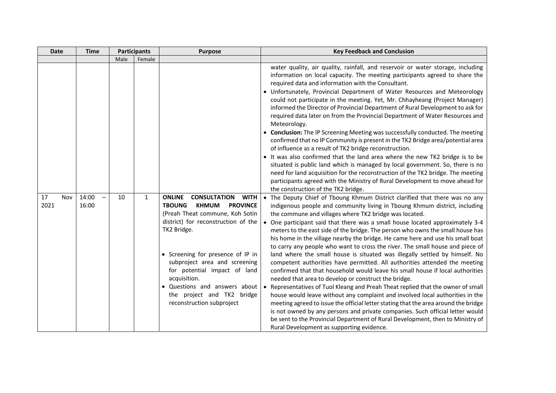| <b>Date</b>       | <b>Time</b>    | <b>Participants</b> |        | <b>Purpose</b>                                                                                                                                                                                                                                                                                                                                                                                                     | <b>Key Feedback and Conclusion</b>                                                                                                                                                                                                                                                                                                                                                                                                                                                                                                                                                                                                                                                                                                                                                                                                                                                                                                                                                                                                                                                                                                                                                                                                                                                                                                           |  |
|-------------------|----------------|---------------------|--------|--------------------------------------------------------------------------------------------------------------------------------------------------------------------------------------------------------------------------------------------------------------------------------------------------------------------------------------------------------------------------------------------------------------------|----------------------------------------------------------------------------------------------------------------------------------------------------------------------------------------------------------------------------------------------------------------------------------------------------------------------------------------------------------------------------------------------------------------------------------------------------------------------------------------------------------------------------------------------------------------------------------------------------------------------------------------------------------------------------------------------------------------------------------------------------------------------------------------------------------------------------------------------------------------------------------------------------------------------------------------------------------------------------------------------------------------------------------------------------------------------------------------------------------------------------------------------------------------------------------------------------------------------------------------------------------------------------------------------------------------------------------------------|--|
|                   |                | Male                | Female |                                                                                                                                                                                                                                                                                                                                                                                                                    |                                                                                                                                                                                                                                                                                                                                                                                                                                                                                                                                                                                                                                                                                                                                                                                                                                                                                                                                                                                                                                                                                                                                                                                                                                                                                                                                              |  |
|                   |                |                     |        |                                                                                                                                                                                                                                                                                                                                                                                                                    | water quality, air quality, rainfall, and reservoir or water storage, including<br>information on local capacity. The meeting participants agreed to share the<br>required data and information with the Consultant.<br>• Unfortunately, Provincial Department of Water Resources and Meteorology<br>could not participate in the meeting. Yet, Mr. Chhayheang (Project Manager)<br>informed the Director of Provincial Department of Rural Development to ask for<br>required data later on from the Provincial Department of Water Resources and<br>Meteorology.<br>• Conclusion: The IP Screening Meeting was successfully conducted. The meeting<br>confirmed that no IP Community is present in the TK2 Bridge area/potential area<br>of influence as a result of TK2 bridge reconstruction.<br>• It was also confirmed that the land area where the new TK2 bridge is to be<br>situated is public land which is managed by local government. So, there is no<br>need for land acquisition for the reconstruction of the TK2 bridge. The meeting<br>participants agreed with the Ministry of Rural Development to move ahead for<br>the construction of the TK2 bridge.                                                                                                                                                                 |  |
| 17<br>Nov<br>2021 | 14:00<br>16:00 | 10                  | 1      | <b>ONLINE</b><br><b>CONSULTATION</b><br><b>WITH</b><br><b>KHMUM</b><br><b>PROVINCE</b><br><b>TBOUNG</b><br>(Preah Theat commune, Koh Sotin<br>district) for reconstruction of the<br>TK2 Bridge.<br>• Screening for presence of IP in<br>subproject area and screening<br>for potential impact of land<br>acquisition.<br>• Questions and answers about<br>the project and TK2 bridge<br>reconstruction subproject | • The Deputy Chief of Tboung Khmum District clarified that there was no any<br>indigenous people and community living in Tboung Khmum district, including<br>the commune and villages where TK2 bridge was located.<br>• One participant said that there was a small house located approximately 3-4<br>meters to the east side of the bridge. The person who owns the small house has<br>his home in the village nearby the bridge. He came here and use his small boat<br>to carry any people who want to cross the river. The small house and piece of<br>land where the small house is situated was illegally settled by himself. No<br>competent authorities have permitted. All authorities attended the meeting<br>confirmed that that household would leave his small house if local authorities<br>needed that area to develop or construct the bridge.<br>• Representatives of Tuol Kleang and Preah Theat replied that the owner of small<br>house would leave without any complaint and involved local authorities in the<br>meeting agreed to issue the official letter stating that the area around the bridge<br>is not owned by any persons and private companies. Such official letter would<br>be sent to the Provincial Department of Rural Development, then to Ministry of<br>Rural Development as supporting evidence. |  |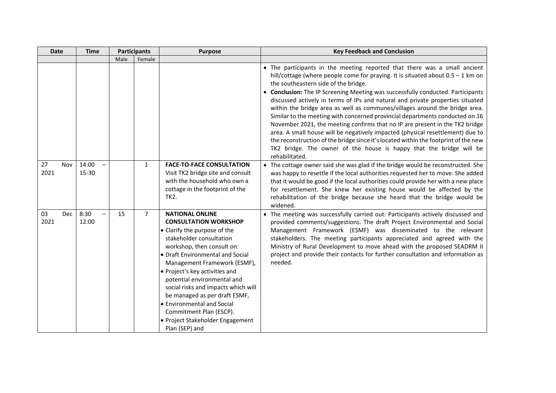| <b>Date</b>              | <b>Time</b>    | <b>Participants</b> |                | <b>Purpose</b>                                                                                                                                                                                                                                                                                                                                                                                                                                                               | <b>Key Feedback and Conclusion</b>                                                                                                                                                                                                                                                                                                                                                                                                                                                                                                                                                                                                                                                                                                                                                                                                                                                           |
|--------------------------|----------------|---------------------|----------------|------------------------------------------------------------------------------------------------------------------------------------------------------------------------------------------------------------------------------------------------------------------------------------------------------------------------------------------------------------------------------------------------------------------------------------------------------------------------------|----------------------------------------------------------------------------------------------------------------------------------------------------------------------------------------------------------------------------------------------------------------------------------------------------------------------------------------------------------------------------------------------------------------------------------------------------------------------------------------------------------------------------------------------------------------------------------------------------------------------------------------------------------------------------------------------------------------------------------------------------------------------------------------------------------------------------------------------------------------------------------------------|
|                          |                | Male                | Female         |                                                                                                                                                                                                                                                                                                                                                                                                                                                                              |                                                                                                                                                                                                                                                                                                                                                                                                                                                                                                                                                                                                                                                                                                                                                                                                                                                                                              |
|                          |                |                     |                |                                                                                                                                                                                                                                                                                                                                                                                                                                                                              | • The participants in the meeting reported that there was a small ancient<br>hill/cottage (where people come for praying. It is situated about $0.5 - 1$ km on<br>the southeastern side of the bridge.<br>• Conclusion: The IP Screening Meeting was successfully conducted. Participants<br>discussed actively in terms of IPs and natural and private properties situated<br>within the bridge area as well as communes/villages around the bridge area.<br>Similar to the meeting with concerned provincial departments conducted on 16<br>November 2021, the meeting confirms that no IP are present in the TK2 bridge<br>area. A small house will be negatively impacted (physical resettlement) due to<br>the reconstruction of the bridge since it's located within the footprint of the new<br>TK2 bridge. The owner of the house is happy that the bridge will be<br>rehabilitated. |
| 27<br>Nov<br>2021        | 14:00<br>15-30 |                     | $\mathbf{1}$   | <b>FACE-TO-FACE CONSULTATION</b><br>Visit TK2 bridge site and consult<br>with the household who own a<br>cottage in the footprint of the<br>TK2.                                                                                                                                                                                                                                                                                                                             | • The cottage owner said she was glad if the bridge would be reconstructed. She<br>was happy to resettle if the local authorities requested her to move. She added<br>that it would be good if the local authorities could provide her with a new place<br>for resettlement. She knew her existing house would be affected by the<br>rehabilitation of the bridge because she heard that the bridge would be<br>widened.                                                                                                                                                                                                                                                                                                                                                                                                                                                                     |
| 03<br><b>Dec</b><br>2021 | 8:30<br>12:00  | 15                  | $\overline{7}$ | <b>NATIONAL ONLINE</b><br><b>CONSULTATION WORKSHOP</b><br>• Clarify the purpose of the<br>stakeholder consultation<br>workshop, then consult on:<br>• Draft Environmental and Social<br>Management Framework (ESMF),<br>• Project's key activities and<br>potential environmental and<br>social risks and impacts which will<br>be managed as per draft ESMF,<br>• Environmental and Social<br>Commitment Plan (ESCP).<br>· Project Stakeholder Engagement<br>Plan (SEP) and | • The meeting was successfully carried out. Participants actively discussed and<br>provided comments/suggestions. The draft Project Environmental and Social<br>Management Framework (ESMF) was disseminated to the relevant<br>stakeholders. The meeting participants appreciated and agreed with the<br>Ministry of Rural Development to move ahead with the proposed SEADRM II<br>project and provide their contacts for further consultation and information as<br>needed.                                                                                                                                                                                                                                                                                                                                                                                                               |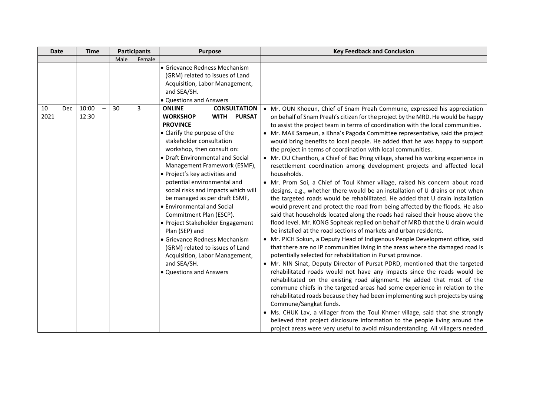| <b>Date</b> |     | <b>Time</b> | <b>Participants</b> |        | <b>Purpose</b>                                                                                                                                                                                                                                                                                                                                                                                                                                                                                                                                                                                                                           | <b>Key Feedback and Conclusion</b>                                                                                                                                                                                                                                                                                                                                                                                                                                                                                                                                                                                                                                                                                                                                                                                                                                                                                                                                                                                                                                                                                                                                                                                                                                                                                                                                                                                                                                                                                                                                                                                                                                                                                                                                                                                                                                                                                                                                                                                                                                                |  |  |
|-------------|-----|-------------|---------------------|--------|------------------------------------------------------------------------------------------------------------------------------------------------------------------------------------------------------------------------------------------------------------------------------------------------------------------------------------------------------------------------------------------------------------------------------------------------------------------------------------------------------------------------------------------------------------------------------------------------------------------------------------------|-----------------------------------------------------------------------------------------------------------------------------------------------------------------------------------------------------------------------------------------------------------------------------------------------------------------------------------------------------------------------------------------------------------------------------------------------------------------------------------------------------------------------------------------------------------------------------------------------------------------------------------------------------------------------------------------------------------------------------------------------------------------------------------------------------------------------------------------------------------------------------------------------------------------------------------------------------------------------------------------------------------------------------------------------------------------------------------------------------------------------------------------------------------------------------------------------------------------------------------------------------------------------------------------------------------------------------------------------------------------------------------------------------------------------------------------------------------------------------------------------------------------------------------------------------------------------------------------------------------------------------------------------------------------------------------------------------------------------------------------------------------------------------------------------------------------------------------------------------------------------------------------------------------------------------------------------------------------------------------------------------------------------------------------------------------------------------------|--|--|
|             |     |             | Male                | Female |                                                                                                                                                                                                                                                                                                                                                                                                                                                                                                                                                                                                                                          |                                                                                                                                                                                                                                                                                                                                                                                                                                                                                                                                                                                                                                                                                                                                                                                                                                                                                                                                                                                                                                                                                                                                                                                                                                                                                                                                                                                                                                                                                                                                                                                                                                                                                                                                                                                                                                                                                                                                                                                                                                                                                   |  |  |
| 10          | Dec | 10:00       | 30                  | 3      | l• Grievance Redness Mechanism<br>(GRM) related to issues of Land<br>Acquisition, Labor Management,<br>and SEA/SH.<br>• Questions and Answers<br><b>ONLINE</b><br><b>CONSULTATION</b>                                                                                                                                                                                                                                                                                                                                                                                                                                                    | • Mr. OUN Khoeun, Chief of Snam Preah Commune, expressed his appreciation                                                                                                                                                                                                                                                                                                                                                                                                                                                                                                                                                                                                                                                                                                                                                                                                                                                                                                                                                                                                                                                                                                                                                                                                                                                                                                                                                                                                                                                                                                                                                                                                                                                                                                                                                                                                                                                                                                                                                                                                         |  |  |
| 2021        |     | 12:30       |                     |        | <b>WORKSHOP</b><br><b>PURSAT</b><br><b>WITH</b><br><b>PROVINCE</b><br>• Clarify the purpose of the<br>stakeholder consultation<br>workshop, then consult on:<br>• Draft Environmental and Social<br>Management Framework (ESMF),<br>• Project's key activities and<br>potential environmental and<br>social risks and impacts which will<br>be managed as per draft ESMF,<br>• Environmental and Social<br>Commitment Plan (ESCP).<br>• Project Stakeholder Engagement<br>Plan (SEP) and<br>• Grievance Redness Mechanism<br>(GRM) related to issues of Land<br>Acquisition, Labor Management,<br>and SEA/SH.<br>• Questions and Answers | on behalf of Snam Preah's citizen for the project by the MRD. He would be happy<br>to assist the project team in terms of coordination with the local communities.<br>• Mr. MAK Saroeun, a Khna's Pagoda Committee representative, said the project<br>would bring benefits to local people. He added that he was happy to support<br>the project in terms of coordination with local communities.<br>• Mr. OU Chanthon, a Chief of Bac Pring village, shared his working experience in<br>resettlement coordination among development projects and affected local<br>households.<br>• Mr. Prom Soi, a Chief of Toul Khmer village, raised his concern about road<br>designs, e.g., whether there would be an installation of U drains or not when<br>the targeted roads would be rehabilitated. He added that U drain installation<br>would prevent and protect the road from being affected by the floods. He also<br>said that households located along the roads had raised their house above the<br>flood level. Mr. KONG Sopheak replied on behalf of MRD that the U drain would<br>be installed at the road sections of markets and urban residents.<br>• Mr. PICH Sokun, a Deputy Head of Indigenous People Development office, said<br>that there are no IP communities living in the areas where the damaged road is<br>potentially selected for rehabilitation in Pursat province.<br>• Mr. NIN Sinat, Deputy Director of Pursat PDRD, mentioned that the targeted<br>rehabilitated roads would not have any impacts since the roads would be<br>rehabilitated on the existing road alignment. He added that most of the<br>commune chiefs in the targeted areas had some experience in relation to the<br>rehabilitated roads because they had been implementing such projects by using<br>Commune/Sangkat funds.<br>• Ms. CHUK Lav, a villager from the Toul Khmer village, said that she strongly<br>believed that project disclosure information to the people living around the<br>project areas were very useful to avoid misunderstanding. All villagers needed |  |  |